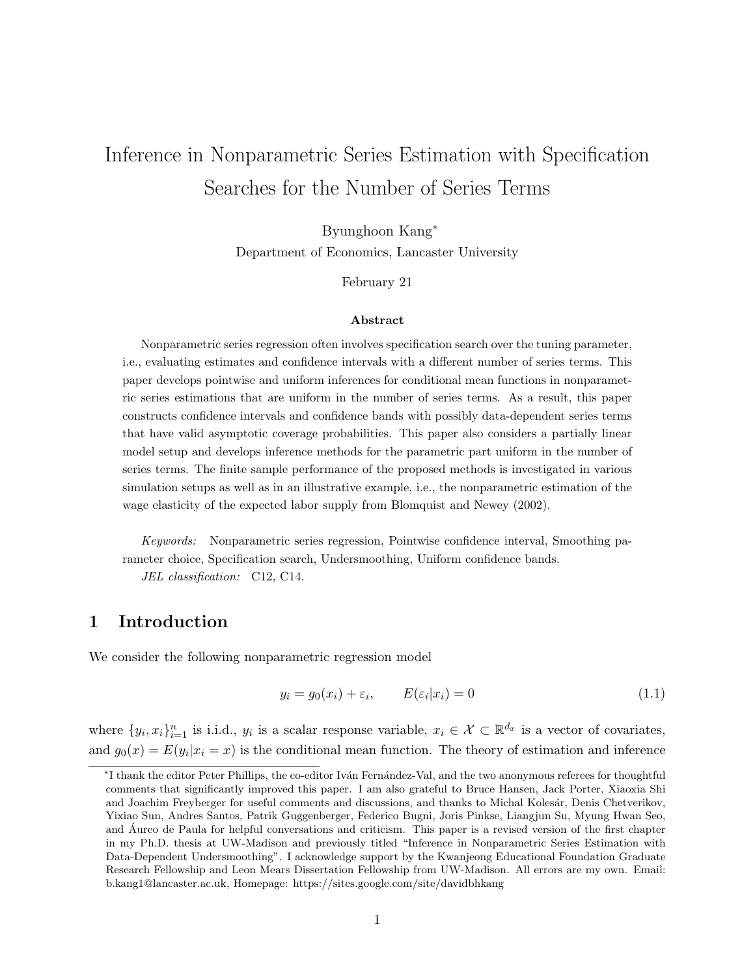# Inference in Nonparametric Series Estimation with Specification Searches for the Number of Series Terms

Byunghoon Kang<sup>∗</sup>

Department of Economics, Lancaster University

February 21

#### Abstract

Nonparametric series regression often involves specification search over the tuning parameter, i.e., evaluating estimates and confidence intervals with a different number of series terms. This paper develops pointwise and uniform inferences for conditional mean functions in nonparametric series estimations that are uniform in the number of series terms. As a result, this paper constructs confidence intervals and confidence bands with possibly data-dependent series terms that have valid asymptotic coverage probabilities. This paper also considers a partially linear model setup and develops inference methods for the parametric part uniform in the number of series terms. The finite sample performance of the proposed methods is investigated in various simulation setups as well as in an illustrative example, i.e., the nonparametric estimation of the wage elasticity of the expected labor supply from Blomquist and Newey (2002).

Keywords: Nonparametric series regression, Pointwise confidence interval, Smoothing parameter choice, Specification search, Undersmoothing, Uniform confidence bands. JEL classification: C12, C14.

## 1 Introduction

We consider the following nonparametric regression model

<span id="page-0-0"></span>
$$
y_i = g_0(x_i) + \varepsilon_i, \qquad E(\varepsilon_i | x_i) = 0 \tag{1.1}
$$

where  $\{y_i, x_i\}_{i=1}^n$  is i.i.d.,  $y_i$  is a scalar response variable,  $x_i \in \mathcal{X} \subset \mathbb{R}^{d_x}$  is a vector of covariates, and  $g_0(x) = E(y_i|x_i = x)$  is the conditional mean function. The theory of estimation and inference

<sup>\*</sup>I thank the editor Peter Phillips, the co-editor Iván Fernández-Val, and the two anonymous referees for thoughtful comments that significantly improved this paper. I am also grateful to Bruce Hansen, Jack Porter, Xiaoxia Shi and Joachim Freyberger for useful comments and discussions, and thanks to Michal Kolesár, Denis Chetverikov, Yixiao Sun, Andres Santos, Patrik Guggenberger, Federico Bugni, Joris Pinkse, Liangjun Su, Myung Hwan Seo, and Aureo de Paula for helpful conversations and criticism. This paper is a revised version of the first chapter ´ in my Ph.D. thesis at UW-Madison and previously titled "Inference in Nonparametric Series Estimation with Data-Dependent Undersmoothing". I acknowledge support by the Kwanjeong Educational Foundation Graduate Research Fellowship and Leon Mears Dissertation Fellowship from UW-Madison. All errors are my own. Email: [b.kang1@lancaster.ac.uk,](mailto:b.kang1@lancaster.ac.uk) Homepage: <https://sites.google.com/site/davidbhkang>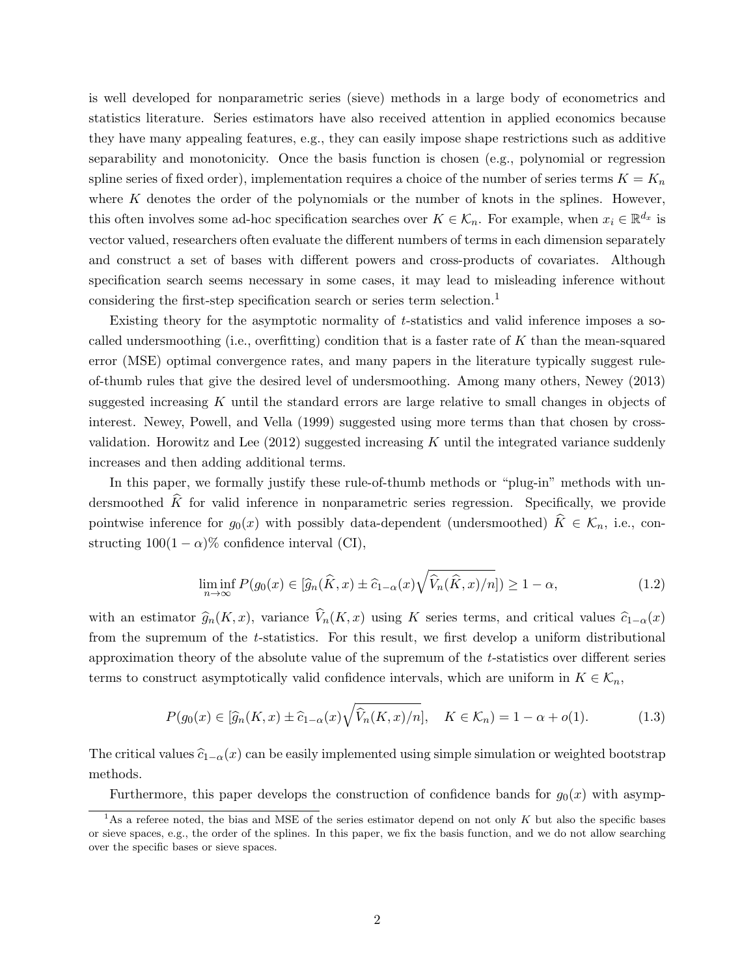is well developed for nonparametric series (sieve) methods in a large body of econometrics and statistics literature. Series estimators have also received attention in applied economics because they have many appealing features, e.g., they can easily impose shape restrictions such as additive separability and monotonicity. Once the basis function is chosen (e.g., polynomial or regression spline series of fixed order), implementation requires a choice of the number of series terms  $K = K_n$ where  $K$  denotes the order of the polynomials or the number of knots in the splines. However, this often involves some ad-hoc specification searches over  $K \in \mathcal{K}_n$ . For example, when  $x_i \in \mathbb{R}^{d_x}$  is vector valued, researchers often evaluate the different numbers of terms in each dimension separately and construct a set of bases with different powers and cross-products of covariates. Although specification search seems necessary in some cases, it may lead to misleading inference without considering the first-step specification search or series term selection.[1](#page-1-0)

Existing theory for the asymptotic normality of t-statistics and valid inference imposes a socalled undersmoothing (i.e., overfitting) condition that is a faster rate of  $K$  than the mean-squared error (MSE) optimal convergence rates, and many papers in the literature typically suggest ruleof-thumb rules that give the desired level of undersmoothing. Among many others, Newey (2013) suggested increasing  $K$  until the standard errors are large relative to small changes in objects of interest. Newey, Powell, and Vella (1999) suggested using more terms than that chosen by crossvalidation. Horowitz and Lee  $(2012)$  suggested increasing K until the integrated variance suddenly increases and then adding additional terms.

In this paper, we formally justify these rule-of-thumb methods or "plug-in" methods with undersmoothed  $\hat{K}$  for valid inference in nonparametric series regression. Specifically, we provide pointwise inference for  $g_0(x)$  with possibly data-dependent (undersmoothed)  $\hat{K} \in \mathcal{K}_n$ , i.e., constructing  $100(1 - \alpha)$ % confidence interval (CI),

<span id="page-1-1"></span>
$$
\liminf_{n \to \infty} P(g_0(x) \in [\widehat{g}_n(\widehat{K}, x) \pm \widehat{c}_{1-\alpha}(x) \sqrt{\widehat{V}_n(\widehat{K}, x)/n}]) \ge 1 - \alpha,
$$
\n(1.2)

with an estimator  $\widehat{g}_n(K, x)$ , variance  $\widehat{V}_n(K, x)$  using K series terms, and critical values  $\widehat{c}_{1-\alpha}(x)$ from the supremum of the t-statistics. For this result, we first develop a uniform distributional approximation theory of the absolute value of the supremum of the t-statistics over different series terms to construct asymptotically valid confidence intervals, which are uniform in  $K \in \mathcal{K}_n$ ,

<span id="page-1-2"></span>
$$
P(g_0(x) \in [\widehat{g}_n(K, x) \pm \widehat{c}_{1-\alpha}(x)\sqrt{\widehat{V}_n(K, x)/n}], \quad K \in \mathcal{K}_n) = 1 - \alpha + o(1). \tag{1.3}
$$

The critical values  $\hat{c}_{1-\alpha}(x)$  can be easily implemented using simple simulation or weighted bootstrap methods.

<span id="page-1-0"></span>Furthermore, this paper develops the construction of confidence bands for  $g_0(x)$  with asymp-

<sup>&</sup>lt;sup>1</sup>As a referee noted, the bias and MSE of the series estimator depend on not only K but also the specific bases or sieve spaces, e.g., the order of the splines. In this paper, we fix the basis function, and we do not allow searching over the specific bases or sieve spaces.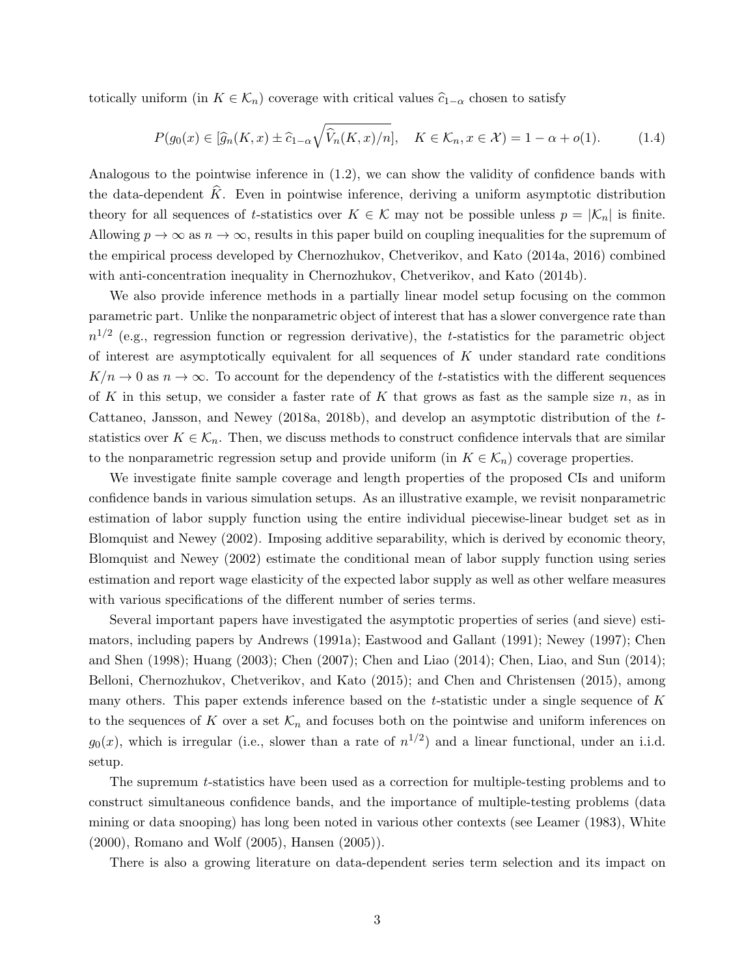totically uniform (in  $K \in \mathcal{K}_n$ ) coverage with critical values  $\hat{c}_{1-\alpha}$  chosen to satisfy

<span id="page-2-0"></span>
$$
P(g_0(x) \in [\widehat{g}_n(K, x) \pm \widehat{c}_{1-\alpha}\sqrt{\widehat{V}_n(K, x)/n}], \quad K \in \mathcal{K}_n, x \in \mathcal{X}) = 1 - \alpha + o(1). \tag{1.4}
$$

Analogous to the pointwise inference in [\(1.2\)](#page-1-1), we can show the validity of confidence bands with the data-dependent  $\hat{K}$ . Even in pointwise inference, deriving a uniform asymptotic distribution theory for all sequences of t-statistics over  $K \in \mathcal{K}$  may not be possible unless  $p = |\mathcal{K}_n|$  is finite. Allowing  $p \to \infty$  as  $n \to \infty$ , results in this paper build on coupling inequalities for the supremum of the empirical process developed by Chernozhukov, Chetverikov, and Kato (2014a, 2016) combined with anti-concentration inequality in Chernozhukov, Chetverikov, and Kato (2014b).

We also provide inference methods in a partially linear model setup focusing on the common parametric part. Unlike the nonparametric object of interest that has a slower convergence rate than  $n^{1/2}$  (e.g., regression function or regression derivative), the t-statistics for the parametric object of interest are asymptotically equivalent for all sequences of  $K$  under standard rate conditions  $K/n \to 0$  as  $n \to \infty$ . To account for the dependency of the t-statistics with the different sequences of K in this setup, we consider a faster rate of K that grows as fast as the sample size  $n$ , as in Cattaneo, Jansson, and Newey (2018a, 2018b), and develop an asymptotic distribution of the tstatistics over  $K \in \mathcal{K}_n$ . Then, we discuss methods to construct confidence intervals that are similar to the nonparametric regression setup and provide uniform (in  $K \in \mathcal{K}_n$ ) coverage properties.

We investigate finite sample coverage and length properties of the proposed CIs and uniform confidence bands in various simulation setups. As an illustrative example, we revisit nonparametric estimation of labor supply function using the entire individual piecewise-linear budget set as in Blomquist and Newey (2002). Imposing additive separability, which is derived by economic theory, Blomquist and Newey (2002) estimate the conditional mean of labor supply function using series estimation and report wage elasticity of the expected labor supply as well as other welfare measures with various specifications of the different number of series terms.

Several important papers have investigated the asymptotic properties of series (and sieve) estimators, including papers by Andrews (1991a); Eastwood and Gallant (1991); Newey (1997); Chen and Shen (1998); Huang (2003); Chen (2007); Chen and Liao (2014); Chen, Liao, and Sun (2014); Belloni, Chernozhukov, Chetverikov, and Kato (2015); and Chen and Christensen (2015), among many others. This paper extends inference based on the t-statistic under a single sequence of K to the sequences of K over a set  $\mathcal{K}_n$  and focuses both on the pointwise and uniform inferences on  $g_0(x)$ , which is irregular (i.e., slower than a rate of  $n^{1/2}$ ) and a linear functional, under an i.i.d. setup.

The supremum t-statistics have been used as a correction for multiple-testing problems and to construct simultaneous confidence bands, and the importance of multiple-testing problems (data mining or data snooping) has long been noted in various other contexts (see Leamer (1983), White (2000), Romano and Wolf (2005), Hansen (2005)).

There is also a growing literature on data-dependent series term selection and its impact on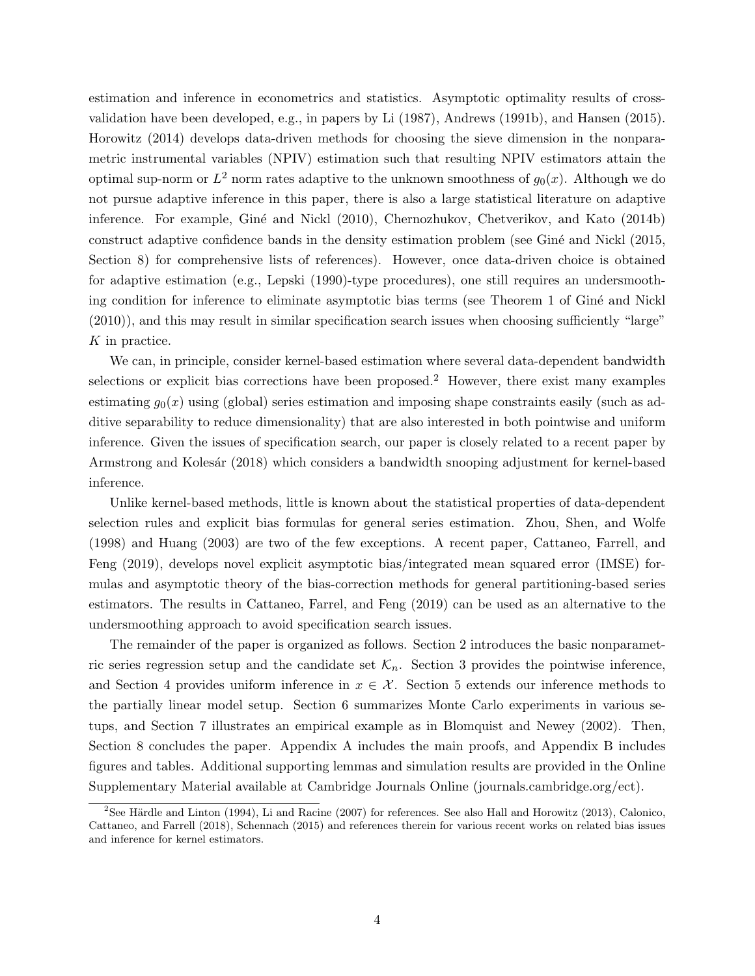estimation and inference in econometrics and statistics. Asymptotic optimality results of crossvalidation have been developed, e.g., in papers by Li (1987), Andrews (1991b), and Hansen (2015). Horowitz (2014) develops data-driven methods for choosing the sieve dimension in the nonparametric instrumental variables (NPIV) estimation such that resulting NPIV estimators attain the optimal sup-norm or  $L^2$  norm rates adaptive to the unknown smoothness of  $g_0(x)$ . Although we do not pursue adaptive inference in this paper, there is also a large statistical literature on adaptive inference. For example, Giné and Nickl (2010), Chernozhukov, Chetverikov, and Kato (2014b) construct adaptive confidence bands in the density estimation problem (see Giné and Nickl (2015, Section 8) for comprehensive lists of references). However, once data-driven choice is obtained for adaptive estimation (e.g., Lepski (1990)-type procedures), one still requires an undersmoothing condition for inference to eliminate asymptotic bias terms (see Theorem 1 of Giné and Nickl (2010)), and this may result in similar specification search issues when choosing sufficiently "large" K in practice.

We can, in principle, consider kernel-based estimation where several data-dependent bandwidth selections or explicit bias corrections have been proposed.<sup>[2](#page-3-0)</sup> However, there exist many examples estimating  $g_0(x)$  using (global) series estimation and imposing shape constraints easily (such as additive separability to reduce dimensionality) that are also interested in both pointwise and uniform inference. Given the issues of specification search, our paper is closely related to a recent paper by Armstrong and Kolesár (2018) which considers a bandwidth snooping adjustment for kernel-based inference.

Unlike kernel-based methods, little is known about the statistical properties of data-dependent selection rules and explicit bias formulas for general series estimation. Zhou, Shen, and Wolfe (1998) and Huang (2003) are two of the few exceptions. A recent paper, Cattaneo, Farrell, and Feng (2019), develops novel explicit asymptotic bias/integrated mean squared error (IMSE) formulas and asymptotic theory of the bias-correction methods for general partitioning-based series estimators. The results in Cattaneo, Farrel, and Feng (2019) can be used as an alternative to the undersmoothing approach to avoid specification search issues.

The remainder of the paper is organized as follows. Section [2](#page-4-0) introduces the basic nonparametric series regression setup and the candidate set  $\mathcal{K}_n$ . Section [3](#page-6-0) provides the pointwise inference, and Section [4](#page-9-0) provides uniform inference in  $x \in \mathcal{X}$ . Section [5](#page-11-0) extends our inference methods to the partially linear model setup. Section [6](#page-14-0) summarizes Monte Carlo experiments in various setups, and Section [7](#page-15-0) illustrates an empirical example as in Blomquist and Newey (2002). Then, Section [8](#page-17-0) concludes the paper. Appendix [A](#page-22-0) includes the main proofs, and Appendix [B](#page-33-0) includes figures and tables. Additional supporting lemmas and simulation results are provided in the Online Supplementary Material available at Cambridge Journals Online (journals.cambridge.org/ect).

<span id="page-3-0"></span><sup>&</sup>lt;sup>2</sup>See Härdle and Linton (1994), Li and Racine (2007) for references. See also Hall and Horowitz (2013), Calonico, Cattaneo, and Farrell (2018), Schennach (2015) and references therein for various recent works on related bias issues and inference for kernel estimators.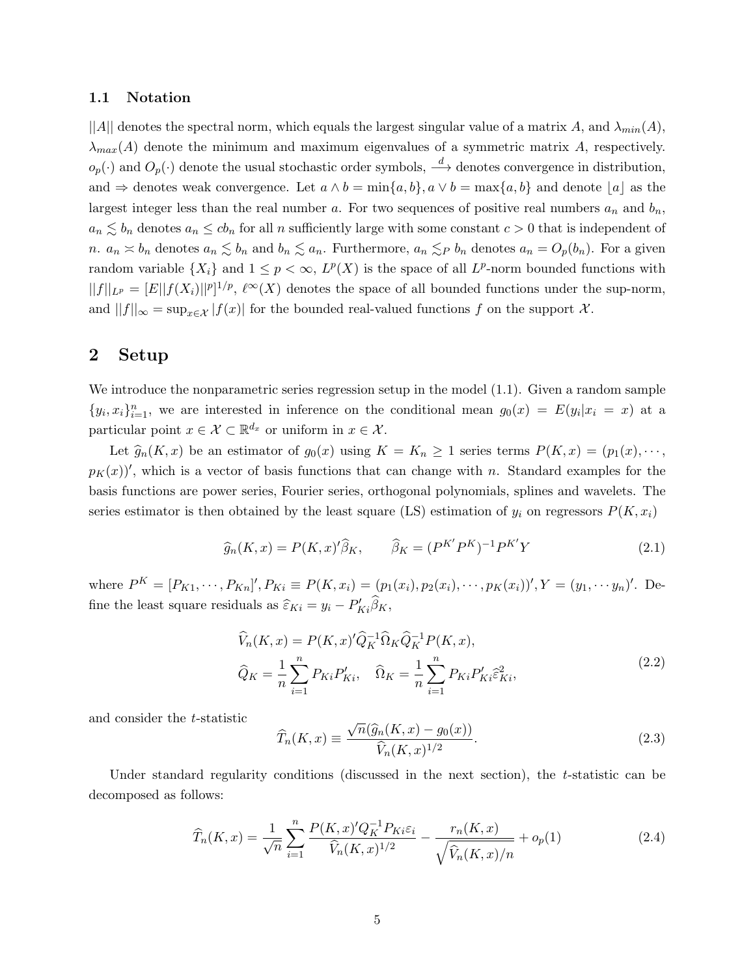#### 1.1 Notation

||A|| denotes the spectral norm, which equals the largest singular value of a matrix A, and  $\lambda_{min}(A)$ ,  $\lambda_{max}(A)$  denote the minimum and maximum eigenvalues of a symmetric matrix A, respectively.  $o_p(\cdot)$  and  $O_p(\cdot)$  denote the usual stochastic order symbols,  $\stackrel{d}{\longrightarrow}$  denotes convergence in distribution, and  $\Rightarrow$  denotes weak convergence. Let  $a \wedge b = \min\{a, b\}$ ,  $a \vee b = \max\{a, b\}$  and denote  $|a|$  as the largest integer less than the real number a. For two sequences of positive real numbers  $a_n$  and  $b_n$ ,  $a_n \lesssim b_n$  denotes  $a_n \leq cb_n$  for all n sufficiently large with some constant  $c > 0$  that is independent of n.  $a_n \simeq b_n$  denotes  $a_n \lesssim b_n$  and  $b_n \lesssim a_n$ . Furthermore,  $a_n \lesssim_P b_n$  denotes  $a_n = O_p(b_n)$ . For a given random variable  $\{X_i\}$  and  $1 \leq p < \infty$ ,  $L^p(X)$  is the space of all  $L^p$ -norm bounded functions with  $||f||_{L^p} = [E||f(X_i)||^p]^{1/p}, \ell^{\infty}(X)$  denotes the space of all bounded functions under the sup-norm, and  $||f||_{\infty} = \sup_{x \in \mathcal{X}} |f(x)|$  for the bounded real-valued functions f on the support X.

## <span id="page-4-0"></span>2 Setup

We introduce the nonparametric series regression setup in the model  $(1.1)$ . Given a random sample  ${y_i, x_i}_{i=1}^n$ , we are interested in inference on the conditional mean  $g_0(x) = E(y_i|x_i = x)$  at a particular point  $x \in \mathcal{X} \subset \mathbb{R}^{d_x}$  or uniform in  $x \in \mathcal{X}$ .

Let  $\widehat{g}_n(K, x)$  be an estimator of  $g_0(x)$  using  $K = K_n \ge 1$  series terms  $P(K, x) = (p_1(x), \dots, p_n(x))$  $p_K(x)$ , which is a vector of basis functions that can change with n. Standard examples for the basis functions are power series, Fourier series, orthogonal polynomials, splines and wavelets. The series estimator is then obtained by the least square (LS) estimation of  $y_i$  on regressors  $P(K, x_i)$ 

$$
\widehat{g}_n(K,x) = P(K,x)'\widehat{\beta}_K, \qquad \widehat{\beta}_K = (P^{K'}P^K)^{-1}P^{K'}Y \qquad (2.1)
$$

where  $P^K = [P_{K1}, \dots, P_{Kn}]'$ ,  $P_{Ki} \equiv P(K, x_i) = (p_1(x_i), p_2(x_i), \dots, p_K(x_i))'$ ,  $Y = (y_1, \dots, y_n)'$ . Define the least square residuals as  $\widehat{\varepsilon}_{Ki} = y_i - P'_{Ki} \widehat{\beta}_{Ki}$ ,

$$
\widehat{V}_n(K, x) = P(K, x)'\widehat{Q}_K^{-1}\widehat{\Omega}_K\widehat{Q}_K^{-1}P(K, x), \n\widehat{Q}_K = \frac{1}{n}\sum_{i=1}^n P_{Ki}P'_{Ki}, \quad \widehat{\Omega}_K = \frac{1}{n}\sum_{i=1}^n P_{Ki}P'_{Ki}\widehat{\varepsilon}_{Ki}^2,
$$
\n(2.2)

and consider the t-statistic

<span id="page-4-2"></span>
$$
\widehat{T}_n(K,x) \equiv \frac{\sqrt{n}(\widehat{g}_n(K,x) - g_0(x))}{\widehat{V}_n(K,x)^{1/2}}.
$$
\n(2.3)

Under standard regularity conditions (discussed in the next section), the t-statistic can be decomposed as follows:

<span id="page-4-1"></span>
$$
\widehat{T}_n(K,x) = \frac{1}{\sqrt{n}} \sum_{i=1}^n \frac{P(K,x)'Q_K^{-1} P_{Ki} \varepsilon_i}{\widehat{V}_n(K,x)^{1/2}} - \frac{r_n(K,x)}{\sqrt{\widehat{V}_n(K,x)/n}} + o_p(1)
$$
\n(2.4)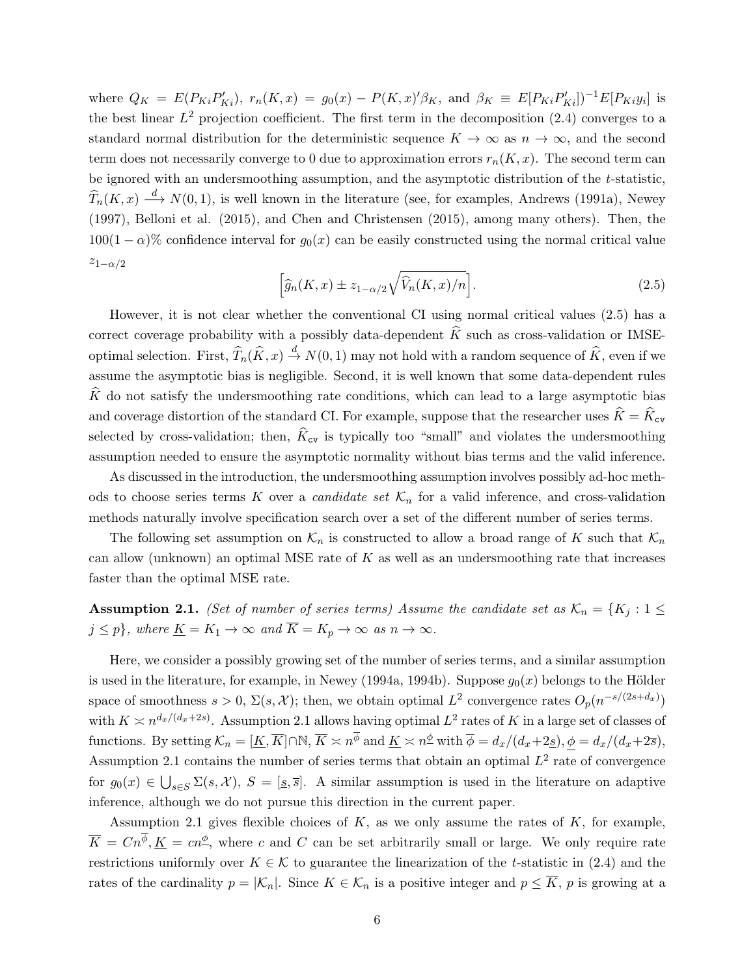where  $Q_K = E(P_{Ki}P'_{Ki})$ ,  $r_n(K, x) = g_0(x) - P(K, x)'\beta_K$ , and  $\beta_K \equiv E[P_{Ki}P'_{Ki}]^{-1}E[P_{Ki}y_i]$  is the best linear  $L^2$  projection coefficient. The first term in the decomposition [\(2.4\)](#page-4-1) converges to a standard normal distribution for the deterministic sequence  $K \to \infty$  as  $n \to \infty$ , and the second term does not necessarily converge to 0 due to approximation errors  $r_n(K, x)$ . The second term can be ignored with an undersmoothing assumption, and the asymptotic distribution of the t-statistic,  $\widehat{T}_n(K, x) \stackrel{d}{\longrightarrow} N(0, 1)$ , is well known in the literature (see, for examples, Andrews (1991a), Newey (1997), Belloni et al. (2015), and Chen and Christensen (2015), among many others). Then, the  $100(1 - \alpha)\%$  confidence interval for  $q_0(x)$  can be easily constructed using the normal critical value  $z_{1-\alpha/2}$ 

<span id="page-5-0"></span>
$$
\left[\widehat{g}_n(K,x) \pm z_{1-\alpha/2}\sqrt{\widehat{V}_n(K,x)/n}\right].\tag{2.5}
$$

However, it is not clear whether the conventional CI using normal critical values [\(2.5\)](#page-5-0) has a correct coverage probability with a possibly data-dependent  $\hat{K}$  such as cross-validation or IMSEoptimal selection. First,  $\widehat{T}_n(\widehat{K}, x) \stackrel{d}{\to} N(0, 1)$  may not hold with a random sequence of  $\widehat{K}$ , even if we assume the asymptotic bias is negligible. Second, it is well known that some data-dependent rules  $\overline{K}$  do not satisfy the undersmoothing rate conditions, which can lead to a large asymptotic bias and coverage distortion of the standard CI. For example, suppose that the researcher uses  $\hat{K} = \hat{K}_{c\text{v}}$ selected by cross-validation; then,  $\hat{K}_{c\mathbf{v}}$  is typically too "small" and violates the undersmoothing assumption needed to ensure the asymptotic normality without bias terms and the valid inference.

As discussed in the introduction, the undersmoothing assumption involves possibly ad-hoc methods to choose series terms K over a *candidate set*  $\mathcal{K}_n$  for a valid inference, and cross-validation methods naturally involve specification search over a set of the different number of series terms.

The following set assumption on  $\mathcal{K}_n$  is constructed to allow a broad range of K such that  $\mathcal{K}_n$ can allow (unknown) an optimal MSE rate of K as well as an undersmoothing rate that increases faster than the optimal MSE rate.

<span id="page-5-1"></span>**Assumption 2.1.** (Set of number of series terms) Assume the candidate set as  $\mathcal{K}_n = \{K_i : 1 \leq$  $j \leq p$ , where  $\underline{K} = K_1 \to \infty$  and  $\overline{K} = K_p \to \infty$  as  $n \to \infty$ .

Here, we consider a possibly growing set of the number of series terms, and a similar assumption is used in the literature, for example, in Newey (1994a, 1994b). Suppose  $g_0(x)$  belongs to the Hölder space of smoothness  $s > 0$ ,  $\Sigma(s, \mathcal{X})$ ; then, we obtain optimal  $L^2$  convergence rates  $O_p(n^{-s/(2s+d_x)})$ with  $K \asymp n^{d_x/(d_x+2s)}$ . Assumption [2.1](#page-5-1) allows having optimal  $L^2$  rates of K in a large set of classes of functions. By setting  $\mathcal{K}_n = [\underline{K}, \overline{K}] \cap \mathbb{N}, \overline{K} \times n^{\overline{\phi}}$  and  $\underline{K} \times n^{\underline{\phi}}$  with  $\overline{\phi} = d_x/(d_x+2\underline{s}), \phi = d_x/(d_x+2\overline{s}),$ Assumption [2.1](#page-5-1) contains the number of series terms that obtain an optimal  $L^2$  rate of convergence for  $g_0(x) \in \bigcup_{s \in S} \Sigma(s, \mathcal{X}), S = [\underline{s}, \overline{s}].$  A similar assumption is used in the literature on adaptive inference, although we do not pursue this direction in the current paper.

Assumption [2.1](#page-5-1) gives flexible choices of  $K$ , as we only assume the rates of  $K$ , for example,  $\overline{K} = Cn^{\overline{\phi}}, \underline{K} = cn^{\phi}$ , where c and C can be set arbitrarily small or large. We only require rate restrictions uniformly over  $K \in \mathcal{K}$  to guarantee the linearization of the t-statistic in [\(2.4\)](#page-4-1) and the rates of the cardinality  $p = |\mathcal{K}_n|$ . Since  $K \in \mathcal{K}_n$  is a positive integer and  $p \leq \overline{K}$ , p is growing at a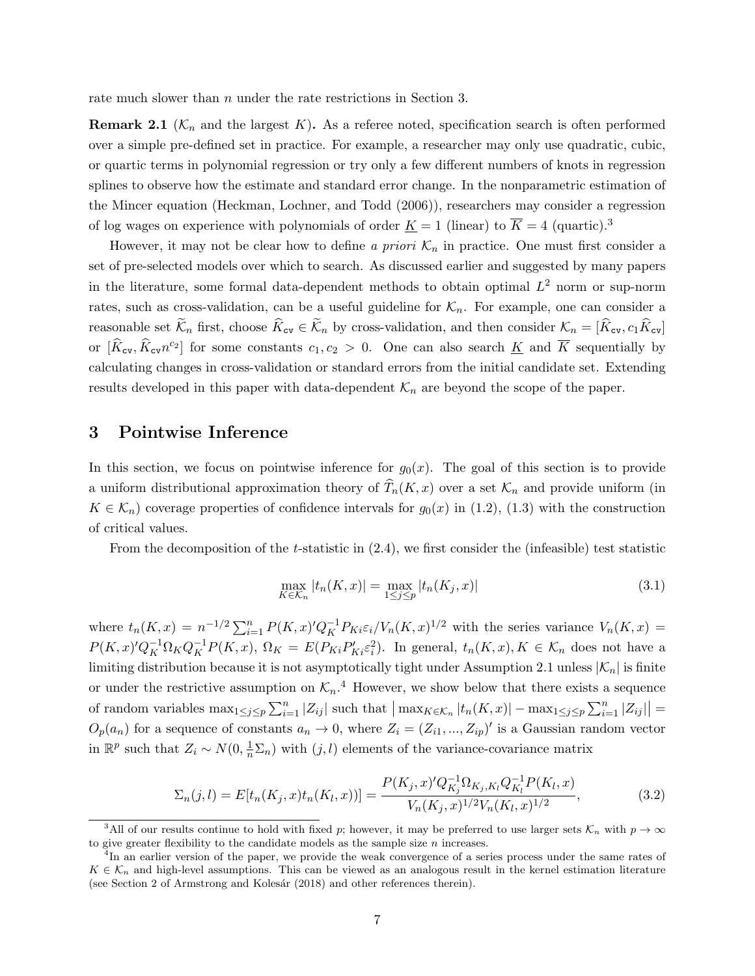rate much slower than *n* under the rate restrictions in Section [3.](#page-6-0)

**Remark 2.1** ( $\mathcal{K}_n$  and the largest K). As a referee noted, specification search is often performed over a simple pre-defined set in practice. For example, a researcher may only use quadratic, cubic, or quartic terms in polynomial regression or try only a few different numbers of knots in regression splines to observe how the estimate and standard error change. In the nonparametric estimation of the Mincer equation (Heckman, Lochner, and Todd (2006)), researchers may consider a regression of log wages on experience with polynomials of order  $K = 1$  (linear) to  $\overline{K} = 4$  (quartic).<sup>[3](#page-6-1)</sup>

However, it may not be clear how to define a priori  $\mathcal{K}_n$  in practice. One must first consider a set of pre-selected models over which to search. As discussed earlier and suggested by many papers in the literature, some formal data-dependent methods to obtain optimal  $L^2$  norm or sup-norm rates, such as cross-validation, can be a useful guideline for  $\mathcal{K}_n$ . For example, one can consider a reasonable set  $\widetilde{\mathcal{K}}_n$  first, choose  $\widehat{\mathcal{K}}_{c\mathbf{v}} \in \widetilde{\mathcal{K}}_n$  by cross-validation, and then consider  $\mathcal{K}_n = [\widehat{\mathcal{K}}_{c\mathbf{v}}, c_1\widehat{\mathcal{K}}_{c\mathbf{v}}]$ or  $[\hat{K}_{cv}, \hat{K}_{cv}n^{c_2}]$  for some constants  $c_1, c_2 > 0$ . One can also search  $\underline{K}$  and  $\overline{K}$  sequentially by calculating changes in cross-validation or standard errors from the initial candidate set. Extending results developed in this paper with data-dependent  $\mathcal{K}_n$  are beyond the scope of the paper.

## <span id="page-6-0"></span>3 Pointwise Inference

In this section, we focus on pointwise inference for  $g_0(x)$ . The goal of this section is to provide a uniform distributional approximation theory of  $\widehat{T}_n(K, x)$  over a set  $\mathcal{K}_n$  and provide uniform (in  $K \in \mathcal{K}_n$  coverage properties of confidence intervals for  $g_0(x)$  in [\(1.2\)](#page-1-1), [\(1.3\)](#page-1-2) with the construction of critical values.

From the decomposition of the t-statistic in  $(2.4)$ , we first consider the (infeasible) test statistic

$$
\max_{K \in \mathcal{K}_n} |t_n(K, x)| = \max_{1 \le j \le p} |t_n(K_j, x)| \tag{3.1}
$$

where  $t_n(K,x) = n^{-1/2} \sum_{i=1}^n P(K,x)' Q_K^{-1} P_{Ki} \varepsilon_i / V_n(K,x)^{1/2}$  with the series variance  $V_n(K,x)$  $P(K, x)Q_K^{-1}\Omega_KQ_K^{-1}P(K, x), \Omega_K = E(P_{Ki}P'_{Ki}\varepsilon_i^2)$ . In general,  $t_n(K, x), K \in \mathcal{K}_n$  does not have a limiting distribution because it is not asymptotically tight under Assumption [2.1](#page-5-1) unless  $|\mathcal{K}_n|$  is finite or under the restrictive assumption on  $\mathcal{K}_n$ .<sup>[4](#page-6-2)</sup> However, we show below that there exists a sequence of random variables  $\max_{1 \leq j \leq p} \sum_{i=1}^n |Z_{ij}|$  such that  $\big| \max_{K \in \mathcal{K}_n} |t_n(K, x)| - \max_{1 \leq j \leq p} \sum_{i=1}^n |Z_{ij}| \big| =$  $O_p(a_n)$  for a sequence of constants  $a_n \to 0$ , where  $Z_i = (Z_{i1}, ..., Z_{ip})'$  is a Gaussian random vector in  $\mathbb{R}^p$  such that  $Z_i \sim N(0, \frac{1}{n} \Sigma_n)$  with  $(j, l)$  elements of the variance-covariance matrix

<span id="page-6-3"></span>
$$
\Sigma_n(j,l) = E[t_n(K_j, x)t_n(K_l, x))] = \frac{P(K_j, x)Q_{K_j}^{-1}\Omega_{K_j, K_l}Q_{K_l}^{-1}P(K_l, x)}{V_n(K_j, x)^{1/2}V_n(K_l, x)^{1/2}},
$$
\n(3.2)

<span id="page-6-1"></span><sup>&</sup>lt;sup>3</sup>All of our results continue to hold with fixed p; however, it may be preferred to use larger sets  $\mathcal{K}_n$  with  $p \to \infty$ to give greater flexibility to the candidate models as the sample size  $n$  increases.

<span id="page-6-2"></span><sup>&</sup>lt;sup>4</sup>In an earlier version of the paper, we provide the weak convergence of a series process under the same rates of  $K \in \mathcal{K}_n$  and high-level assumptions. This can be viewed as an analogous result in the kernel estimation literature (see Section 2 of Armstrong and Kolesár (2018) and other references therein).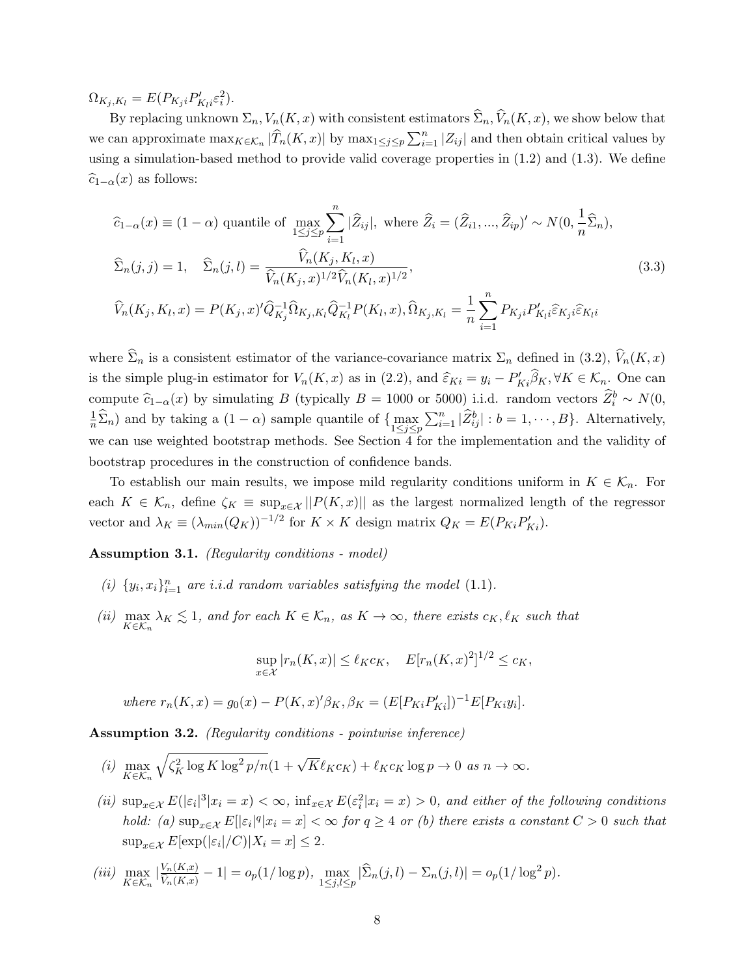$\Omega_{K_j,K_l} = E(P_{K_ji}P'_{K_li}\varepsilon_i^2).$ 

By replacing unknown  $\Sigma_n$ ,  $V_n(K, x)$  with consistent estimators  $\widehat{\Sigma}_n$ ,  $\widehat{V}_n(K, x)$ , we show below that we can approximate  $\max_{K \in \mathcal{K}_n} |\widehat{T}_n(K, x)|$  by  $\max_{1 \leq j \leq p} \sum_{i=1}^n |Z_{ij}|$  and then obtain critical values by using a simulation-based method to provide valid coverage properties in [\(1.2\)](#page-1-1) and [\(1.3\)](#page-1-2). We define  $\widehat{c}_{1-\alpha}(x)$  as follows:

<span id="page-7-2"></span>
$$
\hat{c}_{1-\alpha}(x) \equiv (1-\alpha) \text{ quantile of } \max_{1 \le j \le p} \sum_{i=1}^{n} |\hat{Z}_{ij}|, \text{ where } \hat{Z}_i = (\hat{Z}_{i1}, ..., \hat{Z}_{ip})' \sim N(0, \frac{1}{n}\hat{\Sigma}_n),
$$
  

$$
\hat{\Sigma}_n(j,j) = 1, \quad \hat{\Sigma}_n(j,l) = \frac{\hat{V}_n(K_j, K_l, x)}{\hat{V}_n(K_j, x)^{1/2} \hat{V}_n(K_l, x)^{1/2}},
$$
  

$$
\hat{V}_n(K_j, K_l, x) = P(K_j, x)'\hat{Q}_{K_j}^{-1}\hat{\Omega}_{K_j, K_l}\hat{Q}_{K_l}^{-1}P(K_l, x), \hat{\Omega}_{K_j, K_l} = \frac{1}{n}\sum_{i=1}^{n} P_{K_ji}P'_{K_li}\hat{\varepsilon}_{K_ji}\hat{\varepsilon}_{K_li}
$$
\n(3.3)

where  $\widehat{\Sigma}_n$  is a consistent estimator of the variance-covariance matrix  $\Sigma_n$  defined in [\(3.2\)](#page-6-3),  $\widehat{V}_n(K, x)$ is the simple plug-in estimator for  $V_n(K, x)$  as in [\(2.2\)](#page-4-2), and  $\hat{\varepsilon}_{Ki} = y_i - P'_{Ki} \hat{\beta}_K, \forall K \in \mathcal{K}_n$ . One can compute  $\hat{c}_{1-\alpha}(x)$  by simulating B (typically  $B = 1000$  or 5000) i.i.d. random vectors  $\hat{Z}_i^b \sim N(0, 15)$  $\frac{1}{n}\widehat{\Sigma}_n$ ) and by taking a  $(1-\alpha)$  sample quantile of  $\{\max_{1 \leq j \leq p} \sum_{i=1}^n |\widehat{Z}_{ij}^b| : b = 1, \cdots, B\}$ . Alternatively, we can use weighted bootstrap methods. See Section  $\frac{1}{4}$  $\frac{1}{4}$  $\frac{1}{4}$  for the implementation and the validity of bootstrap procedures in the construction of confidence bands.

To establish our main results, we impose mild regularity conditions uniform in  $K \in \mathcal{K}_n$ . For each  $K \in \mathcal{K}_n$ , define  $\zeta_K \equiv \sup_{x \in \mathcal{X}} ||P(K, x)||$  as the largest normalized length of the regressor vector and  $\lambda_K \equiv (\lambda_{min}(Q_K))^{-1/2}$  for  $K \times K$  design matrix  $Q_K = E(P_{Ki}P'_{Ki})$ .

<span id="page-7-0"></span>Assumption 3.1. (Regularity conditions - model)

- (i)  $\{y_i, x_i\}_{i=1}^n$  are i.i.d random variables satisfying the model [\(1.1\)](#page-0-0).
- (ii)  $\max_{K \in \mathcal{K}_n} \lambda_K \lesssim 1$ , and for each  $K \in \mathcal{K}_n$ , as  $K \to \infty$ , there exists  $c_K, \ell_K$  such that

$$
\sup_{x \in \mathcal{X}} |r_n(K, x)| \le \ell_K c_K, \quad E[r_n(K, x)^2]^{1/2} \le c_K,
$$

where 
$$
r_n(K, x) = g_0(x) - P(K, x)'\beta_K
$$
,  $\beta_K = (E[P_{Ki}P'_{Ki}])^{-1}E[P_{Ki}y_i].$ 

<span id="page-7-1"></span>Assumption 3.2. (Regularity conditions - pointwise inference)

- (*i*)  $\max_{K \in \mathcal{K}_n}$  $\sqrt{\zeta_K^2 \log K \log^2 p / n} (1 + \sqrt{K} \ell_K c_K) + \ell_K c_K \log p \to 0 \text{ as } n \to \infty.$
- (ii)  $\sup_{x \in \mathcal{X}} E(|\varepsilon_i|^3 | x_i = x) < \infty$ ,  $\inf_{x \in \mathcal{X}} E(\varepsilon_i^2 | x_i = x) > 0$ , and either of the following conditions hold: (a)  $\sup_{x \in \mathcal{X}} E[|\varepsilon_i|^q | x_i = x] < \infty$  for  $q \ge 4$  or (b) there exists a constant  $C > 0$  such that  $\sup_{x \in \mathcal{X}} E[\exp(|\varepsilon_i|/C)|X_i = x] \leq 2.$

$$
(iii) \ \max_{K \in \mathcal{K}_n} |\frac{V_n(K,x)}{\widehat{V}_n(K,x)} - 1| = o_p(1/\log p), \ \max_{1 \leq j,l \leq p} |\widehat{\Sigma}_n(j,l) - \Sigma_n(j,l)| = o_p(1/\log^2 p).
$$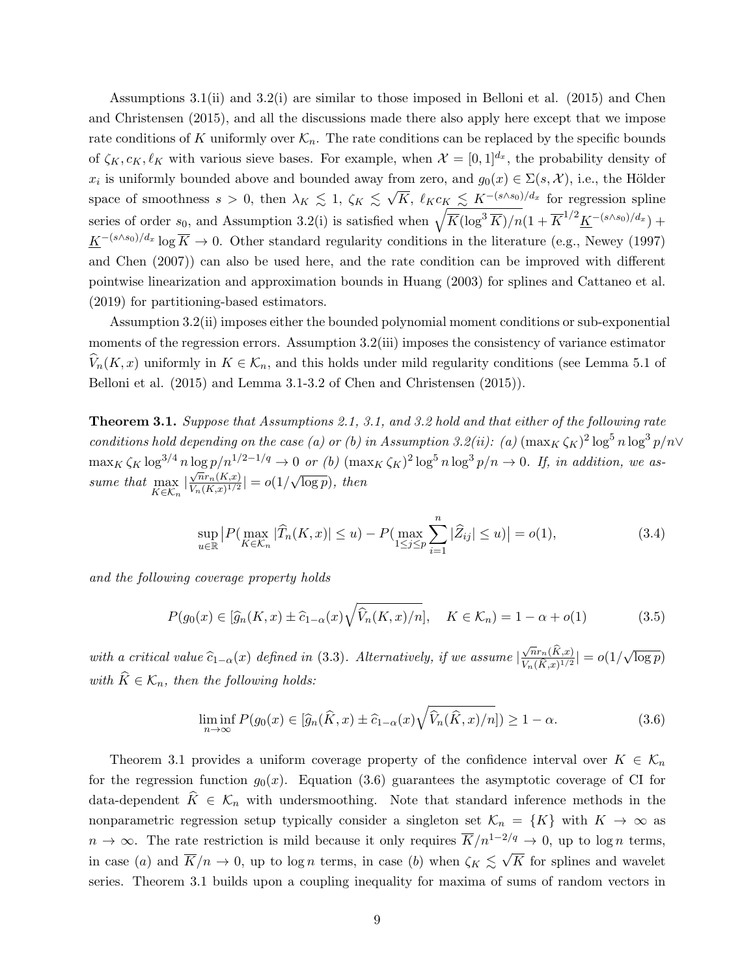Assumptions [3.1\(](#page-7-0)ii) and [3.2\(](#page-7-1)i) are similar to those imposed in Belloni et al. (2015) and Chen and Christensen (2015), and all the discussions made there also apply here except that we impose rate conditions of K uniformly over  $\mathcal{K}_n$ . The rate conditions can be replaced by the specific bounds of  $\zeta_K$ ,  $c_K$ ,  $\ell_K$  with various sieve bases. For example, when  $\mathcal{X} = [0, 1]^{d_x}$ , the probability density of  $x_i$  is uniformly bounded above and bounded away from zero, and  $g_0(x) \in \Sigma(s, \mathcal{X})$ , i.e., the Hölder space of smoothness  $s > 0$ , then  $\lambda_K \leq 1$ ,  $\zeta_K \leq \sqrt{K}$ ,  $\ell_K c_K \leq K^{-(s \wedge s_0)/d_x}$  for regression spline series of order  $s_0$ , and Assumption [3.2\(](#page-7-1)i) is satisfied when  $\sqrt{\overline{K}(\log^3 \overline{K})/n}(1 + \overline{K}^{1/2} \underline{K}^{-(s \wedge s_0)/d_x}) +$  $\underline{K}^{-(s\wedge s_0)/d_x}\log\overline{K}\to 0.$  Other standard regularity conditions in the literature (e.g., Newey (1997) and Chen (2007)) can also be used here, and the rate condition can be improved with different pointwise linearization and approximation bounds in Huang (2003) for splines and Cattaneo et al. (2019) for partitioning-based estimators.

Assumption [3.2\(](#page-7-1)ii) imposes either the bounded polynomial moment conditions or sub-exponential moments of the regression errors. Assumption [3.2\(](#page-7-1)iii) imposes the consistency of variance estimator  $\hat{V}_n(K, x)$  uniformly in  $K \in \mathcal{K}_n$ , and this holds under mild regularity conditions (see Lemma 5.1 of Belloni et al. (2015) and Lemma 3.1-3.2 of Chen and Christensen (2015)).

<span id="page-8-0"></span>**Theorem 3.1.** Suppose that Assumptions [2.1,](#page-5-1) [3.1,](#page-7-0) and [3.2](#page-7-1) hold and that either of the following rate conditions hold depending on the case (a) or (b) in Assumption [3.2\(](#page-7-1)ii): (a)  $(\max_K \zeta_K)^2 \log^5 n \log^3 p/n \vee$  $\max_K \zeta_K \log^{3/4} n \log p/n^{1/2-1/q} \to 0$  or (b)  $(\max_K \zeta_K)^2 \log^5 n \log^3 p/n \to 0$ . If, in addition, we assume that  $\max_{K \in \mathcal{K}_n}$  $\sqrt{n}r_n(K,x)$  $\frac{\sqrt{n}r_n(\mathsf{A},x)}{V_n(K,x)^{1/2}}|=o(1/$ √  $\overline{\log p}$ ), then

<span id="page-8-2"></span>
$$
\sup_{u \in \mathbb{R}} \left| P(\max_{K \in \mathcal{K}_n} |\widehat{T}_n(K, x)| \le u) - P(\max_{1 \le j \le p} \sum_{i=1}^n |\widehat{Z}_{ij}| \le u) \right| = o(1),\tag{3.4}
$$

and the following coverage property holds

$$
P(g_0(x) \in [\widehat{g}_n(K, x) \pm \widehat{c}_{1-\alpha}(x)\sqrt{\widehat{V}_n(K, x)/n}], \quad K \in \mathcal{K}_n) = 1 - \alpha + o(1)
$$
 (3.5)

with a critical value  $\widehat{c}_{1-\alpha}(x)$  defined in [\(3.3\)](#page-7-2). Alternatively, if we assume |  $\sqrt{n}r_n(\widehat{K},x)$  $\frac{\sqrt{n}r_n(\hat{K},x)}{V_n(\hat{K},x)^{1/2}}$  =  $o(1/$ √  $\overline{\log p})$ with  $\widehat{K} \in \mathcal{K}_n$ , then the following holds:

<span id="page-8-1"></span>
$$
\liminf_{n \to \infty} P(g_0(x) \in [\widehat{g}_n(\widehat{K}, x) \pm \widehat{c}_{1-\alpha}(x) \sqrt{\widehat{V}_n(\widehat{K}, x)/n}]) \ge 1 - \alpha.
$$
\n(3.6)

Theorem [3.1](#page-8-0) provides a uniform coverage property of the confidence interval over  $K \in \mathcal{K}_n$ for the regression function  $g_0(x)$ . Equation [\(3.6\)](#page-8-1) guarantees the asymptotic coverage of CI for data-dependent  $\hat{K} \in \mathcal{K}_n$  with undersmoothing. Note that standard inference methods in the nonparametric regression setup typically consider a singleton set  $\mathcal{K}_n = \{K\}$  with  $K \to \infty$  as  $n \to \infty$ . The rate restriction is mild because it only requires  $\overline{K}/n^{1-2/q} \to 0$ , up to log *n* terms, in case (a) and  $\overline{K}/n \to 0$ , up to log n terms, in case (b) when  $\zeta_K \lesssim \sqrt{n}$ K for splines and wavelet series. Theorem [3.1](#page-8-0) builds upon a coupling inequality for maxima of sums of random vectors in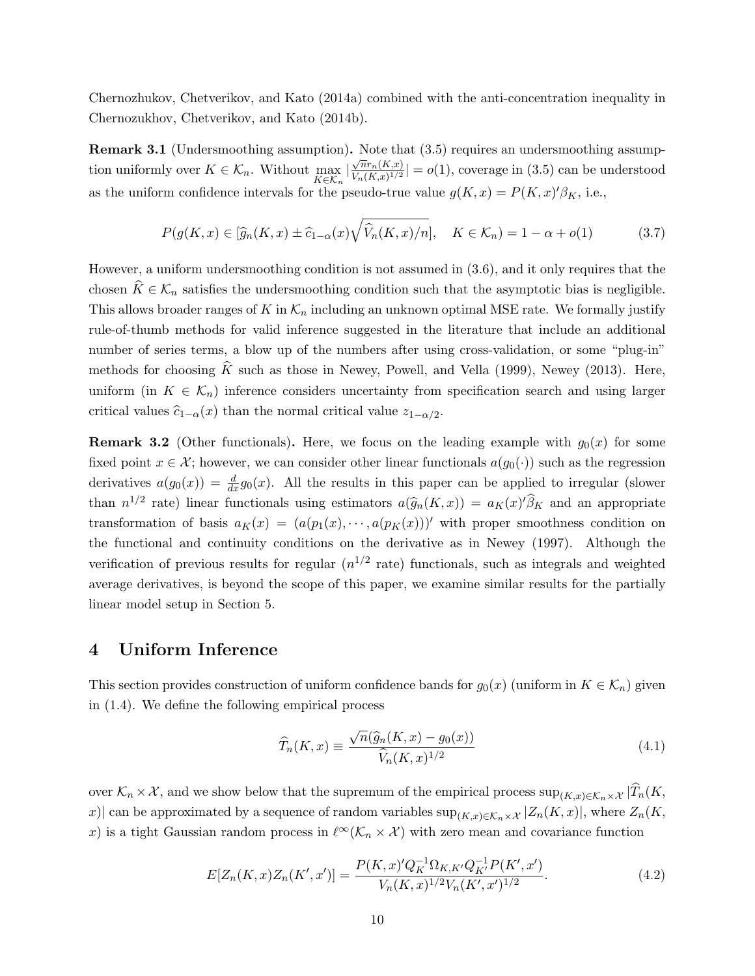Chernozhukov, Chetverikov, and Kato (2014a) combined with the anti-concentration inequality in Chernozukhov, Chetverikov, and Kato (2014b).

Remark 3.1 (Undersmoothing assumption). Note that [\(3.5\)](#page-8-2) requires an undersmoothing assumption uniformly over  $K \in \mathcal{K}_n$ . Without  $\max_{K \in \mathcal{K}_n}$  $\sqrt{n}r_n(K,x)$  $\frac{\sqrt{n}r_n(\mathbf{A},x)}{V_n(K,x)^{1/2}}$  =  $o(1)$ , coverage in [\(3.5\)](#page-8-2) can be understood as the uniform confidence intervals for the pseudo-true value  $g(K, x) = P(K, x)'\beta_K$ , i.e.,

$$
P(g(K,x)\in[\widehat{g}_n(K,x)\pm\widehat{c}_{1-\alpha}(x)\sqrt{\widehat{V}_n(K,x)/n}],\quad K\in\mathcal{K}_n)=1-\alpha+o(1)\tag{3.7}
$$

However, a uniform undersmoothing condition is not assumed in [\(3.6\)](#page-8-1), and it only requires that the chosen  $\widehat{K} \in \mathcal{K}_n$  satisfies the undersmoothing condition such that the asymptotic bias is negligible. This allows broader ranges of K in  $\mathcal{K}_n$  including an unknown optimal MSE rate. We formally justify rule-of-thumb methods for valid inference suggested in the literature that include an additional number of series terms, a blow up of the numbers after using cross-validation, or some "plug-in" methods for choosing  $\hat{K}$  such as those in Newey, Powell, and Vella (1999), Newey (2013). Here, uniform (in  $K \in \mathcal{K}_n$ ) inference considers uncertainty from specification search and using larger critical values  $\hat{c}_{1-\alpha}(x)$  than the normal critical value  $z_{1-\alpha/2}$ .

**Remark 3.2** (Other functionals). Here, we focus on the leading example with  $q_0(x)$  for some fixed point  $x \in \mathcal{X}$ ; however, we can consider other linear functionals  $a(g_0(\cdot))$  such as the regression derivatives  $a(g_0(x)) = \frac{d}{dx}g_0(x)$ . All the results in this paper can be applied to irregular (slower than  $n^{1/2}$  rate) linear functionals using estimators  $a(\widehat{g}_n(K,x)) = a_K(x)'\widehat{\beta}_K$  and an appropriate transformation of basis  $a_K(x) = (a(p_1(x), \dots, a(p_K(x)))'$  with proper smoothness condition on the functional and continuity conditions on the derivative as in Newey (1997). Although the verification of previous results for regular  $(n^{1/2} \text{ rate})$  functionals, such as integrals and weighted average derivatives, is beyond the scope of this paper, we examine similar results for the partially linear model setup in Section [5.](#page-11-0)

### <span id="page-9-0"></span>4 Uniform Inference

This section provides construction of uniform confidence bands for  $g_0(x)$  (uniform in  $K \in \mathcal{K}_n$ ) given in [\(1.4\)](#page-2-0). We define the following empirical process

$$
\widehat{T}_n(K,x) \equiv \frac{\sqrt{n}(\widehat{g}_n(K,x) - g_0(x))}{\widehat{V}_n(K,x)^{1/2}}\tag{4.1}
$$

over  $\mathcal{K}_n \times \mathcal{X}$ , and we show below that the supremum of the empirical process  $\sup_{(K,x)\in\mathcal{K}_n\times\mathcal{X}}|\widehat{T}_n(K,$ x)| can be approximated by a sequence of random variables  $\sup_{(K,x)\in\mathcal{K}_n\times\mathcal{X}}|Z_n(K,x)|$ , where  $Z_n(K,x)$ x) is a tight Gaussian random process in  $\ell^{\infty}(\mathcal{K}_n \times \mathcal{X})$  with zero mean and covariance function

<span id="page-9-1"></span>
$$
E[Z_n(K,x)Z_n(K',x')] = \frac{P(K,x)'Q_K^{-1}\Omega_{K,K'}Q_{K'}^{-1}P(K',x')}{V_n(K,x)^{1/2}V_n(K',x')^{1/2}}.
$$
\n(4.2)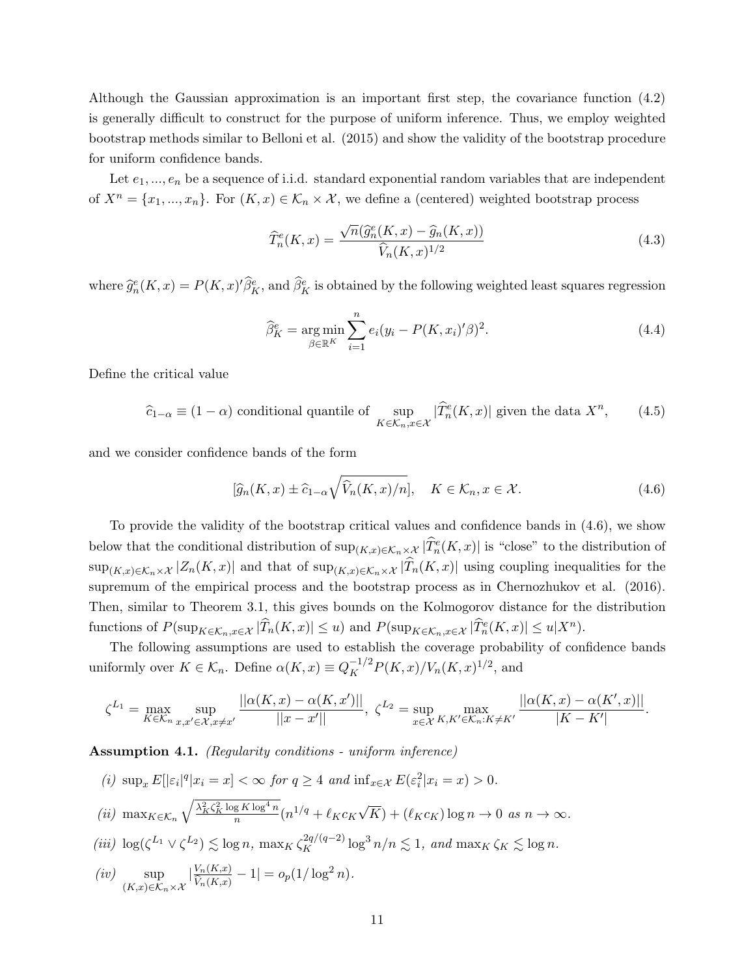Although the Gaussian approximation is an important first step, the covariance function [\(4.2\)](#page-9-1) is generally difficult to construct for the purpose of uniform inference. Thus, we employ weighted bootstrap methods similar to Belloni et al. (2015) and show the validity of the bootstrap procedure for uniform confidence bands.

Let  $e_1, ..., e_n$  be a sequence of i.i.d. standard exponential random variables that are independent of  $X^n = \{x_1, ..., x_n\}$ . For  $(K, x) \in \mathcal{K}_n \times \mathcal{X}$ , we define a (centered) weighted bootstrap process

$$
\widehat{T}_n^e(K,x) = \frac{\sqrt{n}(\widehat{g}_n^e(K,x) - \widehat{g}_n(K,x))}{\widehat{V}_n(K,x)^{1/2}}\tag{4.3}
$$

where  $\hat{g}_n^e(K,x) = P(K,x)'\hat{\beta}_K^e$ , and  $\hat{\beta}_K^e$  is obtained by the following weighted least squares regression

<span id="page-10-3"></span>
$$
\widehat{\beta}_{K}^{e} = \underset{\beta \in \mathbb{R}^{K}}{\arg \min} \sum_{i=1}^{n} e_{i} (y_{i} - P(K, x_{i})' \beta)^{2}.
$$
\n(4.4)

Define the critical value

<span id="page-10-2"></span>
$$
\widehat{c}_{1-\alpha} \equiv (1-\alpha) \text{ conditional quantile of } \sup_{K \in \mathcal{K}_n, x \in \mathcal{X}} |\widehat{T}_n^e(K, x)| \text{ given the data } X^n, \qquad (4.5)
$$

and we consider confidence bands of the form

<span id="page-10-0"></span>
$$
[\widehat{g}_n(K,x) \pm \widehat{c}_{1-\alpha}\sqrt{\widehat{V}_n(K,x)/n}], \quad K \in \mathcal{K}_n, x \in \mathcal{X}.
$$
 (4.6)

To provide the validity of the bootstrap critical values and confidence bands in [\(4.6\)](#page-10-0), we show below that the conditional distribution of  $\sup_{(K,x)\in\mathcal{K}_n\times\mathcal{X}}|\widehat{T}_n^e(K,x)|$  is "close" to the distribution of  $\sup_{(K,x)\in\mathcal{K}_n\times\mathcal{X}}|Z_n(K,x)|$  and that of  $\sup_{(K,x)\in\mathcal{K}_n\times\mathcal{X}}|\widehat{T}_n(K,x)|$  using coupling inequalities for the supremum of the empirical process and the bootstrap process as in Chernozhukov et al.  $(2016)$ . Then, similar to Theorem [3.1,](#page-8-0) this gives bounds on the Kolmogorov distance for the distribution functions of  $P(\sup_{K \in \mathcal{K}_n, x \in \mathcal{X}} |\widehat{T}_n(K, x)| \le u)$  and  $P(\sup_{K \in \mathcal{K}_n, x \in \mathcal{X}} |\widehat{T}_n^e(K, x)| \le u | X^n)$ .

The following assumptions are used to establish the coverage probability of confidence bands uniformly over  $K \in \mathcal{K}_n$ . Define  $\alpha(K, x) \equiv Q_K^{-1/2} P(K, x) / V_n(K, x)^{1/2}$ , and

$$
\zeta^{L_1} = \max_{K \in \mathcal{K}_n} \sup_{x, x' \in \mathcal{X}, x \neq x'} \frac{||\alpha(K, x) - \alpha(K, x')||}{||x - x'||}, \ \zeta^{L_2} = \sup_{x \in \mathcal{X}} \max_{K, K' \in \mathcal{K}_n: K \neq K'} \frac{||\alpha(K, x) - \alpha(K', x)||}{|K - K'|}.
$$

<span id="page-10-1"></span>Assumption 4.1. (Regularity conditions - uniform inference)

- (i)  $\sup_x E[|\varepsilon_i|^q | x_i = x] < \infty$  for  $q \ge 4$  and  $\inf_{x \in \mathcal{X}} E(\varepsilon_i^2 | x_i = x) > 0$ .
- (ii)  $\max_{K \in \mathcal{K}_n} \sqrt{\frac{\lambda_K^2 \zeta_K^2 \log K \log^4 n}{n}} (n^{1/q} + \ell_K c_K \sqrt{\frac{\lambda_K^2 \zeta_K^2 \log K \log^4 n}{n}})$  $K) + (\ell_K c_K) \log n \to 0 \text{ as } n \to \infty.$
- (iii)  $\log(\zeta^{L_1} \vee \zeta^{L_2}) \lesssim \log n$ ,  $\max_K \zeta_K^{2q/(q-2)} \log^3 n/n \lesssim 1$ , and  $\max_K \zeta_K \lesssim \log n$ .
- $(iv)$  sup  $(K, x) \in \mathcal{K}_n \times \mathcal{X}$  $\big|\frac{V_n(K,x)}{\widehat{V}_k(K,x)}\big|$  $\frac{V_n(K,x)}{\widehat{V}_n(K,x)} - 1$  =  $o_p(1/\log^2 n)$ .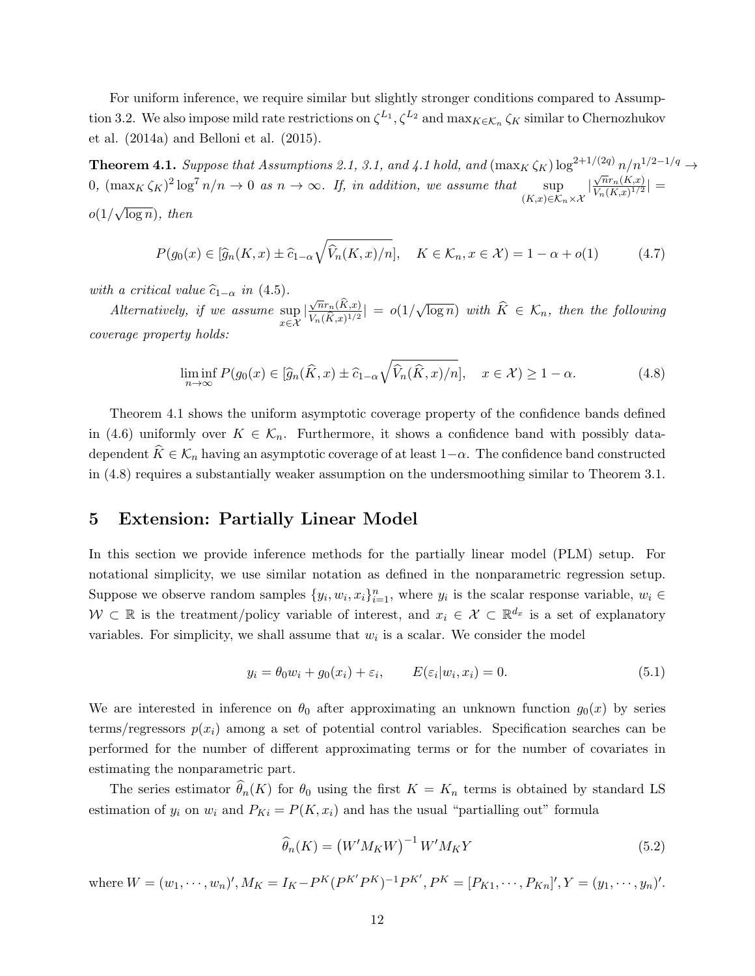For uniform inference, we require similar but slightly stronger conditions compared to Assump-tion [3.2.](#page-7-1) We also impose mild rate restrictions on  $\zeta^{L_1}, \zeta^{L_2}$  and  $\max_{K \in \mathcal{K}_n} \zeta_K$  similar to Chernozhukov et al. (2014a) and Belloni et al. (2015).

<span id="page-11-1"></span>**Theorem [4.1](#page-10-1).** Suppose that Assumptions [2.1,](#page-5-1) [3.1,](#page-7-0) and 4.1 hold, and  $(\max_K \zeta_K) \log^{2+1/(2q)} n/n^{1/2-1/q} \rightarrow$ 0,  $(\max_K \zeta_K)^2 \log^7 n/n \to 0$  as  $n \to \infty$ . If, in addition, we assume that sup  $(K,x)\in\mathcal{K}_n\times\mathcal{X}$ |  $\sqrt{n}r_n(K,x)$  $\frac{\sqrt{n}r_n(\mathbf{A},x)}{V_n(K,x)^{1/2}}\big|=$  $o(1/\sqrt{\log n})$ , then √

$$
P(g_0(x) \in [\widehat{g}_n(K, x) \pm \widehat{c}_{1-\alpha}\sqrt{\widehat{V}_n(K, x)/n}], \quad K \in \mathcal{K}_n, x \in \mathcal{X}) = 1 - \alpha + o(1) \tag{4.7}
$$

with a critical value  $\hat{c}_{1-\alpha}$  in [\(4.5\)](#page-10-2).

Alternatively, if we assume sup x∈X |  $\sqrt{n}r_n(\widehat{K},x)$  $\frac{\sqrt{n}r_n(K,x)}{V_n(\widehat{K},x)^{1/2}}| = o(1/$ √  $\overline{\log n}$ ) with  $\overline{K} \in \mathcal{K}_n$ , then the following coverage property holds:

<span id="page-11-4"></span><span id="page-11-2"></span>
$$
\liminf_{n \to \infty} P(g_0(x) \in [\widehat{g}_n(\widehat{K}, x) \pm \widehat{c}_{1-\alpha}\sqrt{\widehat{V}_n(\widehat{K}, x)/n}], \quad x \in \mathcal{X}) \ge 1 - \alpha. \tag{4.8}
$$

Theorem [4.1](#page-11-1) shows the uniform asymptotic coverage property of the confidence bands defined in [\(4.6\)](#page-10-0) uniformly over  $K \in \mathcal{K}_n$ . Furthermore, it shows a confidence band with possibly datadependent  $\hat{K} \in \mathcal{K}_n$  having an asymptotic coverage of at least  $1-\alpha$ . The confidence band constructed in [\(4.8\)](#page-11-2) requires a substantially weaker assumption on the undersmoothing similar to Theorem [3.1.](#page-8-0)

#### <span id="page-11-0"></span>5 Extension: Partially Linear Model

In this section we provide inference methods for the partially linear model (PLM) setup. For notational simplicity, we use similar notation as defined in the nonparametric regression setup. Suppose we observe random samples  $\{y_i, w_i, x_i\}_{i=1}^n$ , where  $y_i$  is the scalar response variable,  $w_i \in$  $W \subset \mathbb{R}$  is the treatment/policy variable of interest, and  $x_i \in \mathcal{X} \subset \mathbb{R}^{d_x}$  is a set of explanatory variables. For simplicity, we shall assume that  $w_i$  is a scalar. We consider the model

<span id="page-11-3"></span>
$$
y_i = \theta_0 w_i + g_0(x_i) + \varepsilon_i, \qquad E(\varepsilon_i | w_i, x_i) = 0.
$$
\n
$$
(5.1)
$$

We are interested in inference on  $\theta_0$  after approximating an unknown function  $g_0(x)$  by series terms/regressors  $p(x_i)$  among a set of potential control variables. Specification searches can be performed for the number of different approximating terms or for the number of covariates in estimating the nonparametric part.

The series estimator  $\widehat{\theta}_n(K)$  for  $\theta_0$  using the first  $K = K_n$  terms is obtained by standard LS estimation of  $y_i$  on  $w_i$  and  $P_{Ki} = P(K, x_i)$  and has the usual "partialling out" formula

$$
\widehat{\theta}_n(K) = \left(W'M_KW\right)^{-1}W'M_KY\tag{5.2}
$$

where  $W = (w_1, \dots, w_n)'$ ,  $M_K = I_K - P^K (P^{K'}P^{K})^{-1}P^{K'}$ ,  $P^K = [P_{K1}, \dots, P_{Kn}]'$ ,  $Y = (y_1, \dots, y_n)'$ .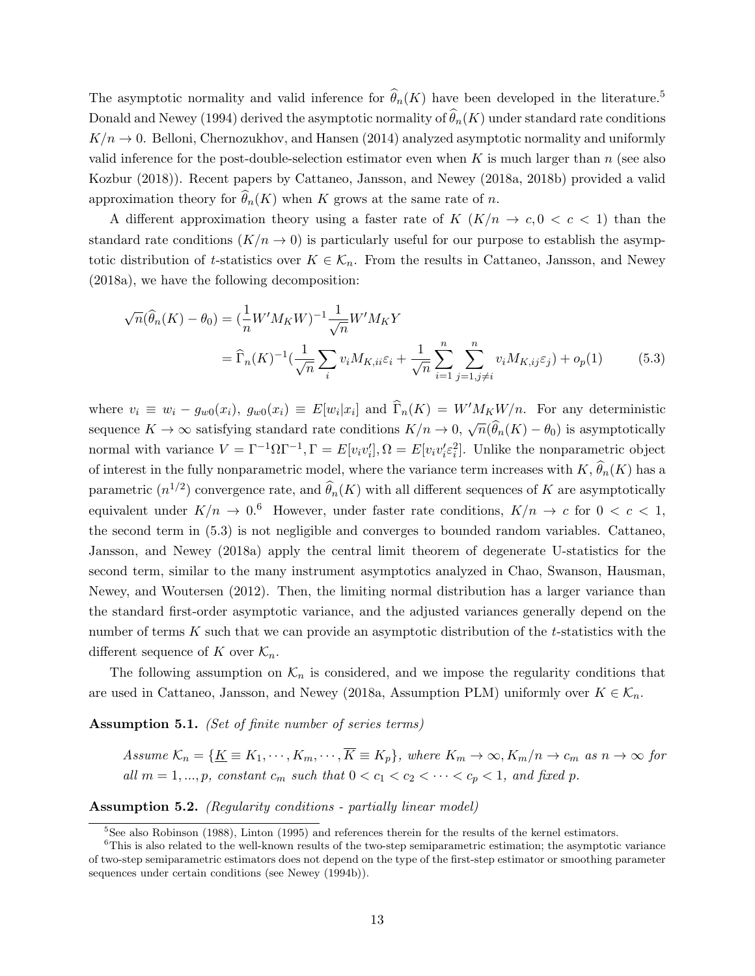The asymptotic normality and valid inference for  $\widehat{\theta}_n(K)$  have been developed in the literature.<sup>[5](#page-12-0)</sup> Donald and Newey (1994) derived the asymptotic normality of  $\widehat{\theta}_n(K)$  under standard rate conditions  $K/n \to 0$ . Belloni, Chernozukhov, and Hansen (2014) analyzed asymptotic normality and uniformly valid inference for the post-double-selection estimator even when K is much larger than  $n$  (see also Kozbur (2018)). Recent papers by Cattaneo, Jansson, and Newey (2018a, 2018b) provided a valid approximation theory for  $\widehat{\theta}_n(K)$  when K grows at the same rate of n.

A different approximation theory using a faster rate of  $K (K/n \rightarrow c, 0 < c < 1)$  than the standard rate conditions  $(K/n \to 0)$  is particularly useful for our purpose to establish the asymptotic distribution of t-statistics over  $K \in \mathcal{K}_n$ . From the results in Cattaneo, Jansson, and Newey (2018a), we have the following decomposition:

<span id="page-12-2"></span>
$$
\sqrt{n}(\widehat{\theta}_n(K) - \theta_0) = \left(\frac{1}{n}W'M_KW\right)^{-1}\frac{1}{\sqrt{n}}W'M_KY
$$
  

$$
= \widehat{\Gamma}_n(K)^{-1}\left(\frac{1}{\sqrt{n}}\sum_i v_i M_{K,ii}\varepsilon_i + \frac{1}{\sqrt{n}}\sum_{i=1}^n \sum_{j=1,j\neq i}^n v_i M_{K,ij}\varepsilon_j\right) + o_p(1) \tag{5.3}
$$

where  $v_i \equiv w_i - g_{w0}(x_i)$ ,  $g_{w0}(x_i) \equiv E[w_i|x_i]$  and  $\widehat{\Gamma}_n(K) = W'M_KW/n$ . For any deterministic sequence  $K \to \infty$  satisfying standard rate conditions  $K/n \to 0$ ,  $\sqrt{n}(\widehat{\theta}_n(K) - \theta_0)$  is asymptotically normal with variance  $V = \Gamma^{-1} \Omega \Gamma^{-1}$ ,  $\Gamma = E[v_i v_i']$ ,  $\Omega = E[v_i v_i' \varepsilon_i^2]$ . Unlike the nonparametric object of interest in the fully nonparametric model, where the variance term increases with  $K, \hat{\theta}_n(K)$  has a parametric  $(n^{1/2})$  convergence rate, and  $\widehat{\theta}_n(K)$  with all different sequences of K are asymptotically equivalent under  $K/n \to 0.6$  $K/n \to 0.6$  However, under faster rate conditions,  $K/n \to c$  for  $0 < c < 1$ , the second term in [\(5.3\)](#page-12-2) is not negligible and converges to bounded random variables. Cattaneo, Jansson, and Newey (2018a) apply the central limit theorem of degenerate U-statistics for the second term, similar to the many instrument asymptotics analyzed in Chao, Swanson, Hausman, Newey, and Woutersen (2012). Then, the limiting normal distribution has a larger variance than the standard first-order asymptotic variance, and the adjusted variances generally depend on the number of terms  $K$  such that we can provide an asymptotic distribution of the  $t$ -statistics with the different sequence of K over  $\mathcal{K}_n$ .

The following assumption on  $\mathcal{K}_n$  is considered, and we impose the regularity conditions that are used in Cattaneo, Jansson, and Newey (2018a, Assumption PLM) uniformly over  $K \in \mathcal{K}_n$ .

<span id="page-12-4"></span>Assumption 5.1. (Set of finite number of series terms)

Assume  $\mathcal{K}_n = \{K \equiv K_1, \cdots, K_m, \cdots, \overline{K} \equiv K_p\}$ , where  $K_m \to \infty$ ,  $K_m/n \to c_m$  as  $n \to \infty$  for all  $m = 1, ..., p$ , constant  $c_m$  such that  $0 < c_1 < c_2 < \cdots < c_p < 1$ , and fixed p.

<span id="page-12-3"></span>Assumption 5.2. (Regularity conditions - partially linear model)

<span id="page-12-1"></span><span id="page-12-0"></span> $5$ See also Robinson (1988), Linton (1995) and references therein for the results of the kernel estimators.

 ${}^{6}$ This is also related to the well-known results of the two-step semiparametric estimation; the asymptotic variance of two-step semiparametric estimators does not depend on the type of the first-step estimator or smoothing parameter sequences under certain conditions (see Newey (1994b)).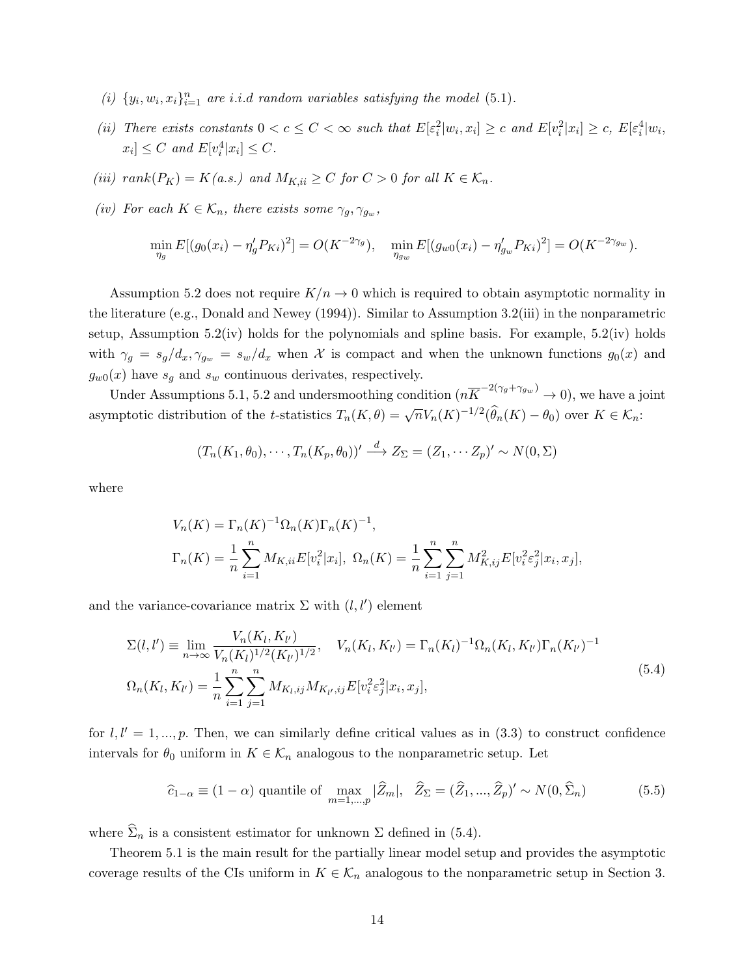- (i)  $\{y_i, w_i, x_i\}_{i=1}^n$  are i.i.d random variables satisfying the model [\(5.1\)](#page-11-3).
- (ii) There exists constants  $0 < c \leq C < \infty$  such that  $E[\varepsilon_i^2 | w_i, x_i] \geq c$  and  $E[v_i^2 | x_i] \geq c$ ,  $E[\varepsilon_i^4 | w_i, x_i]$  $x_i] \leq C$  and  $E[v_i^4 | x_i] \leq C$ .
- (iii)  $rank(P_K) = K(a.s.)$  and  $M_{K,ii} \ge C$  for  $C > 0$  for all  $K \in \mathcal{K}_n$ .
- (iv) For each  $K \in \mathcal{K}_n$ , there exists some  $\gamma_g, \gamma_{g_w}$ ,

$$
\min_{\eta_g} E[(g_0(x_i) - \eta'_g P_{Ki})^2] = O(K^{-2\gamma_g}), \quad \min_{\eta_{gw}} E[(g_{w0}(x_i) - \eta'_{gw} P_{Ki})^2] = O(K^{-2\gamma_{gw}}).
$$

Assumption [5.2](#page-12-3) does not require  $K/n \to 0$  which is required to obtain asymptotic normality in the literature (e.g., Donald and Newey (1994)). Similar to Assumption [3.2\(](#page-7-1)iii) in the nonparametric setup, Assumption  $5.2(iv)$  $5.2(iv)$  holds for the polynomials and spline basis. For example,  $5.2(iv)$  holds with  $\gamma_g = s_g/d_x, \gamma_{g_w} = s_w/d_x$  when X is compact and when the unknown functions  $g_0(x)$  and  $g_{w0}(x)$  have  $s_g$  and  $s_w$  continuous derivates, respectively.

Under Assumptions [5.1,](#page-12-4) [5.2](#page-12-3) and undersmoothing condition  $(n\overline{K}^{-2(\gamma_g + \gamma_{gw})} \to 0)$ , we have a joint asymptotic distribution of the t-statistics  $T_n(K, \theta) = \sqrt{n} V_n(K)^{-1/2} (\widehat{\theta}_n(K) - \theta_0)$  over  $K \in \mathcal{K}_n$ :

$$
(T_n(K_1, \theta_0), \cdots, T_n(K_p, \theta_0))' \stackrel{d}{\longrightarrow} Z_{\Sigma} = (Z_1, \cdots Z_p)' \sim N(0, \Sigma)
$$

where

<span id="page-13-0"></span>
$$
V_n(K) = \Gamma_n(K)^{-1} \Omega_n(K) \Gamma_n(K)^{-1},
$$
  
\n
$$
\Gamma_n(K) = \frac{1}{n} \sum_{i=1}^n M_{K,ii} E[v_i^2 | x_i], \ \Omega_n(K) = \frac{1}{n} \sum_{i=1}^n \sum_{j=1}^n M_{K,ij}^2 E[v_i^2 \varepsilon_j^2 | x_i, x_j],
$$

and the variance-covariance matrix  $\Sigma$  with  $(l, l')$  element

$$
\Sigma(l, l') \equiv \lim_{n \to \infty} \frac{V_n(K_l, K_{l'})}{V_n(K_l)^{1/2}(K_{l'})^{1/2}}, \quad V_n(K_l, K_{l'}) = \Gamma_n(K_l)^{-1} \Omega_n(K_l, K_{l'}) \Gamma_n(K_{l'})^{-1}
$$
\n
$$
\Omega_n(K_l, K_{l'}) = \frac{1}{n} \sum_{i=1}^n \sum_{j=1}^n M_{K_l, ij} M_{K_{l'}, ij} E[v_i^2 \varepsilon_j^2 | x_i, x_j],
$$
\n(5.4)

for  $l, l' = 1, ..., p$ . Then, we can similarly define critical values as in [\(3.3\)](#page-7-2) to construct confidence intervals for  $\theta_0$  uniform in  $K \in \mathcal{K}_n$  analogous to the nonparametric setup. Let

<span id="page-13-1"></span>
$$
\widehat{c}_{1-\alpha} \equiv (1-\alpha) \text{ quantile of } \max_{m=1,\dots,p} |\widehat{Z}_m|, \quad \widehat{Z}_{\Sigma} = (\widehat{Z}_1, \dots, \widehat{Z}_p)' \sim N(0, \widehat{\Sigma}_n)
$$
(5.5)

where  $\Sigma_n$  is a consistent estimator for unknown  $\Sigma$  defined in [\(5.4\)](#page-13-0).

Theorem [5.1](#page-14-1) is the main result for the partially linear model setup and provides the asymptotic coverage results of the CIs uniform in  $K \in \mathcal{K}_n$  analogous to the nonparametric setup in Section [3.](#page-6-0)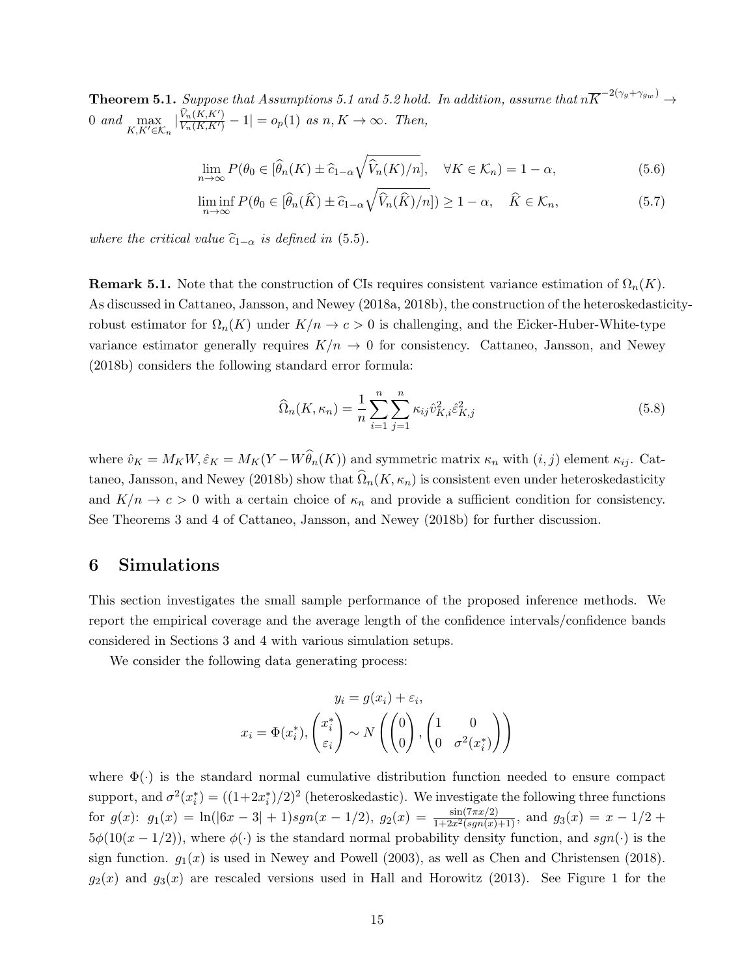<span id="page-14-1"></span>**Theorem [5.1](#page-12-4).** Suppose that Assumptions 5.1 and [5.2](#page-12-3) hold. In addition, assume that  $n\overline{K}^{-2(\gamma_g+\gamma_{gw})} \rightarrow$ 0 and  $\max_{K,K'\in\mathcal{K}_n} |\frac{\widehat{V}_n(K,K')}{V_n(K,K')} - 1| = o_p(1)$  as  $n, K \to \infty$ . Then,

$$
\lim_{n \to \infty} P(\theta_0 \in [\widehat{\theta}_n(K) \pm \widehat{c}_{1-\alpha} \sqrt{\widehat{V}_n(K)/n}], \quad \forall K \in \mathcal{K}_n) = 1 - \alpha,
$$
\n(5.6)

$$
\liminf_{n \to \infty} P(\theta_0 \in [\widehat{\theta}_n(\widehat{K}) \pm \widehat{c}_{1-\alpha} \sqrt{\widehat{V}_n(\widehat{K})/n}]) \ge 1 - \alpha, \quad \widehat{K} \in \mathcal{K}_n,
$$
\n(5.7)

where the critical value  $\widehat{c}_{1-\alpha}$  is defined in [\(5.5\)](#page-13-1).

**Remark 5.1.** Note that the construction of CIs requires consistent variance estimation of  $\Omega_n(K)$ . As discussed in Cattaneo, Jansson, and Newey (2018a, 2018b), the construction of the heteroskedasticityrobust estimator for  $\Omega_n(K)$  under  $K/n \to c > 0$  is challenging, and the Eicker-Huber-White-type variance estimator generally requires  $K/n \to 0$  for consistency. Cattaneo, Jansson, and Newey (2018b) considers the following standard error formula:

<span id="page-14-3"></span><span id="page-14-2"></span>
$$
\widehat{\Omega}_n(K,\kappa_n) = \frac{1}{n} \sum_{i=1}^n \sum_{j=1}^n \kappa_{ij} \widehat{v}_{K,i}^2 \widehat{\varepsilon}_{K,j}^2
$$
\n(5.8)

where  $\hat{v}_K = M_K W, \hat{\varepsilon}_K = M_K (Y - W \hat{\theta}_n(K))$  and symmetric matrix  $\kappa_n$  with  $(i, j)$  element  $\kappa_{ij}$ . Cattaneo, Jansson, and Newey (2018b) show that  $\widehat{\Omega}_n(K, \kappa_n)$  is consistent even under heteroskedasticity and  $K/n \to c > 0$  with a certain choice of  $\kappa_n$  and provide a sufficient condition for consistency. See Theorems 3 and 4 of Cattaneo, Jansson, and Newey (2018b) for further discussion.

#### <span id="page-14-0"></span>6 Simulations

This section investigates the small sample performance of the proposed inference methods. We report the empirical coverage and the average length of the confidence intervals/confidence bands considered in Sections [3](#page-6-0) and [4](#page-9-0) with various simulation setups.

We consider the following data generating process:

$$
y_i = g(x_i) + \varepsilon_i,
$$
  

$$
x_i = \Phi(x_i^*), \begin{pmatrix} x_i^* \\ \varepsilon_i \end{pmatrix} \sim N\left(\begin{pmatrix} 0 \\ 0 \end{pmatrix}, \begin{pmatrix} 1 & 0 \\ 0 & \sigma^2(x_i^*) \end{pmatrix}\right)
$$

where  $\Phi(\cdot)$  is the standard normal cumulative distribution function needed to ensure compact support, and  $\sigma^2(x_i^*) = ((1+2x_i^*)/2)^2$  (heteroskedastic). We investigate the following three functions  $i^{j} = (1 + 2x_{i})$ for  $g(x)$ :  $g_1(x) = \ln(|6x - 3| + 1)sgn(x - 1/2)$ ,  $g_2(x) = \frac{\sin(7\pi x/2)}{1 + 2x^2(sgn(x) + 1)}$ , and  $g_3(x) = x - 1/2 + 1$  $5\phi(10(x-1/2))$ , where  $\phi(\cdot)$  is the standard normal probability density function, and  $sgn(\cdot)$  is the sign function.  $g_1(x)$  is used in Newey and Powell (2003), as well as Chen and Christensen (2018).  $g_2(x)$  and  $g_3(x)$  are rescaled versions used in Hall and Horowitz (20[1](#page-33-1)3). See Figure 1 for the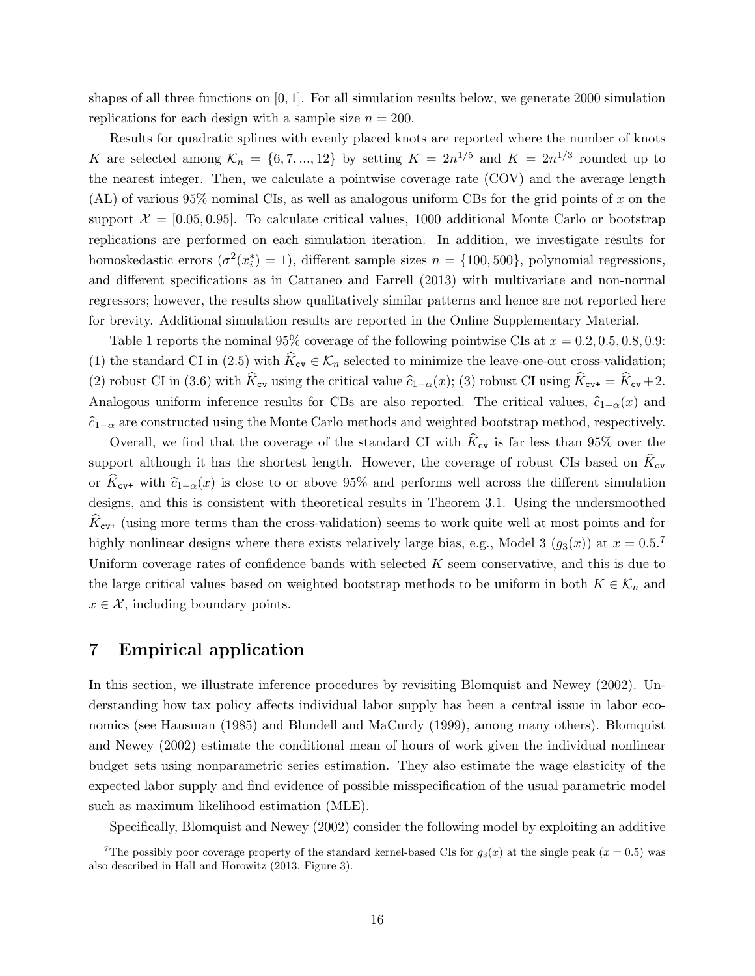shapes of all three functions on  $[0, 1]$ . For all simulation results below, we generate 2000 simulation replications for each design with a sample size  $n = 200$ .

Results for quadratic splines with evenly placed knots are reported where the number of knots K are selected among  $\mathcal{K}_n = \{6, 7, ..., 12\}$  by setting  $\underline{K} = 2n^{1/5}$  and  $\overline{K} = 2n^{1/3}$  rounded up to the nearest integer. Then, we calculate a pointwise coverage rate (COV) and the average length  $(AL)$  of various 95% nominal CIs, as well as analogous uniform CBs for the grid points of x on the support  $\mathcal{X} = [0.05, 0.95]$ . To calculate critical values, 1000 additional Monte Carlo or bootstrap replications are performed on each simulation iteration. In addition, we investigate results for homoskedastic errors  $(\sigma^2(x_i^*) = 1)$ , different sample sizes  $n = \{100, 500\}$ , polynomial regressions, and different specifications as in Cattaneo and Farrell (2013) with multivariate and non-normal regressors; however, the results show qualitatively similar patterns and hence are not reported here for brevity. Additional simulation results are reported in the Online Supplementary Material.

Table [1](#page-34-0) reports the nominal 95% coverage of the following pointwise CIs at  $x = 0.2, 0.5, 0.8, 0.9$ : (1) the standard CI in [\(2.5\)](#page-5-0) with  $\widehat{K}_{c\mathbf{v}} \in \mathcal{K}_n$  selected to minimize the leave-one-out cross-validation; (2) robust CI in [\(3.6\)](#page-8-1) with  $\widehat{K}_{c\mathbf{v}}$  using the critical value  $\widehat{c}_{1-\alpha}(x)$ ; (3) robust CI using  $\widehat{K}_{c\mathbf{v}} = \widehat{K}_{c\mathbf{v}} + 2$ . Analogous uniform inference results for CBs are also reported. The critical values,  $\hat{c}_{1-\alpha}(x)$  and  $\hat{c}_{1-\alpha}$  are constructed using the Monte Carlo methods and weighted bootstrap method, respectively.

Overall, we find that the coverage of the standard CI with  $\hat{K}_{c\mathbf{v}}$  is far less than 95% over the support although it has the shortest length. However, the coverage of robust CIs based on  $\widehat{K}_{c,v}$ or  $\widehat{K}_{c\mathbf{v}+}$  with  $\widehat{c}_{1-\alpha}(x)$  is close to or above 95% and performs well across the different simulation designs, and this is consistent with theoretical results in Theorem [3.1.](#page-8-0) Using the undersmoothed  $\tilde{K}_{\text{cv+}}$  (using more terms than the cross-validation) seems to work quite well at most points and for highly nonlinear designs where there exists relatively large bias, e.g., Model 3 ( $g_3(x)$ ) at  $x = 0.5$ .<sup>[7](#page-15-1)</sup> Uniform coverage rates of confidence bands with selected  $K$  seem conservative, and this is due to the large critical values based on weighted bootstrap methods to be uniform in both  $K \in \mathcal{K}_n$  and  $x \in \mathcal{X}$ , including boundary points.

## <span id="page-15-0"></span>7 Empirical application

In this section, we illustrate inference procedures by revisiting Blomquist and Newey (2002). Understanding how tax policy affects individual labor supply has been a central issue in labor economics (see Hausman (1985) and Blundell and MaCurdy (1999), among many others). Blomquist and Newey (2002) estimate the conditional mean of hours of work given the individual nonlinear budget sets using nonparametric series estimation. They also estimate the wage elasticity of the expected labor supply and find evidence of possible misspecification of the usual parametric model such as maximum likelihood estimation (MLE).

Specifically, Blomquist and Newey (2002) consider the following model by exploiting an additive

<span id="page-15-1"></span><sup>&</sup>lt;sup>7</sup>The possibly poor coverage property of the standard kernel-based CIs for  $g_3(x)$  at the single peak (x = 0.5) was also described in Hall and Horowitz (2013, Figure 3).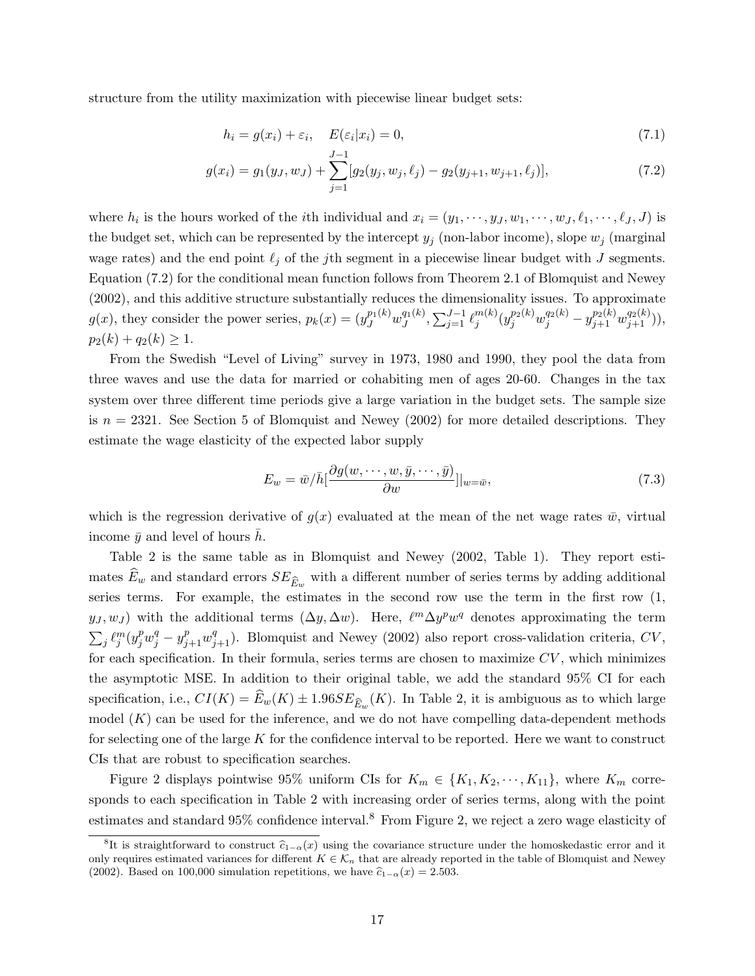structure from the utility maximization with piecewise linear budget sets:

<span id="page-16-0"></span>
$$
h_i = g(x_i) + \varepsilon_i, \quad E(\varepsilon_i | x_i) = 0,
$$
\n(7.1)

$$
g(x_i) = g_1(y_J, w_J) + \sum_{j=1}^{J-1} [g_2(y_j, w_j, \ell_j) - g_2(y_{j+1}, w_{j+1}, \ell_j)],
$$
\n(7.2)

where  $h_i$  is the hours worked of the *i*th individual and  $x_i = (y_1, \dots, y_J, w_1, \dots, w_J, \ell_1, \dots, \ell_J, J)$  is the budget set, which can be represented by the intercept  $y_j$  (non-labor income), slope  $w_j$  (marginal wage rates) and the end point  $\ell_j$  of the jth segment in a piecewise linear budget with J segments. Equation [\(7.2\)](#page-16-0) for the conditional mean function follows from Theorem 2.1 of Blomquist and Newey (2002), and this additive structure substantially reduces the dimensionality issues. To approximate  $g(x)$ , they consider the power series,  $p_k(x) = (y_J^{p_1(k)} w_J^{q_1(k)})$  $J^{q_1(k)}, \sum_{j=1}^{J-1} \ell_j^{m(k)}$  $j^{m(k)}(y_{j}^{p_{2}(k)}w_{j}^{q_{2}(k)}-y_{j+1}^{p_{2}(k)}w_{j+1}^{q_{2}(k)})),$  $p_2(k) + q_2(k) \geq 1.$ 

From the Swedish "Level of Living" survey in 1973, 1980 and 1990, they pool the data from three waves and use the data for married or cohabiting men of ages 20-60. Changes in the tax system over three different time periods give a large variation in the budget sets. The sample size is  $n = 2321$ . See Section 5 of Blomquist and Newey (2002) for more detailed descriptions. They estimate the wage elasticity of the expected labor supply

$$
E_w = \bar{w}/\bar{h} \left[ \frac{\partial g(w, \cdots, w, \bar{y}, \cdots, \bar{y})}{\partial w} \right] |_{w = \bar{w}},\tag{7.3}
$$

which is the regression derivative of  $q(x)$  evaluated at the mean of the net wage rates  $\bar{w}$ , virtual income  $\bar{y}$  and level of hours h.

Table [2](#page-35-0) is the same table as in Blomquist and Newey (2002, Table 1). They report estimates  $E_w$  and standard errors  $SE_{\widehat{E}_w}$  with a different number of series terms by adding additional series terms. For example, the estimates in the second row use the term in the first row  $(1, 1)$  $y_J, w_J$ ) with the additional terms  $(\Delta y, \Delta w)$ . Here,  $\ell^m \Delta y^p w^q$  denotes approximating the term  $\sum_j \ell_j^m (y_j^p w_j^q - y_{j+1}^p w_{j+1}^q)$ . Blomquist and Newey (2002) also report cross-validation criteria, CV, for each specification. In their formula, series terms are chosen to maximize  $CV$ , which minimizes the asymptotic MSE. In addition to their original table, we add the standard 95% CI for each specification, i.e.,  $CI(K) = E_w(K) \pm 1.96SE_{\widehat{E}_w}(K)$ . In Table [2,](#page-35-0) it is ambiguous as to which large model  $(K)$  can be used for the inference, and we do not have compelling data-dependent methods for selecting one of the large  $K$  for the confidence interval to be reported. Here we want to construct CIs that are robust to specification searches.

Figure [2](#page-36-0) displays pointwise 95% uniform CIs for  $K_m \in \{K_1, K_2, \dots, K_{11}\}$ , where  $K_m$  corresponds to each specification in Table [2](#page-35-0) with increasing order of series terms, along with the point estimates and standard 95% confidence interval.<sup>[8](#page-16-1)</sup> From Figure [2,](#page-36-0) we reject a zero wage elasticity of

<span id="page-16-1"></span><sup>&</sup>lt;sup>8</sup>It is straightforward to construct  $\hat{c}_{1-\alpha}(x)$  using the covariance structure under the homoskedastic error and it only requires estimated variances for different  $K \in \mathcal{K}_n$  that are already reported in the table of Blomquist and Newey (2002). Based on 100,000 simulation repetitions, we have  $\hat{c}_{1-\alpha}(x) = 2.503$ .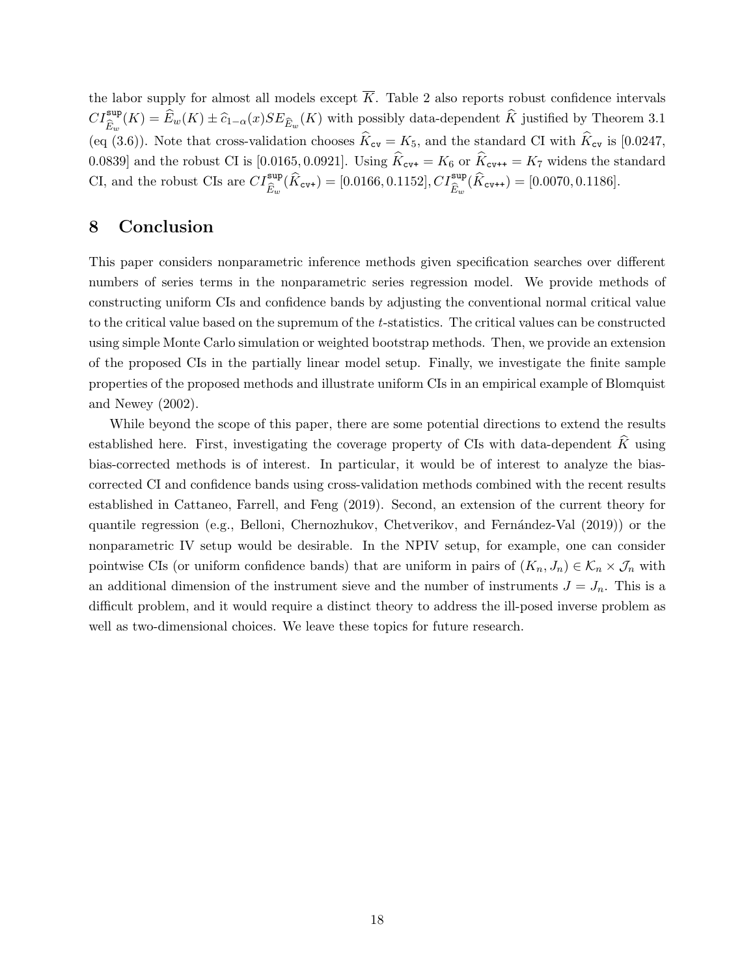the labor supply for almost all models except  $\overline{K}$ . Table [2](#page-35-0) also reports robust confidence intervals  $CI_{\widehat{E}_w}^{\text{sup}}(K) = \widehat{E}_w(K) \pm \widehat{c}_{1-\alpha}(x) SE_{\widehat{E}_w}(K)$  with possibly data-dependent  $\widehat{K}$  justified by Theorem [3.1](#page-8-0)  $E_w$ (eq [\(3.6\)](#page-8-1)). Note that cross-validation chooses  $K_{\text{cv}} = K_5$ , and the standard CI with  $K_{\text{cv}}$  is [0.0247, 0.0839] and the robust CI is [0.0165, 0.0921]. Using  $\widehat{K}_{\text{cv+}} = K_6$  or  $\widehat{K}_{\text{cv++}} = K_7$  widens the standard CI, and the robust CIs are  $CI^{\text{sup}}_{\widehat{\sigma}}$  $\mathcal{E}_{\hat{E}_{w}}^{sup}(\hat{K}_{\text{cv+}}) = [0.0166, 0.1152], CI_{\hat{E}_{w}}^{sup}(\hat{K}_{\text{cv++}}) = [0.0070, 0.1186].$ 

### <span id="page-17-0"></span>8 Conclusion

This paper considers nonparametric inference methods given specification searches over different numbers of series terms in the nonparametric series regression model. We provide methods of constructing uniform CIs and confidence bands by adjusting the conventional normal critical value to the critical value based on the supremum of the t-statistics. The critical values can be constructed using simple Monte Carlo simulation or weighted bootstrap methods. Then, we provide an extension of the proposed CIs in the partially linear model setup. Finally, we investigate the finite sample properties of the proposed methods and illustrate uniform CIs in an empirical example of Blomquist and Newey (2002).

While beyond the scope of this paper, there are some potential directions to extend the results established here. First, investigating the coverage property of CIs with data-dependent  $\hat{K}$  using bias-corrected methods is of interest. In particular, it would be of interest to analyze the biascorrected CI and confidence bands using cross-validation methods combined with the recent results established in Cattaneo, Farrell, and Feng (2019). Second, an extension of the current theory for quantile regression (e.g., Belloni, Chernozhukov, Chetverikov, and Fernández-Val (2019)) or the nonparametric IV setup would be desirable. In the NPIV setup, for example, one can consider pointwise CIs (or uniform confidence bands) that are uniform in pairs of  $(K_n, J_n) \in \mathcal{K}_n \times \mathcal{J}_n$  with an additional dimension of the instrument sieve and the number of instruments  $J = J_n$ . This is a difficult problem, and it would require a distinct theory to address the ill-posed inverse problem as well as two-dimensional choices. We leave these topics for future research.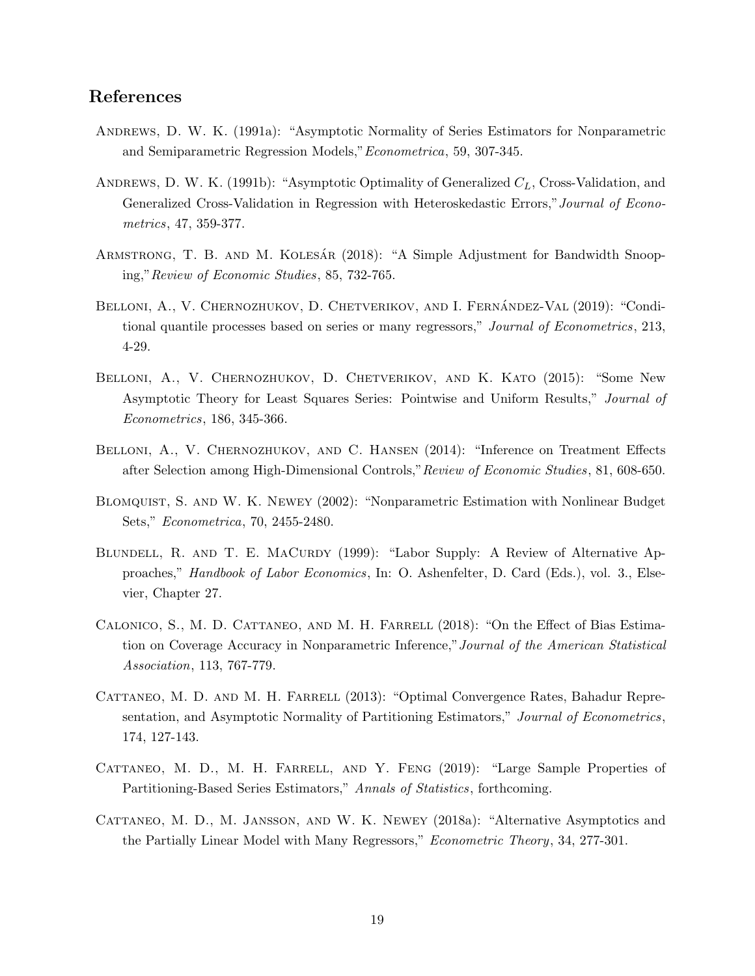## References

- Andrews, D. W. K. (1991a): "Asymptotic Normality of Series Estimators for Nonparametric and Semiparametric Regression Models,"Econometrica, 59, 307-345.
- ANDREWS, D. W. K. (1991b): "Asymptotic Optimality of Generalized  $C_L$ , Cross-Validation, and Generalized Cross-Validation in Regression with Heteroskedastic Errors," Journal of Econometrics, 47, 359-377.
- ARMSTRONG, T. B. AND M. KOLESÁR (2018): "A Simple Adjustment for Bandwidth Snooping,"Review of Economic Studies, 85, 732-765.
- BELLONI, A., V. CHERNOZHUKOV, D. CHETVERIKOV, AND I. FERNÁNDEZ-VAL (2019): "Conditional quantile processes based on series or many regressors," Journal of Econometrics, 213, 4-29.
- Belloni, A., V. Chernozhukov, D. Chetverikov, and K. Kato (2015): "Some New Asymptotic Theory for Least Squares Series: Pointwise and Uniform Results," Journal of Econometrics, 186, 345-366.
- BELLONI, A., V. CHERNOZHUKOV, AND C. HANSEN (2014): "Inference on Treatment Effects after Selection among High-Dimensional Controls,"Review of Economic Studies, 81, 608-650.
- Blomquist, S. and W. K. Newey (2002): "Nonparametric Estimation with Nonlinear Budget Sets," Econometrica, 70, 2455-2480.
- BLUNDELL, R. AND T. E. MACURDY (1999): "Labor Supply: A Review of Alternative Approaches," Handbook of Labor Economics, In: O. Ashenfelter, D. Card (Eds.), vol. 3., Elsevier, Chapter 27.
- Calonico, S., M. D. Cattaneo, and M. H. Farrell (2018): "On the Effect of Bias Estimation on Coverage Accuracy in Nonparametric Inference,"Journal of the American Statistical Association, 113, 767-779.
- CATTANEO, M. D. AND M. H. FARRELL (2013): "Optimal Convergence Rates, Bahadur Representation, and Asymptotic Normality of Partitioning Estimators," Journal of Econometrics, 174, 127-143.
- Cattaneo, M. D., M. H. Farrell, and Y. Feng (2019): "Large Sample Properties of Partitioning-Based Series Estimators," Annals of Statistics, forthcoming.
- Cattaneo, M. D., M. Jansson, and W. K. Newey (2018a): "Alternative Asymptotics and the Partially Linear Model with Many Regressors," Econometric Theory, 34, 277-301.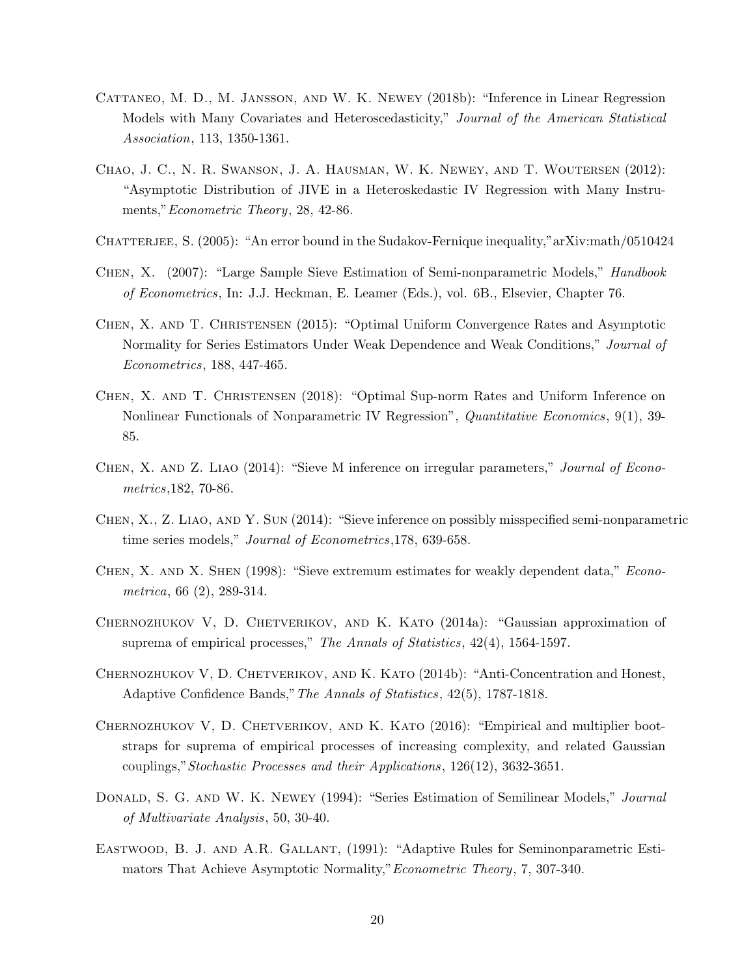- Cattaneo, M. D., M. Jansson, and W. K. Newey (2018b): "Inference in Linear Regression Models with Many Covariates and Heteroscedasticity," Journal of the American Statistical Association, 113, 1350-1361.
- Chao, J. C., N. R. Swanson, J. A. Hausman, W. K. Newey, and T. Woutersen (2012): "Asymptotic Distribution of JIVE in a Heteroskedastic IV Regression with Many Instruments,"Econometric Theory, 28, 42-86.
- CHATTERJEE, S. (2005): "An error bound in the Sudakov-Fernique inequality,"arXiv:math/0510424
- Chen, X. (2007): "Large Sample Sieve Estimation of Semi-nonparametric Models," Handbook of Econometrics, In: J.J. Heckman, E. Leamer (Eds.), vol. 6B., Elsevier, Chapter 76.
- Chen, X. and T. Christensen (2015): "Optimal Uniform Convergence Rates and Asymptotic Normality for Series Estimators Under Weak Dependence and Weak Conditions," Journal of Econometrics, 188, 447-465.
- Chen, X. and T. Christensen (2018): "Optimal Sup-norm Rates and Uniform Inference on Nonlinear Functionals of Nonparametric IV Regression", Quantitative Economics, 9(1), 39- 85.
- CHEN, X. AND Z. LIAO (2014): "Sieve M inference on irregular parameters," Journal of Econometrics,182, 70-86.
- Chen, X., Z. Liao, and Y. Sun (2014): "Sieve inference on possibly misspecified semi-nonparametric time series models," Journal of Econometrics,178, 639-658.
- CHEN, X. AND X. SHEN (1998): "Sieve extremum estimates for weakly dependent data," *Econo*metrica, 66 (2), 289-314.
- CHERNOZHUKOV V, D. CHETVERIKOV, AND K. KATO (2014a): "Gaussian approximation of suprema of empirical processes," The Annals of Statistics, 42(4), 1564-1597.
- CHERNOZHUKOV V, D. CHETVERIKOV, AND K. KATO (2014b): "Anti-Concentration and Honest, Adaptive Confidence Bands,"The Annals of Statistics, 42(5), 1787-1818.
- CHERNOZHUKOV V, D. CHETVERIKOV, AND K. KATO (2016): "Empirical and multiplier bootstraps for suprema of empirical processes of increasing complexity, and related Gaussian couplings,"Stochastic Processes and their Applications, 126(12), 3632-3651.
- DONALD, S. G. AND W. K. NEWEY (1994): "Series Estimation of Semilinear Models," Journal of Multivariate Analysis, 50, 30-40.
- EASTWOOD, B. J. AND A.R. GALLANT, (1991): "Adaptive Rules for Seminonparametric Estimators That Achieve Asymptotic Normality,"Econometric Theory, 7, 307-340.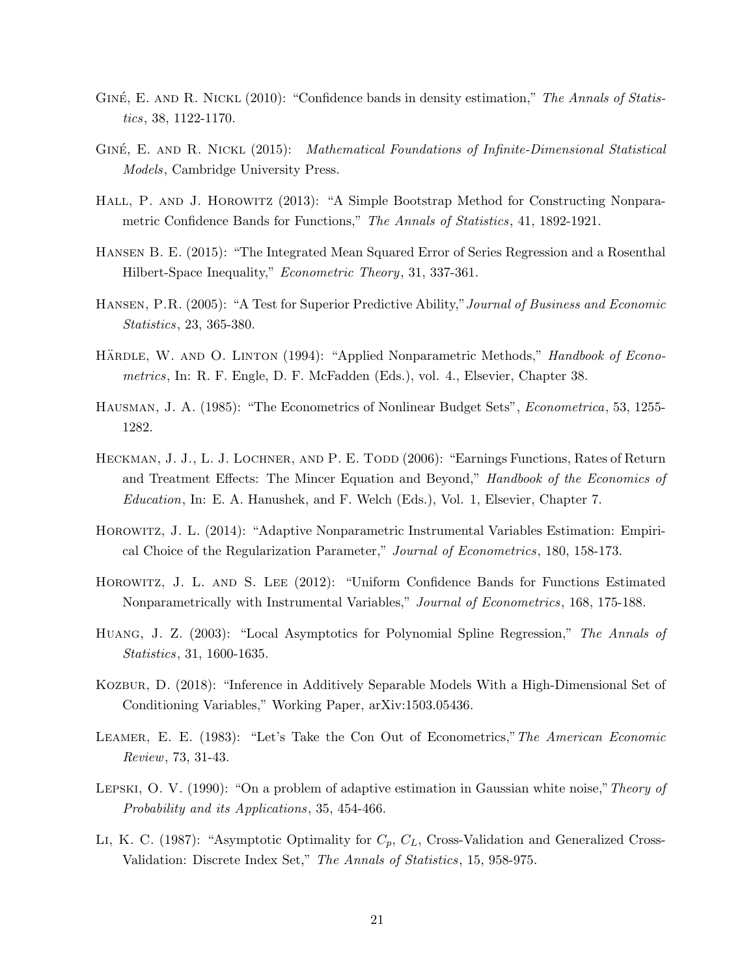- GINÉ, E. AND R. NICKL (2010): "Confidence bands in density estimation," The Annals of Statistics, 38, 1122-1170.
- GINÉ, E. AND R. NICKL (2015): Mathematical Foundations of Infinite-Dimensional Statistical Models, Cambridge University Press.
- HALL, P. AND J. HOROWITZ (2013): "A Simple Bootstrap Method for Constructing Nonparametric Confidence Bands for Functions," The Annals of Statistics, 41, 1892-1921.
- Hansen B. E. (2015): "The Integrated Mean Squared Error of Series Regression and a Rosenthal Hilbert-Space Inequality," Econometric Theory, 31, 337-361.
- HANSEN, P.R. (2005): "A Test for Superior Predictive Ability," Journal of Business and Economic Statistics, 23, 365-380.
- HÄRDLE, W. AND O. LINTON (1994): "Applied Nonparametric Methods," Handbook of Econometrics, In: R. F. Engle, D. F. McFadden (Eds.), vol. 4., Elsevier, Chapter 38.
- Hausman, J. A. (1985): "The Econometrics of Nonlinear Budget Sets", Econometrica, 53, 1255- 1282.
- HECKMAN, J. J., L. J. LOCHNER, AND P. E. TODD (2006): "Earnings Functions, Rates of Return and Treatment Effects: The Mincer Equation and Beyond," Handbook of the Economics of Education, In: E. A. Hanushek, and F. Welch (Eds.), Vol. 1, Elsevier, Chapter 7.
- Horowitz, J. L. (2014): "Adaptive Nonparametric Instrumental Variables Estimation: Empirical Choice of the Regularization Parameter," Journal of Econometrics, 180, 158-173.
- HOROWITZ, J. L. AND S. LEE (2012): "Uniform Confidence Bands for Functions Estimated Nonparametrically with Instrumental Variables," Journal of Econometrics, 168, 175-188.
- HUANG, J. Z. (2003): "Local Asymptotics for Polynomial Spline Regression," The Annals of Statistics, 31, 1600-1635.
- Kozbur, D. (2018): "Inference in Additively Separable Models With a High-Dimensional Set of Conditioning Variables," Working Paper, arXiv:1503.05436.
- LEAMER, E. E. (1983): "Let's Take the Con Out of Econometrics," The American Economic Review, 73, 31-43.
- LEPSKI, O. V. (1990): "On a problem of adaptive estimation in Gaussian white noise," Theory of Probability and its Applications, 35, 454-466.
- LI, K. C. (1987): "Asymptotic Optimality for  $C_p$ ,  $C_L$ , Cross-Validation and Generalized Cross-Validation: Discrete Index Set," The Annals of Statistics, 15, 958-975.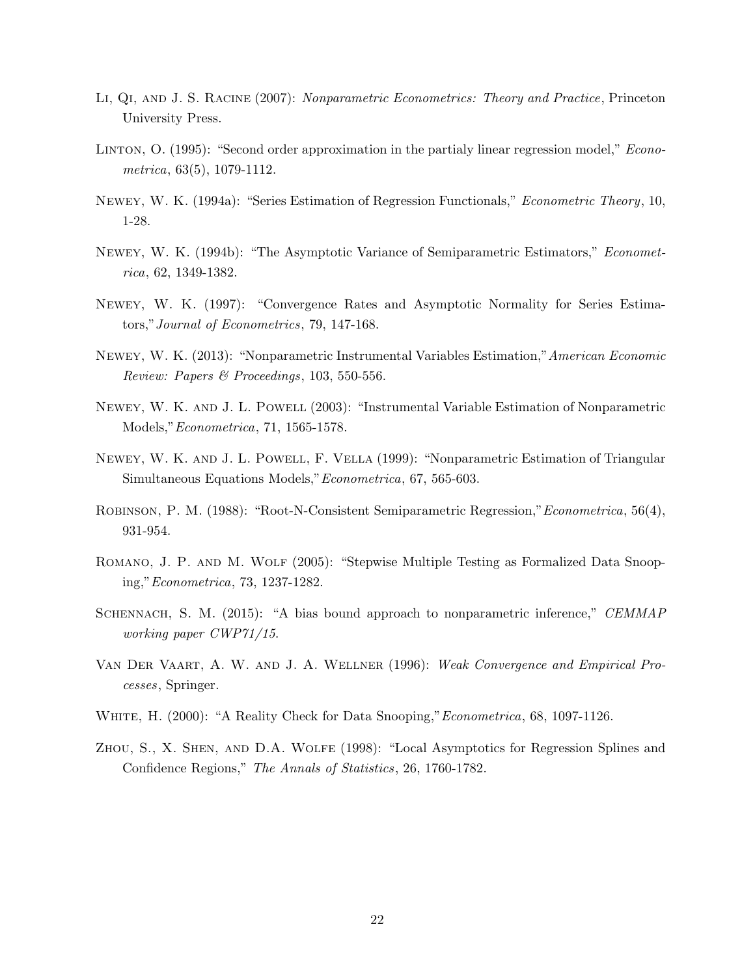- Li, Qi, and J. S. Racine (2007): Nonparametric Econometrics: Theory and Practice, Princeton University Press.
- LINTON, O. (1995): "Second order approximation in the partialy linear regression model," *Econo*metrica, 63(5), 1079-1112.
- Newey, W. K. (1994a): "Series Estimation of Regression Functionals," Econometric Theory, 10, 1-28.
- Newey, W. K. (1994b): "The Asymptotic Variance of Semiparametric Estimators," Econometrica, 62, 1349-1382.
- Newey, W. K. (1997): "Convergence Rates and Asymptotic Normality for Series Estimators,"Journal of Econometrics, 79, 147-168.
- Newey, W. K. (2013): "Nonparametric Instrumental Variables Estimation,"American Economic Review: Papers & Proceedings, 103, 550-556.
- Newey, W. K. and J. L. Powell (2003): "Instrumental Variable Estimation of Nonparametric Models,"Econometrica, 71, 1565-1578.
- Newey, W. K. and J. L. Powell, F. Vella (1999): "Nonparametric Estimation of Triangular Simultaneous Equations Models,"Econometrica, 67, 565-603.
- Robinson, P. M. (1988): "Root-N-Consistent Semiparametric Regression,"Econometrica, 56(4), 931-954.
- ROMANO, J. P. AND M. WOLF (2005): "Stepwise Multiple Testing as Formalized Data Snooping,"Econometrica, 73, 1237-1282.
- SCHENNACH, S. M. (2015): "A bias bound approach to nonparametric inference," CEMMAP working paper CWP71/15.
- Van Der Vaart, A. W. and J. A. Wellner (1996): Weak Convergence and Empirical Processes, Springer.
- WHITE, H. (2000): "A Reality Check for Data Snooping," *Econometrica*, 68, 1097-1126.
- Zhou, S., X. Shen, and D.A. Wolfe (1998): "Local Asymptotics for Regression Splines and Confidence Regions," The Annals of Statistics, 26, 1760-1782.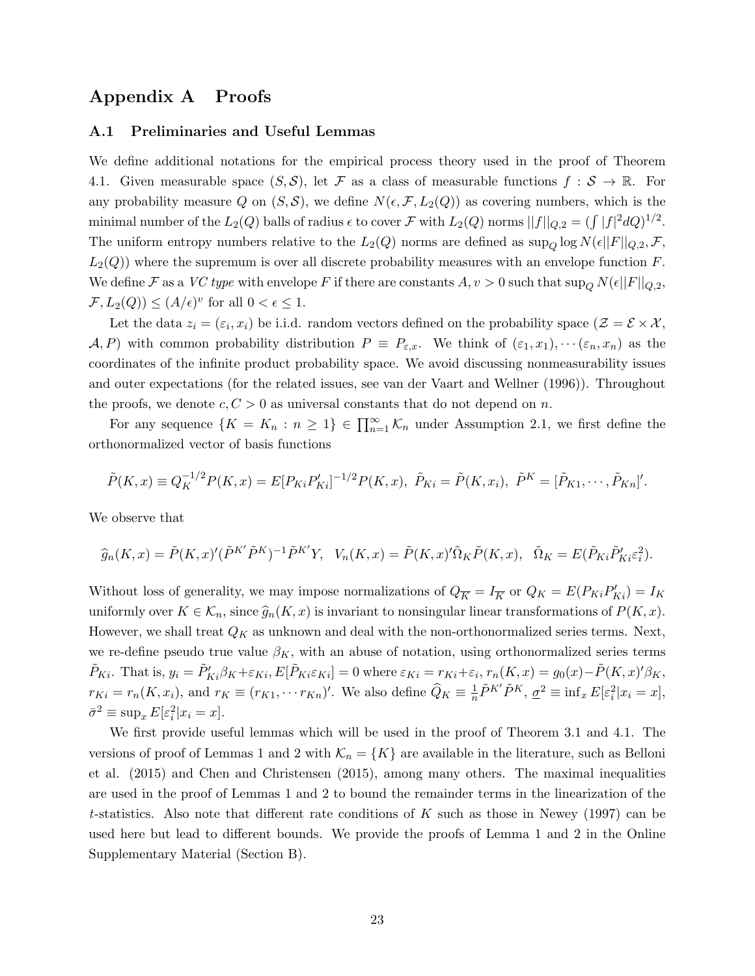## <span id="page-22-0"></span>Appendix A Proofs

#### A.1 Preliminaries and Useful Lemmas

We define additional notations for the empirical process theory used in the proof of Theorem [4.1.](#page-11-1) Given measurable space  $(S, \mathcal{S})$ , let F as a class of measurable functions  $f : \mathcal{S} \to \mathbb{R}$ . For any probability measure Q on  $(S, S)$ , we define  $N(\epsilon, \mathcal{F}, L_2(Q))$  as covering numbers, which is the minimal number of the  $L_2(Q)$  balls of radius  $\epsilon$  to cover  $\mathcal F$  with  $L_2(Q)$  norms  $||f||_{Q,2} = (\int |f|^2 dQ)^{1/2}$ . The uniform entropy numbers relative to the  $L_2(Q)$  norms are defined as  $\sup_Q \log N(\epsilon ||F||_{Q,2}, \mathcal{F},$  $L_2(Q)$ ) where the supremum is over all discrete probability measures with an envelope function F. We define F as a VC type with envelope F if there are constants  $A, v > 0$  such that  $\sup_Q N(\epsilon ||F||_{Q,2},$  $\mathcal{F}, L_2(Q)) \leq (A/\epsilon)^v$  for all  $0 < \epsilon \leq 1$ .

Let the data  $z_i = (\varepsilon_i, x_i)$  be i.i.d. random vectors defined on the probability space  $(\mathcal{Z} = \mathcal{E} \times \mathcal{X},$  $\mathcal{A}, P$ ) with common probability distribution  $P \equiv P_{\varepsilon,x}$ . We think of  $(\varepsilon_1, x_1), \cdots (\varepsilon_n, x_n)$  as the coordinates of the infinite product probability space. We avoid discussing nonmeasurability issues and outer expectations (for the related issues, see van der Vaart and Wellner (1996)). Throughout the proofs, we denote  $c, C > 0$  as universal constants that do not depend on n.

For any sequence  $\{K = K_n : n \geq 1\} \in \prod_{n=1}^{\infty} \mathcal{K}_n$  under Assumption [2.1,](#page-5-1) we first define the orthonormalized vector of basis functions

$$
\tilde{P}(K,x) \equiv Q_K^{-1/2} P(K,x) = E[P_{Ki} P'_{Ki}]^{-1/2} P(K,x), \ \tilde{P}_{Ki} = \tilde{P}(K,x_i), \ \tilde{P}^K = [\tilde{P}_{Ki}, \cdots, \tilde{P}_{Kn}]'.
$$

We observe that

$$
\widehat{g}_n(K,x) = \widetilde{P}(K,x)'(\widetilde{P}^{K'}\widetilde{P}^{K})^{-1}\widetilde{P}^{K'}Y, \quad V_n(K,x) = \widetilde{P}(K,x)'\widetilde{\Omega}_K\widetilde{P}(K,x), \quad \widetilde{\Omega}_K = E(\widetilde{P}_{Ki}\widetilde{P}'_{Ki}\widetilde{\varepsilon}_i^2).
$$

Without loss of generality, we may impose normalizations of  $Q_{\overline{K}} = I_{\overline{K}}$  or  $Q_K = E(P_{Ki}P'_{Ki}) = I_{Ki}$ uniformly over  $K \in \mathcal{K}_n$ , since  $\widehat{g}_n(K, x)$  is invariant to nonsingular linear transformations of  $P(K, x)$ . However, we shall treat  $Q_K$  as unknown and deal with the non-orthonormalized series terms. Next, we re-define pseudo true value  $\beta_K$ , with an abuse of notation, using orthonormalized series terms  $\tilde{P}_{Ki}$ . That is,  $y_i = \tilde{P}'_{Ki}\beta_K + \varepsilon_{Ki}$ ,  $E[\tilde{P}_{Ki}\varepsilon_{Ki}] = 0$  where  $\varepsilon_{Ki} = r_{Ki} + \varepsilon_i$ ,  $r_n(K, x) = g_0(x) - \tilde{P}(K, x)'\beta_K$ ,  $r_{Ki} = r_n(K, x_i)$ , and  $r_K \equiv (r_{K1}, \cdots r_{Kn})'$ . We also define  $\widehat{Q}_K \equiv \frac{1}{n}$  $\frac{1}{n}\tilde{P}^{K'}\tilde{P}^{K}, \, \underline{\sigma}^2 \equiv \inf_x E[\varepsilon_i^2 | x_i = x],$  $\bar{\sigma}^2 \equiv \sup_x E[\varepsilon_i^2 | x_i = x].$ 

We first provide useful lemmas which will be used in the proof of Theorem [3.1](#page-8-0) and [4.1.](#page-11-1) The versions of proof of Lemmas [1](#page-23-0) and [2](#page-23-1) with  $\mathcal{K}_n = \{K\}$  are available in the literature, such as Belloni et al. (2015) and Chen and Christensen (2015), among many others. The maximal inequalities are used in the proof of Lemmas [1](#page-23-0) and [2](#page-23-1) to bound the remainder terms in the linearization of the t-statistics. Also note that different rate conditions of K such as those in Newey  $(1997)$  can be used here but lead to different bounds. We provide the proofs of Lemma [1](#page-23-0) and [2](#page-23-1) in the Online Supplementary Material (Section B).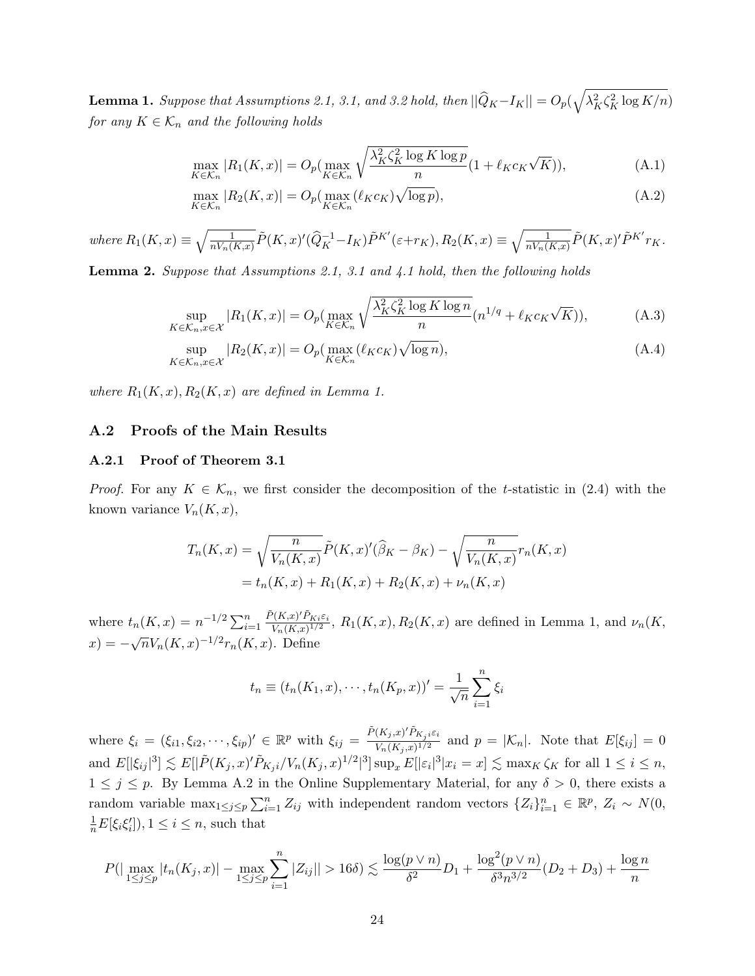<span id="page-23-0"></span> ${\bf Lemma~1.~}$   $Suppose~that~Assumptions~2.1,~3.1,~and~3.2~hold,~then~||\widehat{Q}_K-I_K||=O_p(\sqrt{\lambda_K^2\zeta_K^2\log K/n})$  $Suppose~that~Assumptions~2.1,~3.1,~and~3.2~hold,~then~||\widehat{Q}_K-I_K||=O_p(\sqrt{\lambda_K^2\zeta_K^2\log K/n})$  $Suppose~that~Assumptions~2.1,~3.1,~and~3.2~hold,~then~||\widehat{Q}_K-I_K||=O_p(\sqrt{\lambda_K^2\zeta_K^2\log K/n})$  $Suppose~that~Assumptions~2.1,~3.1,~and~3.2~hold,~then~||\widehat{Q}_K-I_K||=O_p(\sqrt{\lambda_K^2\zeta_K^2\log K/n})$  $Suppose~that~Assumptions~2.1,~3.1,~and~3.2~hold,~then~||\widehat{Q}_K-I_K||=O_p(\sqrt{\lambda_K^2\zeta_K^2\log K/n})$  $Suppose~that~Assumptions~2.1,~3.1,~and~3.2~hold,~then~||\widehat{Q}_K-I_K||=O_p(\sqrt{\lambda_K^2\zeta_K^2\log K/n})$  $Suppose~that~Assumptions~2.1,~3.1,~and~3.2~hold,~then~||\widehat{Q}_K-I_K||=O_p(\sqrt{\lambda_K^2\zeta_K^2\log K/n})$ for any  $K \in \mathcal{K}_n$  and the following holds

$$
\max_{K \in \mathcal{K}_n} |R_1(K, x)| = O_p(\max_{K \in \mathcal{K}_n} \sqrt{\frac{\lambda_K^2 \zeta_K^2 \log K \log p}{n}} (1 + \ell_K c_K \sqrt{K})),
$$
\n(A.1)

$$
\max_{K \in \mathcal{K}_n} |R_2(K, x)| = O_p(\max_{K \in \mathcal{K}_n} (\ell_K c_K) \sqrt{\log p}),
$$
\n(A.2)

 $where R_1(K, x) \equiv \sqrt{\frac{1}{nV_n(K, x)}}\tilde{P}(K, x)'(\widehat{Q}_{K}^{-1} - I_K)\tilde{P}^{K'}(\varepsilon + r_K), R_2(K, x) \equiv \sqrt{\frac{1}{nV_n(K, x)}}\tilde{P}(K, x)'\tilde{P}^{K'}r_K.$ 

<span id="page-23-1"></span>**Lemma 2.** Suppose that Assumptions [2.1,](#page-5-1) [3.1](#page-7-0) and [4.1](#page-10-1) hold, then the following holds

$$
\sup_{K \in \mathcal{K}_n, x \in \mathcal{X}} |R_1(K, x)| = O_p(\max_{K \in \mathcal{K}_n} \sqrt{\frac{\lambda_K^2 \zeta_K^2 \log K \log n}{n}} (n^{1/q} + \ell_{K} c_K \sqrt{K})),
$$
(A.3)

$$
\sup_{K \in \mathcal{K}_n, x \in \mathcal{X}} |R_2(K, x)| = O_p(\max_{K \in \mathcal{K}_n} (\ell_K c_K) \sqrt{\log n}),
$$
\n(A.4)

where  $R_1(K, x), R_2(K, x)$  are defined in Lemma [1.](#page-23-0)

#### A.2 Proofs of the Main Results

#### A.2.1 Proof of Theorem [3.1](#page-8-0)

*Proof.* For any  $K \in \mathcal{K}_n$ , we first consider the decomposition of the *t*-statistic in [\(2.4\)](#page-4-1) with the known variance  $V_n(K, x)$ ,

$$
T_n(K, x) = \sqrt{\frac{n}{V_n(K, x)}} \tilde{P}(K, x)'(\hat{\beta}_K - \beta_K) - \sqrt{\frac{n}{V_n(K, x)}} r_n(K, x)
$$
  
=  $t_n(K, x) + R_1(K, x) + R_2(K, x) + \nu_n(K, x)$ 

where  $t_n(K, x) = n^{-1/2} \sum_{i=1}^n$  $\tilde{P}(K,x)' \tilde{P}_{Ki} \varepsilon_i$  $\frac{(K, x) P_{K_i \varepsilon_i}}{V_n(K, x)^{1/2}}$ ,  $R_1(K, x)$ ,  $R_2(K, x)$  are defined in Lemma [1,](#page-23-0) and  $\nu_n(K, x)$  $x) = -\sqrt{n}V_n(K, x)^{-1/2}r_n(K, x)$ . Define √

$$
t_n \equiv (t_n(K_1, x), \cdots, t_n(K_p, x))' = \frac{1}{\sqrt{n}} \sum_{i=1}^n \xi_i
$$

where  $\xi_i = (\xi_{i1}, \xi_{i2}, \cdots, \xi_{ip})' \in \mathbb{R}^p$  with  $\xi_{ij} = \frac{\tilde{P}(K_j, x')'\tilde{P}_{K_j i}\varepsilon_i}{V(K_i, x)^{1/2}}$  $\frac{(N_j,\omega)^T K_j i^{C_l}}{V_n(K_j,x)^{1/2}}$  and  $p = |\mathcal{K}_n|$ . Note that  $E[\xi_{ij}] = 0$ and  $E[|\xi_{ij}|^3] \lesssim E[|\tilde{P}(K_j, x)'\tilde{P}_{K_j i}/V_n(K_j, x)^{1/2}|^3] \sup_x E[|\varepsilon_i|^3 | x_i = x] \lesssim \max_K \zeta_K$  for all  $1 \le i \le n$ ,  $1 \leq j \leq p$ . By Lemma A.2 in the Online Supplementary Material, for any  $\delta > 0$ , there exists a random variable  $\max_{1 \leq j \leq p} \sum_{i=1}^n Z_{ij}$  with independent random vectors  $\{Z_i\}_{i=1}^n \in \mathbb{R}^p$ ,  $Z_i \sim N(0,$  $\frac{1}{n}E[\xi_i\xi'_i]$ ,  $1 \leq i \leq n$ , such that

$$
P(|\max_{1 \le j \le p} |t_n(K_j, x)| - \max_{1 \le j \le p} \sum_{i=1}^n |Z_{ij}| > 16\delta) \lesssim \frac{\log(p \vee n)}{\delta^2} D_1 + \frac{\log^2(p \vee n)}{\delta^3 n^{3/2}} (D_2 + D_3) + \frac{\log n}{n}
$$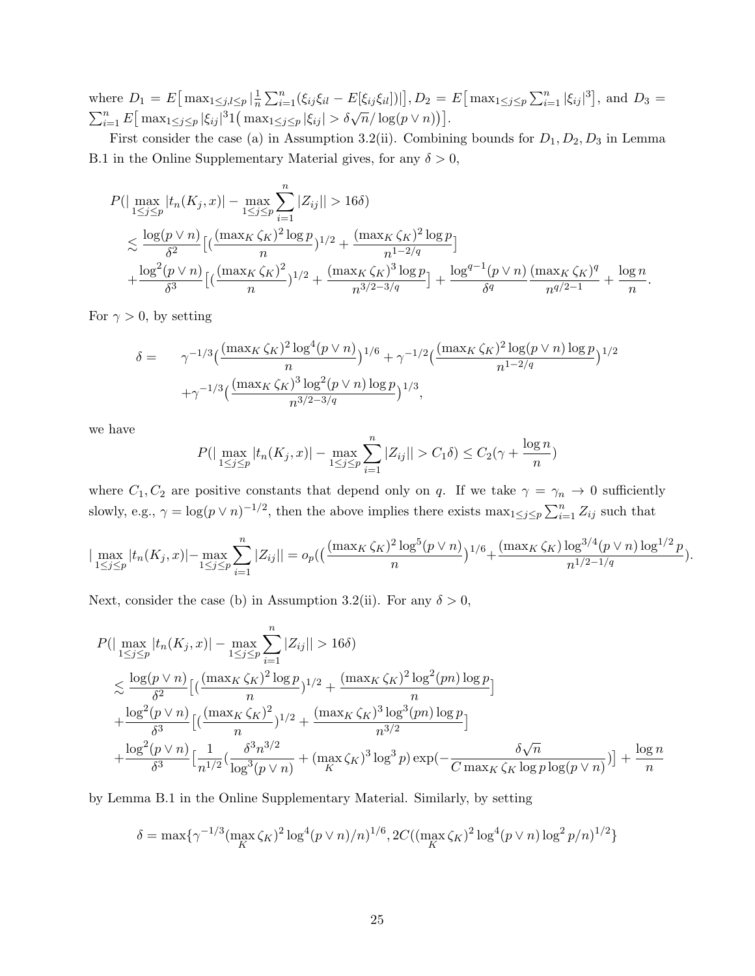where  $D_1 = E \left[ \max_{1 \leq j,l \leq p} \left| \frac{1}{n} \right| \right]$  $\frac{1}{n}\sum_{i=1}^{n}(\xi_{ij}\xi_{il}-E[\xi_{ij}\xi_{il}])|$ ,  $D_2=E[\max_{1\leq j\leq p}\sum_{i=1}^{n}|\xi_{ij}|^3]$ , and  $D_3=$  $\sum_{i=1}^{n} E\left[\max_{1 \leq j \leq p} |\xi_{ij}|^3 1\left(\max_{1 \leq j \leq p} |\xi_{ij}| > \delta \sqrt{n}/\log(p \vee n)\right)\right].$ 

First consider the case (a) in Assumption [3.2\(](#page-7-1)ii). Combining bounds for  $D_1, D_2, D_3$  in Lemma B.1 in the Online Supplementary Material gives, for any  $\delta > 0$ ,

$$
P(|\max_{1 \le j \le p} |t_n(K_j, x)| - \max_{1 \le j \le p} \sum_{i=1}^n |Z_{ij}| > 16\delta)
$$
  
\$\lesssim \frac{\log(p \vee n)}{\delta^2} [(\frac{(\max\_K \zeta\_K)^2 \log p}{n})^{1/2} + \frac{(\max\_K \zeta\_K)^2 \log p}{n^{1-2/q}}]   
\$+\frac{\log^2(p \vee n)}{\delta^3} [(\frac{(\max\_K \zeta\_K)^2}{n})^{1/2} + \frac{(\max\_K \zeta\_K)^3 \log p}{n^{3/2-3/q}}] + \frac{\log^{q-1}(p \vee n)}{\delta^q} \frac{(\max\_K \zeta\_K)^q}{n^{q/2-1}} + \frac{\log n}{n}].

For  $\gamma > 0$ , by setting

$$
\delta = \gamma^{-1/3} \left( \frac{(\max_K \zeta_K)^2 \log^4(p \vee n)}{n} \right)^{1/6} + \gamma^{-1/2} \left( \frac{(\max_K \zeta_K)^2 \log(p \vee n) \log p}{n^{1-2/q}} \right)^{1/2} + \gamma^{-1/3} \left( \frac{(\max_K \zeta_K)^3 \log^2(p \vee n) \log p}{n^{3/2-3/q}} \right)^{1/3},
$$

we have

$$
P(|\max_{1 \le j \le p} |t_n(K_j, x)| - \max_{1 \le j \le p} \sum_{i=1}^n |Z_{ij}| > C_1 \delta) \le C_2(\gamma + \frac{\log n}{n})
$$

where  $C_1, C_2$  are positive constants that depend only on q. If we take  $\gamma = \gamma_n \to 0$  sufficiently slowly, e.g.,  $\gamma = \log(p \vee n)^{-1/2}$ , then the above implies there exists  $\max_{1 \leq j \leq p} \sum_{i=1}^{n} Z_{ij}$  such that

$$
|\max_{1 \leq j \leq p} |t_n(K_j, x)| - \max_{1 \leq j \leq p} \sum_{i=1}^n |Z_{ij}| = o_p((\frac{(\max_K \zeta_K)^2 \log^5(p \vee n)}{n})^{1/6} + \frac{(\max_K \zeta_K) \log^{3/4}(p \vee n) \log^{1/2} p}{n^{1/2 - 1/q}}).
$$

Next, consider the case (b) in Assumption [3.2\(](#page-7-1)ii). For any  $\delta > 0$ ,

$$
P(| \max_{1 \le j \le p} |t_n(K_j, x)| - \max_{1 \le j \le p} \sum_{i=1}^n |Z_{ij}| | > 16\delta)
$$
\n
$$
\lesssim \frac{\log(p \vee n)}{\delta^2} \Big[ \big( \frac{(\max_K \zeta_K)^2 \log p}{n} \big)^{1/2} + \frac{(\max_K \zeta_K)^2 \log^2(pn) \log p}{n} \Big]
$$
\n
$$
+ \frac{\log^2(p \vee n)}{\delta^3} \Big[ \big( \frac{(\max_K \zeta_K)^2}{n} \big)^{1/2} + \frac{(\max_K \zeta_K)^3 \log^3(pn) \log p}{n^{3/2}} \Big]
$$
\n
$$
+ \frac{\log^2(p \vee n)}{\delta^3} \Big[ \frac{1}{n^{1/2}} \big( \frac{\delta^3 n^{3/2}}{\log^3(p \vee n)} + (\max_K \zeta_K)^3 \log^3 p \big) \exp\big( - \frac{\delta \sqrt{n}}{C \max_K \zeta_K \log p \log(p \vee n)} \big) \Big] + \frac{\log n}{n}
$$

by Lemma B.1 in the Online Supplementary Material. Similarly, by setting

$$
\delta = \max \{ \gamma^{-1/3} (\max_K \zeta_K)^2 \log^4(p \vee n)/n \}^{1/6}, 2C((\max_K \zeta_K)^2 \log^4(p \vee n) \log^2 p/n)^{1/2} \}
$$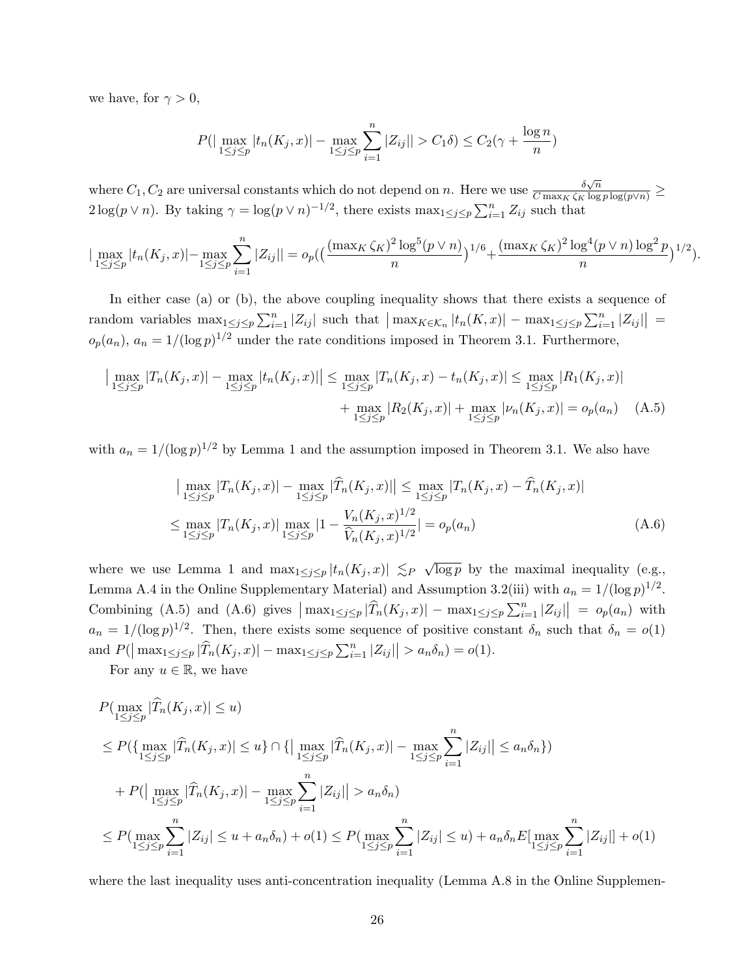we have, for  $\gamma > 0$ ,

$$
P(|\max_{1 \le j \le p} |t_n(K_j, x)| - \max_{1 \le j \le p} \sum_{i=1}^n |Z_{ij}| > C_1 \delta) \le C_2(\gamma + \frac{\log n}{n})
$$

where  $C_1, C_2$  are universal constants which do not depend on n. Here we use  $\frac{\delta\sqrt{n}}{C\max_K \zeta_K \log p \log(p\vee n)} \ge$  $2\log(p\vee n)$ . By taking  $\gamma = \log(p\vee n)^{-1/2}$ , there exists  $\max_{1\leq j\leq p}\sum_{i=1}^n Z_{ij}$  such that

$$
|\max_{1 \leq j \leq p} |t_n(K_j, x)| - \max_{1 \leq j \leq p} \sum_{i=1}^n |Z_{ij}| = o_p((\frac{(\max_K \zeta_K)^2 \log^5(p \vee n)}{n})^{1/6} + \frac{(\max_K \zeta_K)^2 \log^4(p \vee n) \log^2 p}{n})^{1/2}).
$$

In either case (a) or (b), the above coupling inequality shows that there exists a sequence of random variables  $\max_{1 \leq j \leq p} \sum_{i=1}^n |Z_{ij}|$  such that  $\left| \max_{K \in \mathcal{K}_n} |t_n(K,x)| - \max_{1 \leq j \leq p} \sum_{i=1}^n |Z_{ij}| \right| =$  $o_p(a_n)$ ,  $a_n = 1/(\log p)^{1/2}$  under the rate conditions imposed in Theorem [3.1.](#page-8-0) Furthermore,

$$
\left| \max_{1 \le j \le p} |T_n(K_j, x)| - \max_{1 \le j \le p} |t_n(K_j, x)| \right| \le \max_{1 \le j \le p} |T_n(K_j, x) - t_n(K_j, x)| \le \max_{1 \le j \le p} |R_1(K_j, x)| + \max_{1 \le j \le p} |R_2(K_j, x)| + \max_{1 \le j \le p} |\nu_n(K_j, x)| = o_p(a_n) \quad (A.5)
$$

with  $a_n = 1/(\log p)^{1/2}$  $a_n = 1/(\log p)^{1/2}$  $a_n = 1/(\log p)^{1/2}$  by Lemma 1 and the assumption imposed in Theorem [3.1.](#page-8-0) We also have

<span id="page-25-1"></span><span id="page-25-0"></span>
$$
\left| \max_{1 \le j \le p} |T_n(K_j, x)| - \max_{1 \le j \le p} |\widehat{T}_n(K_j, x)| \right| \le \max_{1 \le j \le p} |T_n(K_j, x) - \widehat{T}_n(K_j, x)|
$$
  

$$
\le \max_{1 \le j \le p} |T_n(K_j, x)| \max_{1 \le j \le p} |1 - \frac{V_n(K_j, x)^{1/2}}{\widehat{V}_n(K_j, x)^{1/2}}| = o_p(a_n)
$$
 (A.6)

where we use Lemma [1](#page-23-0) and  $\max_{1 \leq j \leq p} |t_n(K_j, x)| \lesssim_P \sqrt{2}$  $\overline{\log p}$  by the maximal inequality (e.g., Lemma A.4 in the Online Supplementary Material) and Assumption [3.2\(](#page-7-1)iii) with  $a_n = 1/(\log p)^{1/2}$ . Combining [\(A.5\)](#page-25-0) and [\(A.6\)](#page-25-1) gives  $\left|\max_{1\leq j\leq p}|\widehat{T}_n(K_j,x)|-\max_{1\leq j\leq p}\sum_{i=1}^n|Z_{ij}|\right|=o_p(a_n)$  with  $a_n = 1/(\log p)^{1/2}$ . Then, there exists some sequence of positive constant  $\delta_n$  such that  $\delta_n = o(1)$ and  $P(|\max_{1 \leq j \leq p} |\widehat{T}_n(K_j, x)| - \max_{1 \leq j \leq p} \sum_{i=1}^n |Z_{ij}| > a_n \delta_n) = o(1)$ .

For any  $u \in \mathbb{R}$ , we have

$$
P(\max_{1 \leq j \leq p} |\widehat{T}_n(K_j, x)| \leq u)
$$
  
\n
$$
\leq P(\{\max_{1 \leq j \leq p} |\widehat{T}_n(K_j, x)| \leq u\} \cap \{ \left|\max_{1 \leq j \leq p} |\widehat{T}_n(K_j, x)| - \max_{1 \leq j \leq p} \sum_{i=1}^n |Z_{ij}| \right| \leq a_n \delta_n \})
$$
  
\n
$$
+ P(\left|\max_{1 \leq j \leq p} |\widehat{T}_n(K_j, x)| - \max_{1 \leq j \leq p} \sum_{i=1}^n |Z_{ij}| \right| > a_n \delta_n)
$$
  
\n
$$
\leq P(\max_{1 \leq j \leq p} \sum_{i=1}^n |Z_{ij}| \leq u + a_n \delta_n) + o(1) \leq P(\max_{1 \leq j \leq p} \sum_{i=1}^n |Z_{ij}| \leq u) + a_n \delta_n E[\max_{1 \leq j \leq p} \sum_{i=1}^n |Z_{ij}|] + o(1)
$$

where the last inequality uses anti-concentration inequality (Lemma A.8 in the Online Supplemen-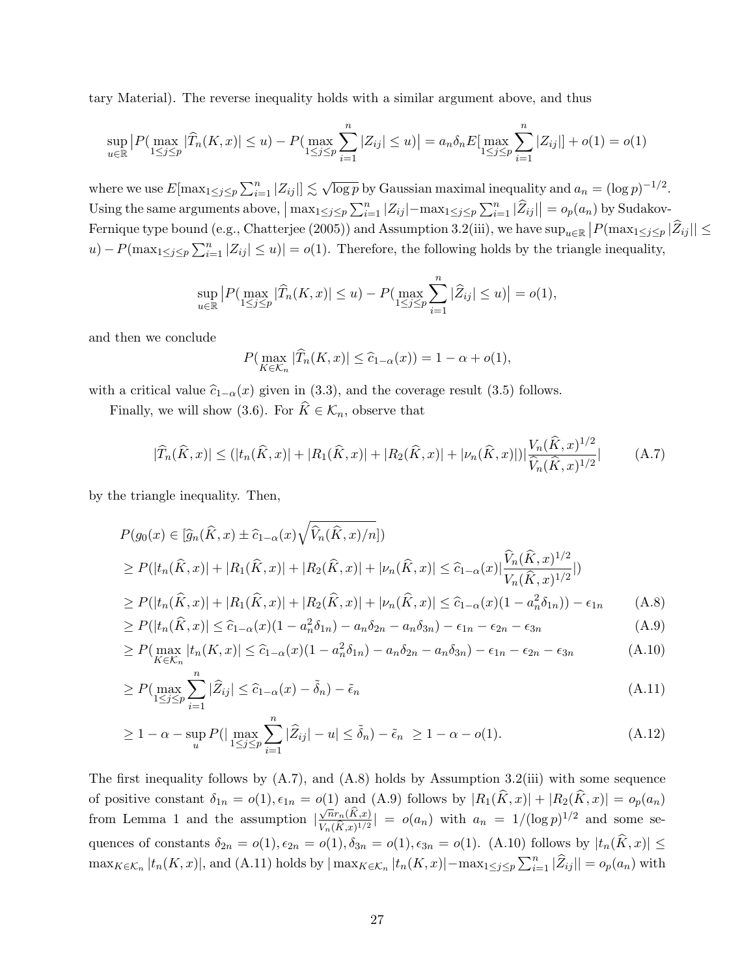tary Material). The reverse inequality holds with a similar argument above, and thus

$$
\sup_{u \in \mathbb{R}} |P(\max_{1 \le j \le p} |\widehat{T}_n(K, x)| \le u) - P(\max_{1 \le j \le p} \sum_{i=1}^n |Z_{ij}| \le u)| = a_n \delta_n E[\max_{1 \le j \le p} \sum_{i=1}^n |Z_{ij}|] + o(1) = o(1)
$$

where we use  $E[\max_{1 \leq j \leq p} \sum_{i=1}^n |Z_{ij}|] \lesssim \sqrt{\frac{2}{n}}$  $\overline{\log p}$  by Gaussian maximal inequality and  $a_n = (\log p)^{-1/2}$ . Using the same arguments above,  $\left|\max_{1\leq j\leq p}\sum_{i=1}^n |Z_{ij}| - \max_{1\leq j\leq p}\sum_{i=1}^n |\widehat{Z}_{ij}|\right| = o_p(a_n)$  by Sudakov-Fernique type bound (e.g., Chatterjee (2005)) and Assumption [3.2\(](#page-7-1)iii), we have  $\sup_{u\in\mathbb{R}}|P(\max_{1\leq j\leq p}|\widehat{Z}_{ij}||\leq$  $(u) - P(\max_{1 \leq j \leq p} \sum_{i=1}^{n} |Z_{ij}| \leq u)$  =  $o(1)$ . Therefore, the following holds by the triangle inequality,

$$
\sup_{u \in \mathbb{R}} |P(\max_{1 \le j \le p} |\widehat{T}_n(K, x)| \le u) - P(\max_{1 \le j \le p} \sum_{i=1}^n |\widehat{Z}_{ij}| \le u)| = o(1),
$$

and then we conclude

<span id="page-26-4"></span><span id="page-26-3"></span><span id="page-26-2"></span><span id="page-26-1"></span>
$$
P(\max_{K \in \mathcal{K}_n} |\widehat{T}_n(K, x)| \leq \widehat{c}_{1-\alpha}(x)) = 1 - \alpha + o(1),
$$

with a critical value  $\hat{c}_{1-\alpha}(x)$  given in [\(3.3\)](#page-7-2), and the coverage result [\(3.5\)](#page-8-2) follows.

Finally, we will show [\(3.6\)](#page-8-1). For  $\widehat{K} \in \mathcal{K}_n$ , observe that

<span id="page-26-0"></span>
$$
|\widehat{T}_n(\widehat{K},x)| \le (|t_n(\widehat{K},x)| + |R_1(\widehat{K},x)| + |R_2(\widehat{K},x)| + |\nu_n(\widehat{K},x)|)|\frac{V_n(\widehat{K},x)^{1/2}}{\widehat{V}_n(\widehat{K},x)^{1/2}}| \tag{A.7}
$$

by the triangle inequality. Then,

$$
P(g_0(x) \in [\hat{g}_n(\hat{K}, x) \pm \hat{c}_{1-\alpha}(x)\sqrt{\hat{V}_n(\hat{K}, x)/n}])
$$
  
\n
$$
\geq P(|t_n(\hat{K}, x)| + |R_1(\hat{K}, x)| + |R_2(\hat{K}, x)| + |\nu_n(\hat{K}, x)| \leq \hat{c}_{1-\alpha}(x)|\frac{\hat{V}_n(\hat{K}, x)^{1/2}}{V_n(\hat{K}, x)^{1/2}}|)
$$
  
\n
$$
\geq P(|t_n(\hat{K}, x)| + |R_1(\hat{K}, x)| + |R_2(\hat{K}, x)| + |\nu_n(\hat{K}, x)| \leq \hat{c}_{1-\alpha}(x)(1 - a_n^2\delta_{1n})) - \epsilon_{1n}
$$
 (A.8)

$$
\geq P(|t_n(\widehat{K},x)| \leq \widehat{c}_{1-\alpha}(x)(1-a_n^2\delta_{1n}) - a_n\delta_{2n} - a_n\delta_{3n}) - \epsilon_{1n} - \epsilon_{2n} - \epsilon_{3n} \tag{A.9}
$$

$$
\geq P(\max_{K \in \mathcal{K}_n} |t_n(K, x)| \leq \widehat{c}_{1-\alpha}(x)(1 - a_n^2 \delta_{1n}) - a_n \delta_{2n} - a_n \delta_{3n}) - \epsilon_{1n} - \epsilon_{2n} - \epsilon_{3n} \tag{A.10}
$$

$$
\geq P(\max_{1 \leq j \leq p} \sum_{i=1}^{n} |\widehat{Z}_{ij}| \leq \widehat{c}_{1-\alpha}(x) - \widetilde{\delta}_n) - \widetilde{\epsilon}_n \tag{A.11}
$$

<span id="page-26-5"></span>
$$
\geq 1 - \alpha - \sup_{u} P(|\max_{1 \leq j \leq p} \sum_{i=1}^{n} |\widehat{Z}_{ij}| - u| \leq \widetilde{\delta}_n) - \widetilde{\epsilon}_n \geq 1 - \alpha - o(1). \tag{A.12}
$$

The first inequality follows by [\(A.7\)](#page-26-0), and [\(A.8\)](#page-26-1) holds by Assumption [3.2\(](#page-7-1)iii) with some sequence of positive constant  $\delta_{1n} = o(1), \epsilon_{1n} = o(1)$  and  $(A.9)$  follows by  $|R_1(K, x)| + |R_2(K, x)| = o_p(a_n)$ from Lemma [1](#page-23-0) and the assumption |  $\sqrt{n}r_n(\widehat{K},x)$  $\frac{\sqrt{n}r_n(K,x)}{V_n(\widehat{K},x)^{1/2}}| = o(a_n)$  with  $a_n = 1/(\log p)^{1/2}$  and some sequences of constants  $\delta_{2n} = o(1), \epsilon_{2n} = o(1), \delta_{3n} = o(1), \epsilon_{3n} = o(1)$ . [\(A.10\)](#page-26-3) follows by  $|t_n(\hat{K},x)| \le$  $\max_{K \in \mathcal{K}_n} |t_n(K, x)|$ , and  $(A.11)$  holds by  $|\max_{K \in \mathcal{K}_n} |t_n(K, x)| - \max_{1 \leq j \leq p} \sum_{i=1}^n |\widehat{Z}_{ij}|| = o_p(a_n)$  with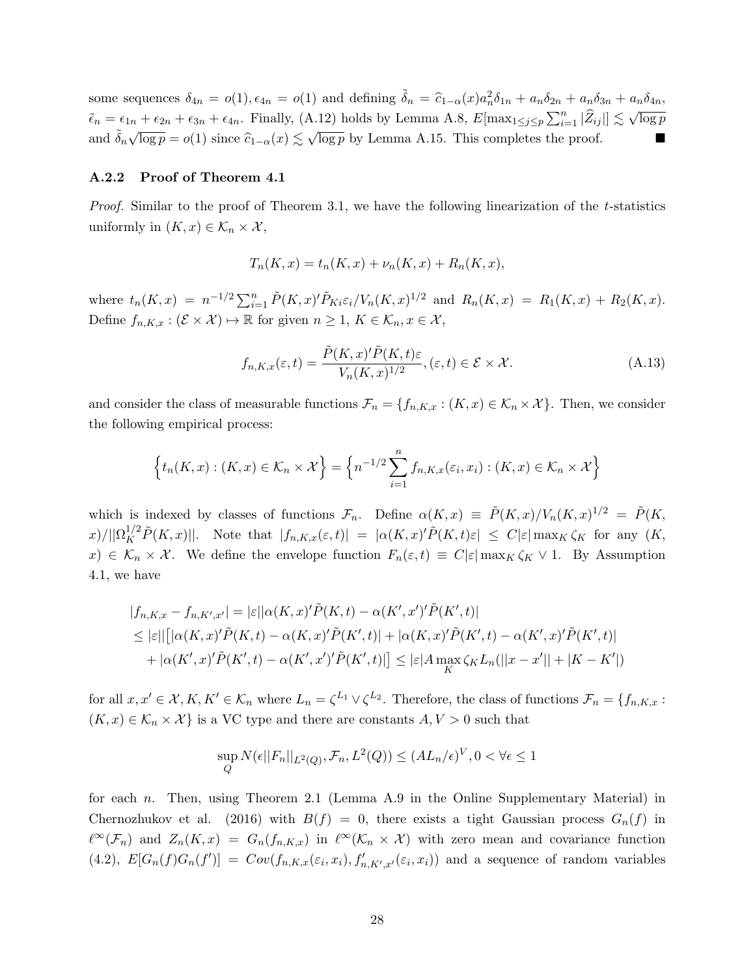some sequences  $\delta_{4n} = o(1), \epsilon_{4n} = o(1)$  and defining  $\tilde{\delta}_n = \hat{c}_{1-\alpha}(x)a_n^2 \delta_{1n} + a_n \delta_{2n} + a_n \delta_{3n} + a_n \delta_{4n}$  $\tilde{\epsilon}_n = \epsilon_{1n} + \epsilon_{2n} + \epsilon_{3n} + \epsilon_{4n}$ . Finally, [\(A.12\)](#page-26-5) holds by Lemma A.8,  $E[\max_{1 \leq j \leq p} \sum_{i=1}^n |\hat{Z}_{ij}|] \lesssim \sqrt{\frac{2n}{n}}$  $\overline{\log p}$ and  $\delta_n \sqrt{\log p} = o(1)$  since  $\hat{c}_{1-\alpha}(x) \lesssim \sqrt{\log p}$  by Lemma A.15. This completes the proof.

#### A.2.2 Proof of Theorem [4.1](#page-11-1)

*Proof.* Similar to the proof of Theorem [3.1,](#page-8-0) we have the following linearization of the  $t$ -statistics uniformly in  $(K, x) \in \mathcal{K}_n \times \mathcal{X}$ ,

$$
T_n(K, x) = t_n(K, x) + \nu_n(K, x) + R_n(K, x),
$$

where  $t_n(K,x) = n^{-1/2} \sum_{i=1}^n \tilde{P}(K,x)' \tilde{P}_{Ki} \varepsilon_i / V_n(K,x)^{1/2}$  and  $R_n(K,x) = R_1(K,x) + R_2(K,x)$ . Define  $f_{n,K,x}: (\mathcal{E} \times \mathcal{X}) \mapsto \mathbb{R}$  for given  $n \geq 1, K \in \mathcal{K}_n, x \in \mathcal{X}$ ,

$$
f_{n,K,x}(\varepsilon,t) = \frac{\tilde{P}(K,x)'\tilde{P}(K,t)\varepsilon}{V_n(K,x)^{1/2}}, (\varepsilon,t) \in \mathcal{E} \times \mathcal{X}.
$$
 (A.13)

and consider the class of measurable functions  $\mathcal{F}_n = \{f_{n,K,x} : (K,x) \in \mathcal{K}_n \times \mathcal{X}\}\.$  Then, we consider the following empirical process:

$$
\left\{t_n(K,x):(K,x)\in\mathcal{K}_n\times\mathcal{X}\right\}=\left\{n^{-1/2}\sum_{i=1}^nf_{n,K,x}(\varepsilon_i,x_i):(K,x)\in\mathcal{K}_n\times\mathcal{X}\right\}
$$

which is indexed by classes of functions  $\mathcal{F}_n$ . Define  $\alpha(K,x) \equiv \tilde{P}(K,x)/V_n(K,x)^{1/2} = \tilde{P}(K,x)$  $||\langle x||\Omega_K^{1/2} \tilde{P}(K,x)||$ . Note that  $|f_{n,K,x}(\varepsilon,t)| = |\alpha(K,x)'\tilde{P}(K,t)\varepsilon| \leq C|\varepsilon| \max_K \zeta_K$  for any  $(K,0)$  $x) \in \mathcal{K}_n \times \mathcal{X}$ . We define the envelope function  $F_n(\varepsilon, t) \equiv C|\varepsilon| \max_K \zeta_K \vee 1$ . By Assumption [4.1,](#page-10-1) we have

$$
|f_{n,K,x} - f_{n,K',x'}| = |\varepsilon||\alpha(K,x)'\tilde{P}(K,t) - \alpha(K',x')'\tilde{P}(K',t)|
$$
  
\n
$$
\leq |\varepsilon||[|\alpha(K,x)'\tilde{P}(K,t) - \alpha(K,x)'\tilde{P}(K',t)| + |\alpha(K,x)'\tilde{P}(K',t) - \alpha(K',x)'\tilde{P}(K',t)|
$$
  
\n
$$
+ |\alpha(K',x)'\tilde{P}(K',t) - \alpha(K',x')'\tilde{P}(K',t)|] \leq |\varepsilon|A \max_{K} \zeta_{K}L_{n}(||x-x'|| + |K - K'|)
$$

for all  $x, x' \in \mathcal{X}, K, K' \in \mathcal{K}_n$  where  $L_n = \zeta^{L_1} \vee \zeta^{L_2}$ . Therefore, the class of functions  $\mathcal{F}_n = \{f_{n,K,x} :$  $(K, x) \in \mathcal{K}_n \times \mathcal{X}$  is a VC type and there are constants  $A, V > 0$  such that

$$
\sup_{Q} N(\epsilon ||F_n||_{L^2(Q)}, \mathcal{F}_n, L^2(Q)) \leq (AL_n/\epsilon)^V, 0 < \forall \epsilon \leq 1
$$

for each n. Then, using Theorem 2.1 (Lemma A.9 in the Online Supplementary Material) in Chernozhukov et al. (2016) with  $B(f) = 0$ , there exists a tight Gaussian process  $G_n(f)$  in  $\ell^{\infty}(\mathcal{F}_n)$  and  $Z_n(K, x) = G_n(f_{n,K,x})$  in  $\ell^{\infty}(\mathcal{K}_n \times \mathcal{X})$  with zero mean and covariance function [\(4.2\)](#page-9-1),  $E[G_n(f)G_n(f')] = Cov(f_{n,K,x}(\varepsilon_i,x_i), f'_{n,K',x'}(\varepsilon_i,x_i))$  and a sequence of random variables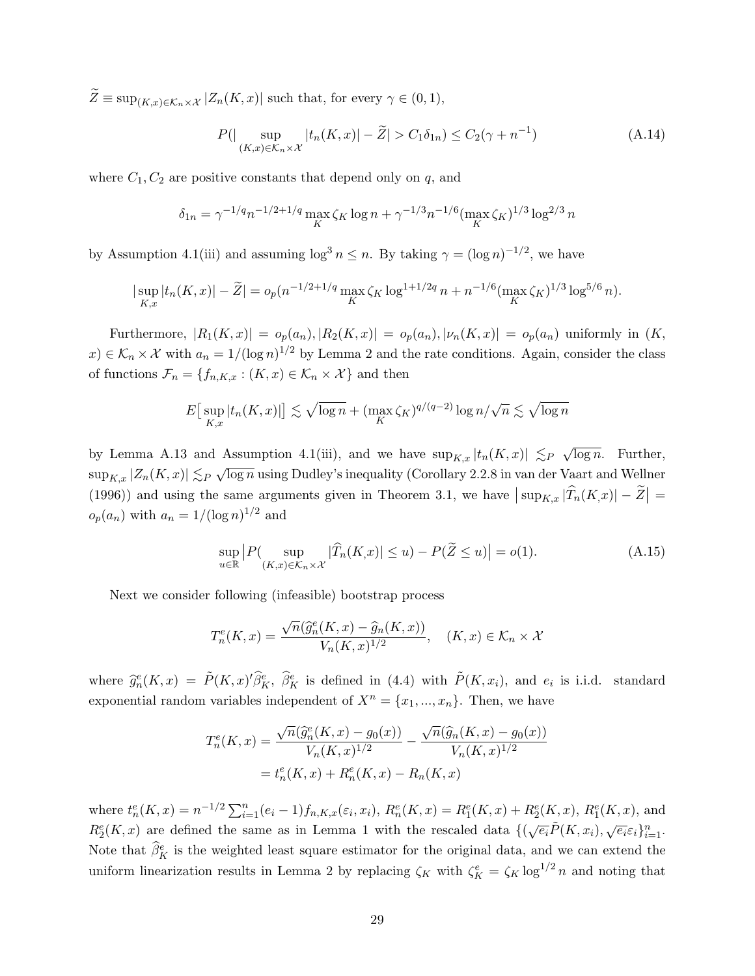$\widetilde{Z}\equiv\sup_{(K,x)\in\mathcal{K}_n\times\mathcal{X}}|Z_n(K,x)|$  such that, for every  $\gamma\in(0,1),$ 

$$
P(|\sup_{(K,x)\in\mathcal{K}_n\times\mathcal{X}}|t_n(K,x)|-\widetilde{Z}|>C_1\delta_{1n})\leq C_2(\gamma+n^{-1})
$$
\n(A.14)

where  $C_1, C_2$  are positive constants that depend only on  $q$ , and

$$
\delta_{1n} = \gamma^{-1/q} n^{-1/2 + 1/q} \max_{K} \zeta_K \log n + \gamma^{-1/3} n^{-1/6} (\max_{K} \zeta_K)^{1/3} \log^{2/3} n
$$

by Assumption [4.1\(](#page-10-1)iii) and assuming  $\log^3 n \leq n$ . By taking  $\gamma = (\log n)^{-1/2}$ , we have

$$
|\sup_{K,x}|t_n(K,x)|-\widetilde{Z}|=o_p(n^{-1/2+1/q}\max_K\zeta_K\log^{1+1/2q}n+n^{-1/6}(\max_K\zeta_K)^{1/3}\log^{5/6}n).
$$

Furthermore,  $|R_1(K, x)| = o_p(a_n), |R_2(K, x)| = o_p(a_n), |\nu_n(K, x)| = o_p(a_n)$  uniformly in  $(K, x)$  $(x) \in \mathcal{K}_n \times \mathcal{X}$  with  $a_n = 1/(\log n)^{1/2}$  $a_n = 1/(\log n)^{1/2}$  $a_n = 1/(\log n)^{1/2}$  by Lemma 2 and the rate conditions. Again, consider the class of functions  $\mathcal{F}_n = \{f_{n,K,x} : (K,x) \in \mathcal{K}_n \times \mathcal{X}\}\$ and then

$$
E\big[\sup_{K,x}|t_n(K,x)|\big] \lesssim \sqrt{\log n} + (\max_K \zeta_K)^{q/(q-2)}\log n/\sqrt{n} \lesssim \sqrt{\log n}
$$

by Lemma A.13 and Assumption [4.1\(](#page-10-1)iii), and we have  $\sup_{K,x}|t_n(K,x)| \lesssim_P \sqrt{2}$  $\overline{\log n}$ . Further,  $\sup_{K,x} |Z_n(K,x)| \lesssim_P \sqrt{2}$  $\overline{\log n}$  using Dudley's inequality (Corollary 2.2.8 in van der Vaart and Wellner (1996)) and using the same arguments given in Theorem [3.1,](#page-8-0) we have  $|\sup_{K,x}|\widehat{T}_n(K,x)| - \widetilde{Z}| =$  $o_p(a_n)$  with  $a_n = 1/(\log n)^{1/2}$  and

<span id="page-28-0"></span>
$$
\sup_{u \in \mathbb{R}} \left| P(\sup_{(K,x) \in \mathcal{K}_n \times \mathcal{X}} |\widehat{T}_n(K,x)| \le u) - P(\widetilde{Z} \le u) \right| = o(1). \tag{A.15}
$$

Next we consider following (infeasible) bootstrap process

$$
T_n^e(K, x) = \frac{\sqrt{n}(\widehat{g}_n^e(K, x) - \widehat{g}_n(K, x))}{V_n(K, x)^{1/2}}, \quad (K, x) \in \mathcal{K}_n \times \mathcal{X}
$$

where  $\hat{g}_n^e(K,x) = \tilde{P}(K,x)'\hat{\beta}_K^e$ ,  $\hat{\beta}_K^e$  is defined in [\(4.4\)](#page-10-3) with  $\tilde{P}(K,x_i)$ , and  $e_i$  is i.i.d. standard exponential random variables independent of  $X^n = \{x_1, ..., x_n\}$ . Then, we have

$$
T_n^e(K, x) = \frac{\sqrt{n}(\widehat{g}_n^e(K, x) - g_0(x))}{V_n(K, x)^{1/2}} - \frac{\sqrt{n}(\widehat{g}_n(K, x) - g_0(x))}{V_n(K, x)^{1/2}}
$$
  
=  $t_n^e(K, x) + R_n^e(K, x) - R_n(K, x)$ 

where  $t_n^e(K, x) = n^{-1/2} \sum_{i=1}^n (e_i - 1) f_{n,K,x}(\varepsilon_i, x_i), R_n^e(K, x) = R_1^e(K, x) + R_2^e(K, x), R_1^e(K, x)$ , and  $R_2^e(K,x)$  are defined the same as in Lemma [1](#page-23-0) with the rescaled data  $\{(\sqrt{e_i}\tilde{P}(K,x_i), \sqrt{e_i}\varepsilon_i\}_{i=1}^n)$ . Note that  $\hat{\beta}_{K}^e$  is the weighted least square estimator for the original data, and we can extend the uniform linearization results in Lemma [2](#page-23-1) by replacing  $\zeta_K$  with  $\zeta_K^e = \zeta_K \log^{1/2} n$  and noting that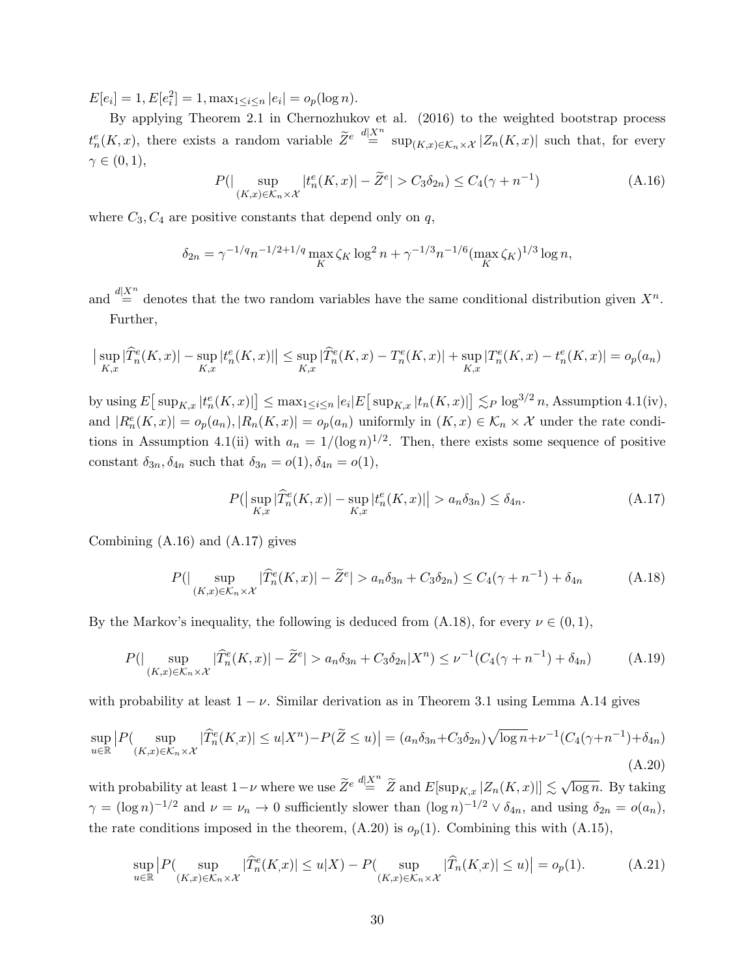$E[e_i] = 1, E[e_i^2] = 1, \max_{1 \le i \le n} |e_i| = o_p(\log n).$ 

By applying Theorem 2.1 in Chernozhukov et al. (2016) to the weighted bootstrap process  $t_n^e(K,x)$ , there exists a random variable  $\widetilde{Z}^e \stackrel{d|X^n}{=} \sup_{(K,x)\in\mathcal{K}_n\times\mathcal{X}} |Z_n(K,x)|$  such that, for every  $\gamma \in (0,1),$ 

<span id="page-29-0"></span>
$$
P(|\sup_{(K,x)\in\mathcal{K}_n\times\mathcal{X}}|t_n^e(K,x)|-\widetilde{Z}^e|>C_3\delta_{2n})\leq C_4(\gamma+n^{-1})\tag{A.16}
$$

where  $C_3, C_4$  are positive constants that depend only on  $q$ ,

$$
\delta_{2n} = \gamma^{-1/q} n^{-1/2 + 1/q} \max_{K} \zeta_K \log^2 n + \gamma^{-1/3} n^{-1/6} (\max_{K} \zeta_K)^{1/3} \log n,
$$

and  $\stackrel{d|X^n}{=}$  denotes that the two random variables have the same conditional distribution given  $X^n$ . Further,

$$
\left|\sup_{K,x}|\widehat{T}_n^e(K,x)| - \sup_{K,x}|t_n^e(K,x)|\right| \le \sup_{K,x}|\widehat{T}_n^e(K,x) - T_n^e(K,x)| + \sup_{K,x}|T_n^e(K,x) - t_n^e(K,x)| = o_p(a_n)
$$

by using  $E[ \sup_{K,x} |t_n^e(K,x)| ] \leq \max_{1 \leq i \leq n} |e_i| E[ \sup_{K,x} |t_n(K,x)| ] \lesssim_P \log^{3/2} n$ , Assumption [4.1\(](#page-10-1)iv), and  $|R_n^e(K,x)| = o_p(a_n), |R_n(K,x)| = o_p(a_n)$  uniformly in  $(K,x) \in \mathcal{K}_n \times \mathcal{X}$  under the rate condi-tions in Assumption [4.1\(](#page-10-1)ii) with  $a_n = 1/(\log n)^{1/2}$ . Then, there exists some sequence of positive constant  $\delta_{3n}, \delta_{4n}$  such that  $\delta_{3n} = o(1), \delta_{4n} = o(1),$ 

<span id="page-29-1"></span>
$$
P(|\sup_{K,x} |\widehat{T}_n^e(K,x)| - \sup_{K,x} |t_n^e(K,x)|| > a_n \delta_{3n}) \le \delta_{4n}.
$$
 (A.17)

Combining [\(A.16\)](#page-29-0) and [\(A.17\)](#page-29-1) gives

<span id="page-29-2"></span>
$$
P(|\sup_{(K,x)\in\mathcal{K}_n\times\mathcal{X}}|\widehat{T}_n^e(K,x)|-\widetilde{Z}^e|>a_n\delta_{3n}+C_3\delta_{2n})\leq C_4(\gamma+n^{-1})+\delta_{4n} \tag{A.18}
$$

By the Markov's inequality, the following is deduced from [\(A.18\)](#page-29-2), for every  $\nu \in (0,1)$ ,

$$
P(|\sup_{(K,x)\in\mathcal{K}_n\times\mathcal{X}}|\widehat{T}_n^e(K,x)|-\widetilde{Z}^e|>a_n\delta_{3n}+C_3\delta_{2n}|X^n)\leq\nu^{-1}(C_4(\gamma+n^{-1})+\delta_{4n})\tag{A.19}
$$

with probability at least  $1 - \nu$ . Similar derivation as in Theorem [3.1](#page-8-0) using Lemma A.14 gives

<span id="page-29-3"></span>
$$
\sup_{u \in \mathbb{R}} \left| P(\sup_{(K,x) \in \mathcal{K}_n \times \mathcal{X}} |\widehat{T}_n^e(K,x)| \le u | X^n) - P(\widetilde{Z} \le u) \right| = (a_n \delta_{3n} + C_3 \delta_{2n}) \sqrt{\log n} + \nu^{-1} (C_4(\gamma + n^{-1}) + \delta_{4n})
$$
\n(A.20)

with probability at least  $1-\nu$  where we use  $\widetilde{Z}^e \stackrel{d|X^n}{=} \widetilde{Z}$  and  $E[\sup_{K,x}|Z_n(K,x)|] \lesssim \sqrt{\frac{2}{\pi}}$  $\overline{\log n}$ . By taking  $\gamma = (\log n)^{-1/2}$  and  $\nu = \nu_n \to 0$  sufficiently slower than  $(\log n)^{-1/2} \vee \delta_{4n}$ , and using  $\delta_{2n} = o(a_n)$ , the rate conditions imposed in the theorem,  $(A.20)$  is  $o_p(1)$ . Combining this with  $(A.15)$ ,

$$
\sup_{u \in \mathbb{R}} \left| P(\sup_{(K,x) \in \mathcal{K}_n \times \mathcal{X}} |\widehat{T}_n^e(K,x)| \le u | X) - P(\sup_{(K,x) \in \mathcal{K}_n \times \mathcal{X}} |\widehat{T}_n(K,x)| \le u) \right| = o_p(1). \tag{A.21}
$$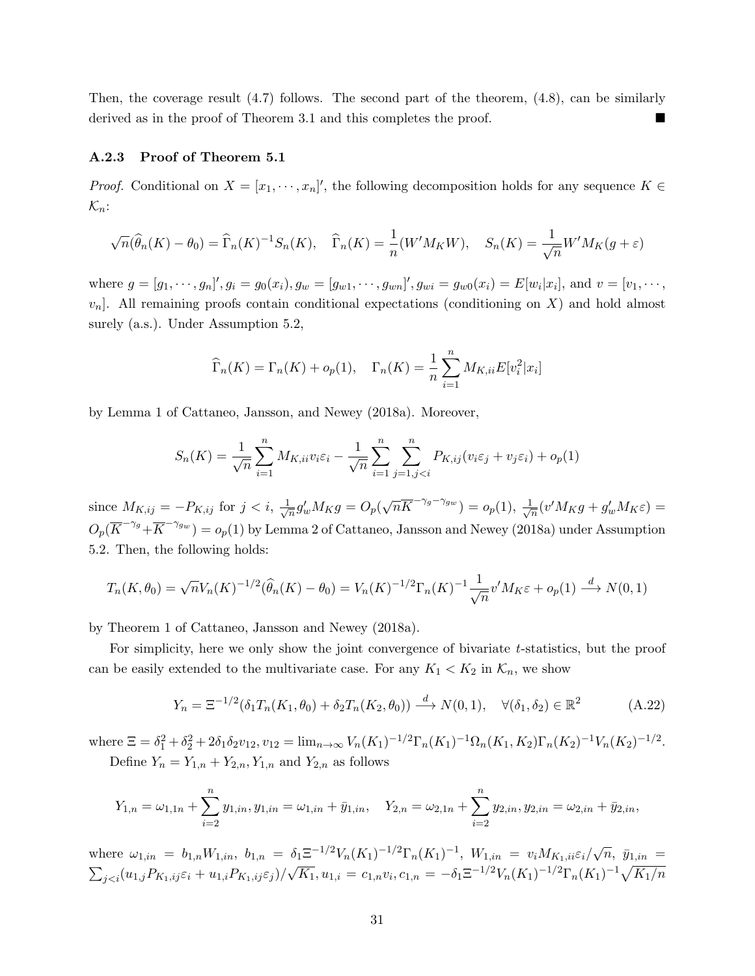Then, the coverage result [\(4.7\)](#page-11-4) follows. The second part of the theorem, [\(4.8\)](#page-11-2), can be similarly derived as in the proof of Theorem [3.1](#page-8-0) and this completes the proof.

#### A.2.3 Proof of Theorem [5.1](#page-14-1)

*Proof.* Conditional on  $X = [x_1, \dots, x_n]'$ , the following decomposition holds for any sequence  $K \in$  $\mathcal{K}_n$ :

$$
\sqrt{n}(\widehat{\theta}_n(K) - \theta_0) = \widehat{\Gamma}_n(K)^{-1} S_n(K), \quad \widehat{\Gamma}_n(K) = \frac{1}{n}(W'M_KW), \quad S_n(K) = \frac{1}{\sqrt{n}}W'M_K(g + \varepsilon)
$$

where  $g = [g_1, \dots, g_n]'$ ,  $g_i = g_0(x_i)$ ,  $g_w = [g_{w1}, \dots, g_{wn}]'$ ,  $g_{wi} = g_{w0}(x_i) = E[w_i|x_i]$ , and  $v = [v_1, \dots, v_n]$  $v_n$ ]. All remaining proofs contain conditional expectations (conditioning on X) and hold almost surely (a.s.). Under Assumption [5.2,](#page-12-3)

$$
\widehat{\Gamma}_n(K) = \Gamma_n(K) + o_p(1), \quad \Gamma_n(K) = \frac{1}{n} \sum_{i=1}^n M_{K,ii} E[v_i^2 | x_i]
$$

by Lemma 1 of Cattaneo, Jansson, and Newey (2018a). Moreover,

$$
S_n(K) = \frac{1}{\sqrt{n}} \sum_{i=1}^n M_{K,ii} v_i \varepsilon_i - \frac{1}{\sqrt{n}} \sum_{i=1}^n \sum_{j=1, j < i}^n P_{K,ij}(v_i \varepsilon_j + v_j \varepsilon_i) + o_p(1)
$$

since  $M_{K,ij} = -P_{K,ij}$  for  $j < i, \frac{1}{\sqrt{k}}$  $\frac{1}{2\pi}g'_w M_K g = O_p(\sqrt{nK}^{-\gamma_g-\gamma_{gw}}) = o_p(1), \frac{1}{\sqrt{q}}$  $\frac{1}{n}(v'M_Kg+g'_wM_K\varepsilon)=$  $O_p(\overline{K}^{-\gamma_g}+\overline{K}^{-\gamma_{gw}})=o_p(1)$  by Lemma 2 of Cattaneo, Jansson and Newey (2018a) under Assumption [5.2.](#page-12-3) Then, the following holds:

$$
T_n(K, \theta_0) = \sqrt{n} V_n(K)^{-1/2} (\widehat{\theta}_n(K) - \theta_0) = V_n(K)^{-1/2} \Gamma_n(K)^{-1} \frac{1}{\sqrt{n}} v^{\prime} M_K \varepsilon + o_p(1) \xrightarrow{d} N(0, 1)
$$

by Theorem 1 of Cattaneo, Jansson and Newey (2018a).

For simplicity, here we only show the joint convergence of bivariate t-statistics, but the proof can be easily extended to the multivariate case. For any  $K_1 < K_2$  in  $\mathcal{K}_n$ , we show

$$
Y_n = \Xi^{-1/2}(\delta_1 T_n(K_1, \theta_0) + \delta_2 T_n(K_2, \theta_0)) \xrightarrow{d} N(0, 1), \quad \forall (\delta_1, \delta_2) \in \mathbb{R}^2
$$
 (A.22)

where  $\Xi = \delta_1^2 + \delta_2^2 + 2\delta_1\delta_2v_{12}, v_{12} = \lim_{n \to \infty} V_n(K_1)^{-1/2} \Gamma_n(K_1)^{-1} \Omega_n(K_1, K_2) \Gamma_n(K_2)^{-1} V_n(K_2)^{-1/2}.$ Define  $Y_n = Y_{1,n} + Y_{2,n}, Y_{1,n}$  and  $Y_{2,n}$  as follows

$$
Y_{1,n} = \omega_{1,1n} + \sum_{i=2}^{n} y_{1,in}, y_{1,in} = \omega_{1,in} + \bar{y}_{1,in}, \quad Y_{2,n} = \omega_{2,1n} + \sum_{i=2}^{n} y_{2,in}, y_{2,in} = \omega_{2,in} + \bar{y}_{2,in},
$$

where  $\omega_{1,in} = b_{1,n} W_{1,in}$ ,  $b_{1,n} = \delta_1 \Xi^{-1/2} V_n(K_1)^{-1/2} \Gamma_n(K_1)^{-1}$ ,  $W_{1,in} = v_i M_{K_1,ii} \varepsilon_i / \sqrt{n}$ ,  $\bar{y}_{1,in} =$  $\sum_{j < i} (u_{1,j} P_{K_1,ij} \varepsilon_i + u_{1,i} P_{K_1,ij} \varepsilon_j) /$ √  $\overline{K_{1}}, u_{1,i} = c_{1,n}v_{i}, c_{1,n} = -\delta_{1}\Xi^{-1/2}V_{n}(K_{1})^{-1/2}\Gamma_{n}(K_{1})^{-1}\sqrt{K_{1}/n}$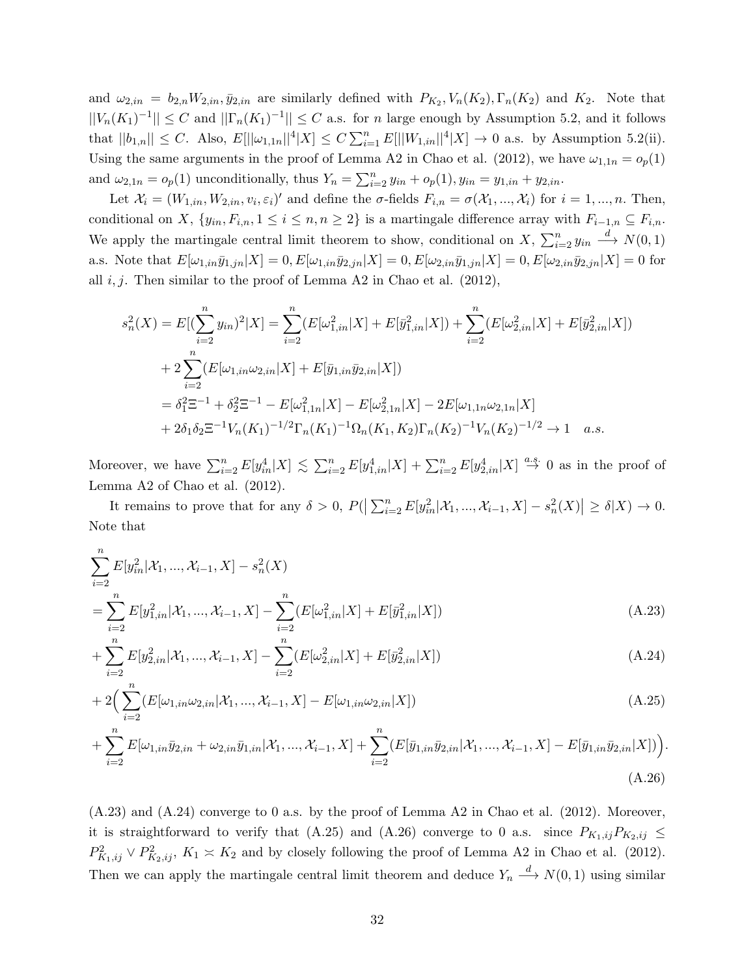and  $\omega_{2,in} = b_{2,n} W_{2,in}, \bar{y}_{2,in}$  are similarly defined with  $P_{K_2}, V_n(K_2), \Gamma_n(K_2)$  and  $K_2$ . Note that  $||V_n(K_1)^{-1}|| \leq C$  and  $||\Gamma_n(K_1)^{-1}|| \leq C$  a.s. for n large enough by Assumption [5.2,](#page-12-3) and it follows that  $||b_{1,n}|| \leq C$ . Also,  $E[||\omega_{1,1n}||^4|X] \leq C \sum_{i=1}^n E[||W_{1,in}||^4|X] \to 0$  a.s. by Assumption [5.2\(](#page-12-3)ii). Using the same arguments in the proof of Lemma A2 in Chao et al. (2012), we have  $\omega_{1,1n} = o_p(1)$ and  $\omega_{2,1n} = o_p(1)$  unconditionally, thus  $Y_n = \sum_{i=2}^n y_{in} + o_p(1)$ ,  $y_{in} = y_{1,in} + y_{2,in}$ .

Let  $\mathcal{X}_i = (W_{1,in}, W_{2,in}, v_i, \varepsilon_i)'$  and define the  $\sigma$ -fields  $F_{i,n} = \sigma(\mathcal{X}_1, ..., \mathcal{X}_i)$  for  $i = 1, ..., n$ . Then, conditional on X,  $\{y_{in}, F_{i,n}, 1 \leq i \leq n, n \geq 2\}$  is a martingale difference array with  $F_{i-1,n} \subseteq F_{i,n}$ . We apply the martingale central limit theorem to show, conditional on X,  $\sum_{i=2}^{n} y_{in} \stackrel{d}{\longrightarrow} N(0, 1)$ a.s. Note that  $E[\omega_{1,in}\bar{y}_{1,in}|X] = 0, E[\omega_{1,in}\bar{y}_{2,in}|X] = 0, E[\omega_{2,in}\bar{y}_{1,in}|X] = 0, E[\omega_{2,in}\bar{y}_{2,in}|X] = 0$  for all  $i, j$ . Then similar to the proof of Lemma A2 in Chao et al. (2012),

$$
s_n^2(X) = E[(\sum_{i=2}^n y_{in})^2 | X] = \sum_{i=2}^n (E[\omega_{1,in}^2 | X] + E[\bar{y}_{1,in}^2 | X]) + \sum_{i=2}^n (E[\omega_{2,in}^2 | X] + E[\bar{y}_{2,in}^2 | X])
$$
  
+  $2 \sum_{i=2}^n (E[\omega_{1,in} \omega_{2,in} | X] + E[\bar{y}_{1,in} \bar{y}_{2,in} | X])$   
=  $\delta_1^2 \Xi^{-1} + \delta_2^2 \Xi^{-1} - E[\omega_{1,1:n}^2 | X] - E[\omega_{2,1:n}^2 | X] - 2E[\omega_{1,1:n} \omega_{2,1:n} | X]$   
+  $2\delta_1 \delta_2 \Xi^{-1} V_n(K_1)^{-1/2} \Gamma_n(K_1)^{-1} \Omega_n(K_1, K_2) \Gamma_n(K_2)^{-1} V_n(K_2)^{-1/2} \to 1$  a.s.

Moreover, we have  $\sum_{i=2}^n E[y_{in}^4|X] \leq \sum_{i=2}^n E[y_{1,in}^4|X] + \sum_{i=2}^n E[y_{2,in}^4|X] \stackrel{a.s.}{\rightarrow} 0$  as in the proof of Lemma A2 of Chao et al. (2012).

It remains to prove that for any  $\delta > 0$ ,  $P(|\sum_{i=2}^{n} E[y_{in}^2 | \mathcal{X}_1, ..., \mathcal{X}_{i-1}, X] - s_n^2(X)| \geq \delta |X| \to 0$ . Note that

<span id="page-31-0"></span>
$$
\sum_{i=2}^{n} E[y_{in}^{2} | \mathcal{X}_{1}, ..., \mathcal{X}_{i-1}, X] - s_{n}^{2}(X)
$$
\n
$$
= \sum_{i=2}^{n} E[y_{1,in}^{2} | \mathcal{X}_{1}, ..., \mathcal{X}_{i-1}, X] - \sum_{i=2}^{n} (E[\omega_{1,in}^{2} | X] + E[\bar{y}_{1,in}^{2} | X])
$$
\n(A.23)

<span id="page-31-1"></span>+ 
$$
\sum_{i=2}^{n} E[y_{2,in}^2 | \mathcal{X}_1, ..., \mathcal{X}_{i-1}, X] - \sum_{i=2}^{n} (E[\omega_{2,in}^2 | X] + E[\bar{y}_{2,in}^2 | X])
$$
 (A.24)

<span id="page-31-2"></span>+2
$$
\left(\sum_{i=2}^{n} (E[\omega_{1,in}\omega_{2,in}|\mathcal{X}_1,...,\mathcal{X}_{i-1},X] - E[\omega_{1,in}\omega_{2,in}|X])\right)
$$
 (A.25)

<span id="page-31-3"></span>
$$
+\sum_{i=2}^{n} E[\omega_{1,in}\bar{y}_{2,in}+\omega_{2,in}\bar{y}_{1,in}|\mathcal{X}_1,...,\mathcal{X}_{i-1},X]+\sum_{i=2}^{n} (E[\bar{y}_{1,in}\bar{y}_{2,in}|\mathcal{X}_1,...,\mathcal{X}_{i-1},X]-E[\bar{y}_{1,in}\bar{y}_{2,in}|X])\big).
$$
\n(A.26)

 $(A.23)$  and  $(A.24)$  converge to 0 a.s. by the proof of Lemma A2 in Chao et al. (2012). Moreover, it is straightforward to verify that [\(A.25\)](#page-31-2) and [\(A.26\)](#page-31-3) converge to 0 a.s. since  $P_{K_1,ij}P_{K_2,ij} \leq$  $P_{K_1,ij}^2 \vee P_{K_2,ij}^2$ ,  $K_1 \times K_2$  and by closely following the proof of Lemma A2 in Chao et al. (2012). Then we can apply the martingale central limit theorem and deduce  $Y_n \stackrel{d}{\longrightarrow} N(0, 1)$  using similar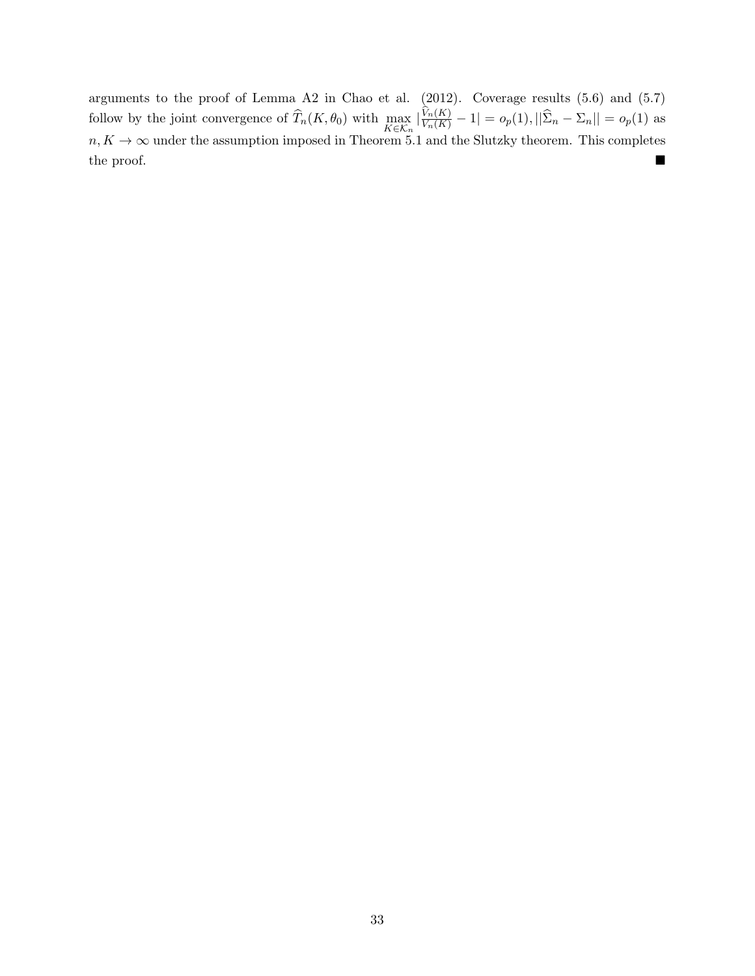arguments to the proof of Lemma A2 in Chao et al. (2012). Coverage results [\(5.6\)](#page-14-2) and [\(5.7\)](#page-14-3) follow by the joint convergence of  $\widehat{T}_n(K, \theta_0)$  with  $\max_{K \in \mathcal{K}_n} |\frac{V_n(K)}{V_n(K)} - 1| = o_p(1), ||\widehat{\Sigma}_n - \Sigma_n|| = o_p(1)$  as  $n, K \to \infty$  under the assumption imposed in Theorem [5.1](#page-14-1) and the Slutzky theorem. This completes the proof.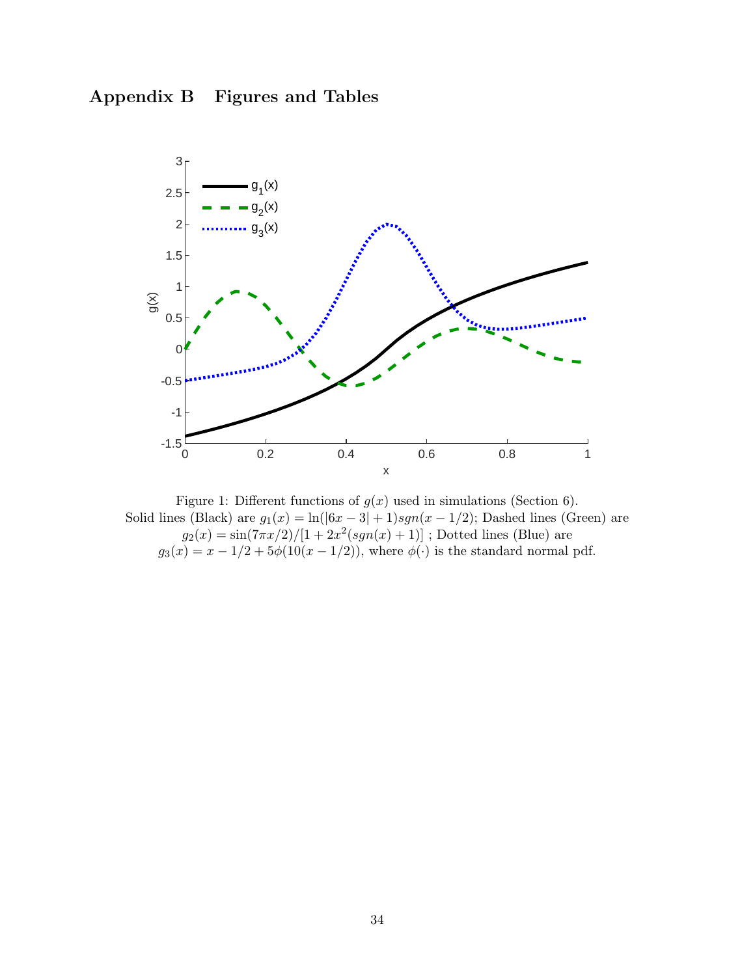## <span id="page-33-1"></span><span id="page-33-0"></span>Appendix B Figures and Tables



Figure 1: Different functions of  $g(x)$  used in simulations (Section [6\)](#page-14-0). Solid lines (Black) are  $g_1(x) = \ln(|6x - 3| + 1)sgn(x - 1/2)$ ; Dashed lines (Green) are  $g_2(x) = \frac{\sin(7\pi x/2)}{1 + 2x^2(\text{sgn}(x) + 1)}$ ; Dotted lines (Blue) are  $g_3(x) = x - 1/2 + 5\phi(10(x - 1/2))$ , where  $\phi(\cdot)$  is the standard normal pdf.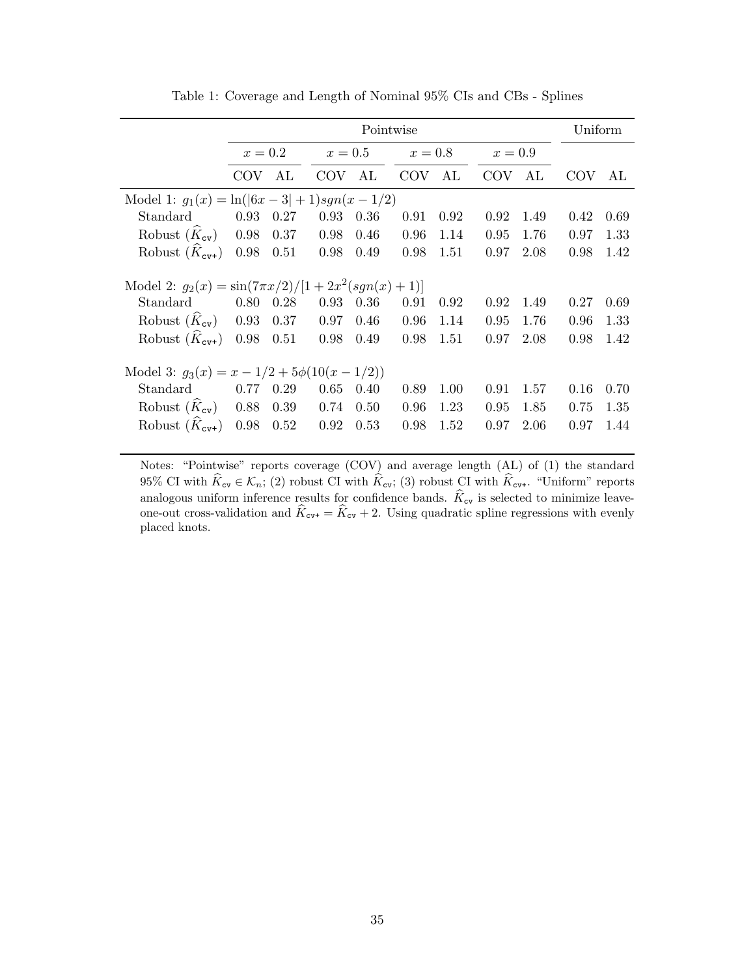<span id="page-34-0"></span>

|                                                                        | Pointwise         |    |                                         |          |            |      |                    |      |                  | Uniform |  |  |
|------------------------------------------------------------------------|-------------------|----|-----------------------------------------|----------|------------|------|--------------------|------|------------------|---------|--|--|
|                                                                        |                   |    | $x = 0.2$ $x = 0.5$ $x = 0.8$ $x = 0.9$ |          |            |      |                    |      |                  |         |  |  |
|                                                                        | COV               | AL | <b>COV</b>                              | $\rm AL$ | <b>COV</b> | AL   | <b>COV</b>         | AL   | COV <sub>1</sub> | AL.     |  |  |
| Model 1: $g_1(x) = \ln( 6x - 3  + 1)sgn(x - 1/2)$                      |                   |    |                                         |          |            |      |                    |      |                  |         |  |  |
| Standard 0.93 0.27                                                     |                   |    | $0.93$ 0.36                             |          | 0.91       | 0.92 | 0.92               | 1.49 | 0.42             | 0.69    |  |  |
| Robust $(\hat{K}_{cy})$ 0.98 0.37 0.98 0.46                            |                   |    |                                         |          | 0.96       |      | $1.14$ 0.95        | 1.76 | 0.97             | - 1.33  |  |  |
| Robust $(\widehat{K}_{\text{cv+}})$ 0.98 0.51 0.98 0.49 0.98           |                   |    |                                         |          |            | 1.51 | 0.97               | 2.08 | 0.98             | 1.42    |  |  |
| Model 2: $g_2(x) = \frac{\sin(7\pi x/2)}{1 + 2x^2(\text{sgn}(x) + 1)}$ |                   |    |                                         |          |            |      |                    |      |                  |         |  |  |
| Standard                                                               | $0.80 \quad 0.28$ |    | 0.93                                    | 0.36     | 0.91       |      | $0.92 \ 0.92$      | 1.49 | 0.27             | 0.69    |  |  |
| Robust $(\widehat{K}_{c_v})$ 0.93 0.37 0.97 0.46 0.96                  |                   |    |                                         |          |            |      | $1.14 \qquad 0.95$ | 1.76 | 0.96             | 1.33    |  |  |
| Robust $(\hat{K}_{\text{cv+}})$ 0.98 0.51 0.98 0.49 0.98               |                   |    |                                         |          |            | 1.51 | 0.97               | 2.08 | 0.98             | -1.42   |  |  |
| Model 3: $g_3(x) = x - 1/2 + 5\phi(10(x - 1/2))$                       |                   |    |                                         |          |            |      |                    |      |                  |         |  |  |
| Standard 0.77 0.29                                                     |                   |    | 0.65                                    | 0.40     | 0.89       | 1.00 | 0.91               | 1.57 | 0.16             | 0.70    |  |  |
| Robust $(\widehat{K}_{c_v})$ 0.88 0.39 0.74 0.50 0.96                  |                   |    |                                         |          |            | 1.23 | 0.95               | 1.85 | 0.75             | - 1.35  |  |  |
| Robust $(\hat{K}_{\text{cv+}})$ 0.98 0.52 0.92                         |                   |    |                                         | 0.53     | 0.98       | 1.52 | 0.97               | 2.06 | 0.97             | 1.44    |  |  |

Table 1: Coverage and Length of Nominal 95% CIs and CBs - Splines

Notes: "Pointwise" reports coverage (COV) and average length (AL) of (1) the standard 95% CI with  $K_{\text{cv}} \in \mathcal{K}_n$ ; (2) robust CI with  $K_{\text{cv}}$ ; (3) robust CI with  $K_{\text{cv}}$ . "Uniform" reports analogous uniform inference results for confidence bands.  $K_{\text{cv}}$  is selected to minimize leaveone-out cross-validation and  $K_{\text{cv+}} = K_{\text{cv}} + 2$ . Using quadratic spline regressions with evenly placed knots.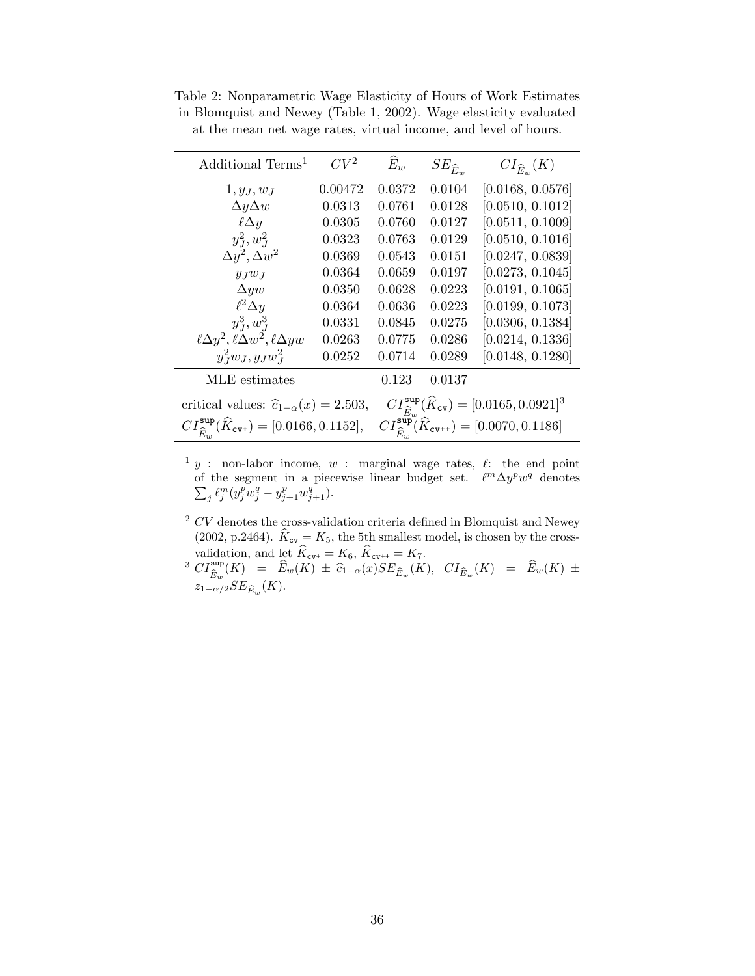| Additional Terms <sup>1</sup>                                                         | CV <sup>2</sup>                                                                     | $\widehat{E}_w$                                                                            | $SE_{\widehat{E}_w}$ | $CI_{\widehat{E}_{av}}(K)$ |  |  |
|---------------------------------------------------------------------------------------|-------------------------------------------------------------------------------------|--------------------------------------------------------------------------------------------|----------------------|----------------------------|--|--|
| $1, y_J, w_J$                                                                         | 0.00472                                                                             | 0.0372                                                                                     | 0.0104               | [0.0168, 0.0576]           |  |  |
| $\Delta y \Delta w$                                                                   | 0.0313                                                                              | 0.0761                                                                                     | 0.0128               | [0.0510, 0.1012]           |  |  |
| $\ell \Delta y$                                                                       | 0.0305                                                                              | 0.0760                                                                                     | 0.0127               | [0.0511, 0.1009]           |  |  |
| $y_{I}^{2}, w_{I}^{2}$                                                                | 0.0323                                                                              | 0.0763                                                                                     | 0.0129               | [0.0510, 0.1016]           |  |  |
| $\Delta y^2, \Delta w^2$                                                              | 0.0369                                                                              | 0.0543                                                                                     | 0.0151               | [0.0247, 0.0839]           |  |  |
| $y_Jw_J$                                                                              | 0.0364                                                                              | 0.0659                                                                                     | 0.0197               | [0.0273, 0.1045]           |  |  |
| $\Delta yw$                                                                           | 0.0350                                                                              | 0.0628                                                                                     | 0.0223               | [0.0191, 0.1065]           |  |  |
| $\ell^2 \Delta y$                                                                     | 0.0364                                                                              | 0.0636                                                                                     | 0.0223               | [0.0199, 0.1073]           |  |  |
| $y_{J}^{3}, w_{J}^{3}$                                                                | 0.0331                                                                              | 0.0845                                                                                     | 0.0275               | [0.0306, 0.1384]           |  |  |
| $\ell \Delta y^2$ , $\ell \Delta w^2$ , $\ell \Delta yw$                              | 0.0263                                                                              | 0.0775                                                                                     | 0.0286               | [0.0214, 0.1336]           |  |  |
| $y_{J}^{2}w_{J}$ , $y_{J}w_{J}^{2}$                                                   | 0.0252                                                                              | 0.0714                                                                                     | 0.0289               | [0.0148, 0.1280]           |  |  |
| MLE estimates                                                                         |                                                                                     | 0.123                                                                                      | 0.0137               |                            |  |  |
| critical values: $\hat{c}_{1-\alpha}(x) = 2.503$ ,                                    | $CI_{\widehat{E}_w}^{\texttt{sup}}(\widehat{K}_{\texttt{cv}}) = [0.0165, 0.0921]^3$ |                                                                                            |                      |                            |  |  |
| $CI_{\widehat{E}_{w}}^{\texttt{sup}}(\widehat{K}_{\texttt{cv+}}) = [0.0166, 0.1152],$ |                                                                                     | $CI_{\widehat{E}_{\ldots}}^{\texttt{sup}}(\widehat{K}_{\texttt{cv++}}) = [0.0070, 0.1186]$ |                      |                            |  |  |

<span id="page-35-0"></span>Table 2: Nonparametric Wage Elasticity of Hours of Work Estimates in Blomquist and Newey (Table 1, 2002). Wage elasticity evaluated at the mean net wage rates, virtual income, and level of hours.

 $1 y$ : non-labor income,  $w$ : marginal wage rates,  $\ell$ : the end point of the segment in a piecewise linear budget set.  $\ell^m \Delta y^p w^q$  denotes  $\sum_j \ell_j^m (y_j^p w_j^q - y_{j+1}^p w_{j+1}^q).$ 

- $2$  CV denotes the cross-validation criteria defined in Blomquist and Newey (2002, p. 2464).  $\hat{K}_{c\text{v}} = K_5$ , the 5th smallest model, is chosen by the cross-
- validation, and let  $K_{\text{cv+}} = K_6$ ,  $K_{\text{cv++}} = K_7$ .<br>
<sup>3</sup>  $CI_{\widehat{E}_w}^{\text{sup}}(K) = \widehat{E}_w(K) \pm \widehat{c}_{1-\alpha}(x) SE_{\widehat{E}_w}(K)$ ,  $CI_{\widehat{E}_w}(K) = \widehat{E}_w(K) \pm \widehat{c}_{1-\alpha}(x) SE_{\widehat{E}_w}(K)$ .  $z_{1-\alpha/2}SE_{\widehat{E}_w}(K)$ .